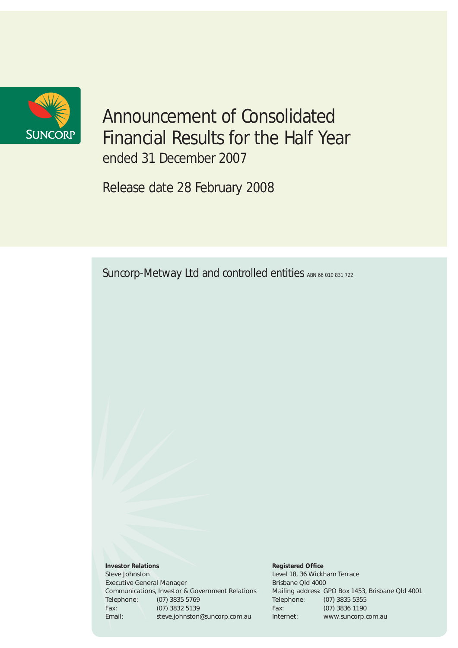

Announcement of Consolidated Financial Results for the Half Year ended 31 December 2007

Release date 28 February 2008

Suncorp-Metway Ltd and controlled entities ABN 66 010 831 722

**Investor Relations**

Steve Johnston Executive General Manager Communications, Investor & Government Relations Telephone: (07) 3835 5769 Fax: (07) 3832 5139 Email: steve.johnston@suncorp.com.au

**Registered Office** Level 18, 36 Wickham Terrace Brisbane Qld 4000 Mailing address: GPO Box 1453, Brisbane Qld 4001 Telephone: (07) 3835 5355 Fax: (07) 3836 1190 Internet: www.suncorp.com.au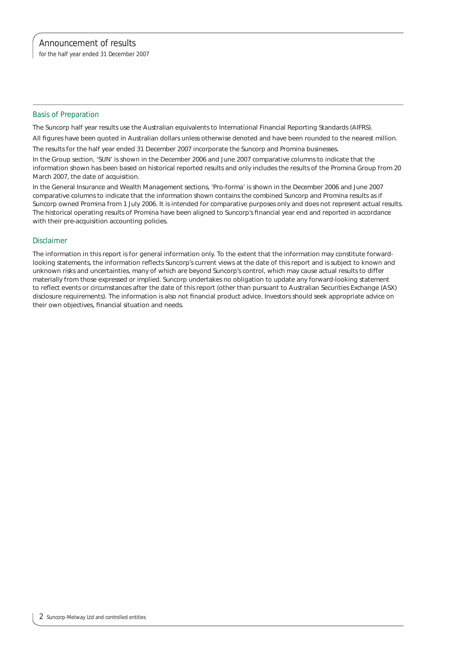for the half year ended 31 December 2007

## Basis of Preparation

The Suncorp half year results use the Australian equivalents to International Financial Reporting Standards (AIFRS).

All figures have been quoted in Australian dollars unless otherwise denoted and have been rounded to the nearest million. The results for the half year ended 31 December 2007 incorporate the Suncorp and Promina businesses.

In the Group section, 'SUN' is shown in the December 2006 and June 2007 comparative columns to indicate that the information shown has been based on historical reported results and only includes the results of the Promina Group from 20 March 2007, the date of acquisition.

In the General Insurance and Wealth Management sections, 'Pro-forma' is shown in the December 2006 and June 2007 comparative columns to indicate that the information shown contains the combined Suncorp and Promina results as if Suncorp owned Promina from 1 July 2006. It is intended for comparative purposes only and does not represent actual results. The historical operating results of Promina have been aligned to Suncorp's financial year end and reported in accordance with their pre-acquisition accounting policies.

# Disclaimer

The information in this report is for general information only. To the extent that the information may constitute forwardlooking statements, the information reflects Suncorp's current views at the date of this report and is subject to known and unknown risks and uncertainties, many of which are beyond Suncorp's control, which may cause actual results to differ materially from those expressed or implied. Suncorp undertakes no obligation to update any forward-looking statement to reflect events or circumstances after the date of this report (other than pursuant to Australian Securities Exchange (ASX) disclosure requirements). The information is also not financial product advice. Investors should seek appropriate advice on their own objectives, financial situation and needs.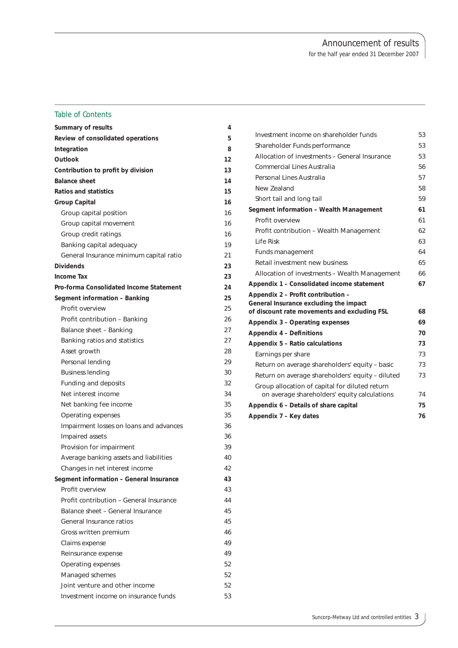# Announcement of results for the half year ended 31 December 2007

# Table of Contents

| <b>Summary of results</b>               | 4  |
|-----------------------------------------|----|
| Review of consolidated operations       | 5  |
| Integration                             | 8  |
| Outlook                                 | 12 |
| Contribution to profit by division      | 13 |
| <b>Balance sheet</b>                    | 14 |
| <b>Ratios and statistics</b>            | 15 |
| <b>Group Capital</b>                    | 16 |
| Group capital position                  | 16 |
| Group capital movement                  | 16 |
| Group credit ratings                    | 16 |
| Banking capital adequacy                | 19 |
| General Insurance minimum capital ratio | 21 |
| <b>Dividends</b>                        | 23 |
| <b>Income Tax</b>                       | 23 |
| Pro-forma Consolidated Income Statement | 24 |
| Segment information - Banking           | 25 |
| Profit overview                         | 25 |
| Profit contribution - Banking           | 26 |
| Balance sheet - Banking                 | 27 |
| Banking ratios and statistics           | 27 |
| Asset growth                            | 28 |
| Personal lending                        | 29 |
| <b>Business lending</b>                 | 30 |
| Funding and deposits                    | 32 |
| Net interest income                     | 34 |
| Net banking fee income                  | 35 |
| Operating expenses                      | 35 |
| Impairment losses on loans and advances | 36 |
| Impaired assets                         | 36 |
| Provision for impairment                | 39 |
| Average banking assets and liabilities  | 40 |
| Changes in net interest income          | 42 |
| Segment information - General Insurance | 43 |
| Profit overview                         | 43 |
| Profit contribution - General Insurance | 44 |
| Balance sheet - General Insurance       | 45 |
| General Insurance ratios                | 45 |
| Gross written premium                   | 46 |
| Claims expense                          | 49 |
| Reinsurance expense                     | 49 |
| Operating expenses                      | 52 |
| Managed schemes                         | 52 |
| Joint venture and other income          | 52 |
| Investment income on insurance funds    | 53 |

| Investment income on shareholder funds           | 53 |
|--------------------------------------------------|----|
| Shareholder Funds performance                    | 53 |
| Allocation of investments - General Insurance    | 53 |
| Commercial Lines Australia                       | 56 |
| Personal Lines Australia                         | 57 |
| New Zealand                                      | 58 |
| Short tail and long tail                         | 59 |
| Segment information - Wealth Management          | 61 |
| Profit overview                                  | 61 |
| Profit contribution - Wealth Management          | 62 |
| Life Risk                                        | 63 |
| Funds management                                 | 64 |
| Retail investment new business                   | 65 |
| Allocation of investments - Wealth Management    | 66 |
| Appendix 1 - Consolidated income statement       | 67 |
| Appendix 2 - Profit contribution -               |    |
| General Insurance excluding the impact           |    |
| of discount rate movements and excluding FSL     | 68 |
| Appendix 3 - Operating expenses                  | 69 |
| <b>Appendix 4 - Definitions</b>                  | 70 |
| Appendix 5 - Ratio calculations                  | 73 |
| Earnings per share                               | 73 |
| Return on average shareholders' equity - basic   | 73 |
| Return on average shareholders' equity - diluted | 73 |
| Group allocation of capital for diluted return   |    |
| on average shareholders' equity calculations     | 74 |
| Appendix 6 - Details of share capital            | 75 |
| Appendix 7 - Key dates                           | 76 |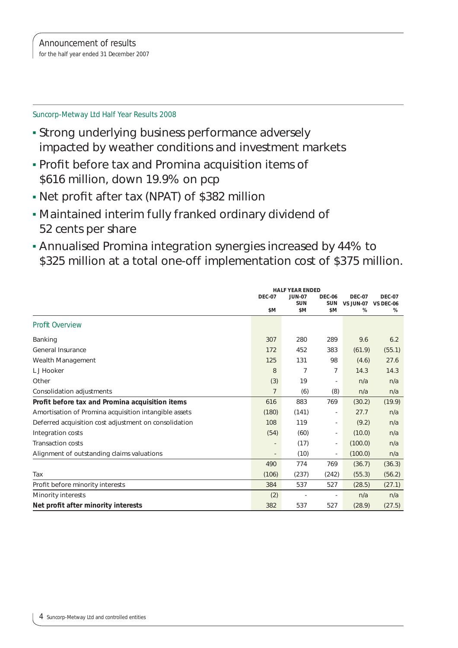# Suncorp-Metway Ltd Half Year Results 2008

- Strong underlying business performance adversely impacted by weather conditions and investment markets
- Profit before tax and Promina acquisition items of \$616 million, down 19.9% on pcp
- Net profit after tax (NPAT) of \$382 million
- Maintained interim fully franked ordinary dividend of 52 cents per share
- Annualised Promina integration synergies increased by 44% to \$325 million at a total one-off implementation cost of \$375 million.

|                                                       | <b>HALF YEAR ENDED</b> |                             |                             |                            |                            |
|-------------------------------------------------------|------------------------|-----------------------------|-----------------------------|----------------------------|----------------------------|
|                                                       | <b>DEC-07</b>          | <b>JUN-07</b><br><b>SUN</b> | <b>DEC-06</b><br><b>SUN</b> | <b>DEC-07</b><br>VS JUN-07 | <b>DEC-07</b><br>VS DEC-06 |
|                                                       | \$M                    | \$M                         | \$M                         | %                          | %                          |
| <b>Profit Overview</b>                                |                        |                             |                             |                            |                            |
| Banking                                               | 307                    | 280                         | 289                         | 9.6                        | 6.2                        |
| General Insurance                                     | 172                    | 452                         | 383                         | (61.9)                     | (55.1)                     |
| Wealth Management                                     | 125                    | 131                         | 98                          | (4.6)                      | 27.6                       |
| L J Hooker                                            | 8                      | 7                           | 7                           | 14.3                       | 14.3                       |
| Other                                                 | (3)                    | 19                          | $\overline{\phantom{a}}$    | n/a                        | n/a                        |
| Consolidation adjustments                             | $\overline{7}$         | (6)                         | (8)                         | n/a                        | n/a                        |
| Profit before tax and Promina acquisition items       | 616                    | 883                         | 769                         | (30.2)                     | (19.9)                     |
| Amortisation of Promina acquisition intangible assets | (180)                  | (141)                       | $\overline{\phantom{a}}$    | 27.7                       | n/a                        |
| Deferred acquisition cost adjustment on consolidation | 108                    | 119                         | $\overline{\phantom{a}}$    | (9.2)                      | n/a                        |
| Integration costs                                     | (54)                   | (60)                        | $\overline{\phantom{a}}$    | (10.0)                     | n/a                        |
| <b>Transaction costs</b>                              |                        | (17)                        | $\overline{\phantom{a}}$    | (100.0)                    | n/a                        |
| Alignment of outstanding claims valuations            |                        | (10)                        | $\overline{\phantom{a}}$    | (100.0)                    | n/a                        |
|                                                       | 490                    | 774                         | 769                         | (36.7)                     | (36.3)                     |
| Tax                                                   | (106)                  | (237)                       | (242)                       | (55.3)                     | (56.2)                     |
| Profit before minority interests                      | 384                    | 537                         | 527                         | (28.5)                     | (27.1)                     |
| <b>Minority interests</b>                             | (2)                    |                             |                             | n/a                        | n/a                        |
| Net profit after minority interests                   | 382                    | 537                         | 527                         | (28.9)                     | (27.5)                     |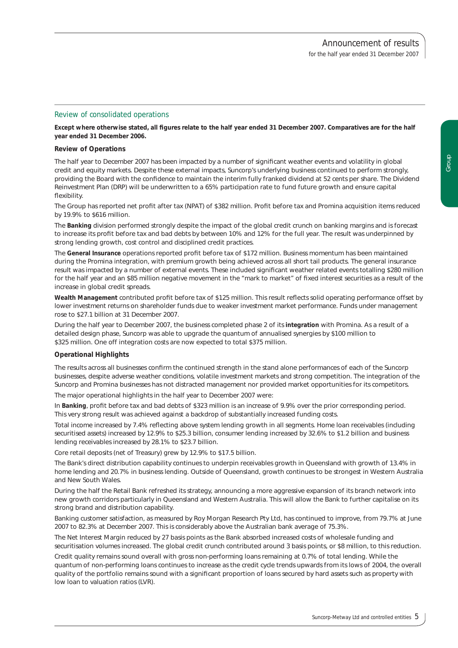## Review of consolidated operations

Except where otherwise stated, all figures relate to the half year ended 31 December 2007. Comparatives are for the half **year ended 31 December 2006.**

### **Review of Operations**

The half year to December 2007 has been impacted by a number of significant weather events and volatility in global credit and equity markets. Despite these external impacts, Suncorp's underlying business continued to perform strongly, providing the Board with the confidence to maintain the interim fully franked dividend at 52 cents per share. The Dividend Reinvestment Plan (DRP) will be underwritten to a 65% participation rate to fund future growth and ensure capital flexibility.

The Group has reported net profit after tax (NPAT) of \$382 million. Profit before tax and Promina acquisition items reduced by 19.9% to \$616 million.

The **Banking** division performed strongly despite the impact of the global credit crunch on banking margins and is forecast to increase its profit before tax and bad debts by between 10% and 12% for the full year. The result was underpinned by strong lending growth, cost control and disciplined credit practices.

The **General Insurance** operations reported profit before tax of \$172 million. Business momentum has been maintained during the Promina integration, with premium growth being achieved across all short tail products. The general insurance result was impacted by a number of external events. These included significant weather related events totalling \$280 million for the half year and an \$85 million negative movement in the "mark to market" of fixed interest securities as a result of the increase in global credit spreads.

Wealth Management contributed profit before tax of \$125 million. This result reflects solid operating performance offset by lower investment returns on shareholder funds due to weaker investment market performance. Funds under management rose to \$27.1 billion at 31 December 2007.

During the half year to December 2007, the business completed phase 2 of its **integration** with Promina. As a result of a detailed design phase, Suncorp was able to upgrade the quantum of annualised synergies by \$100 million to \$325 million. One off integration costs are now expected to total \$375 million.

### **Operational Highlights**

The results across all businesses confirm the continued strength in the stand alone performances of each of the Suncorp businesses, despite adverse weather conditions, volatile investment markets and strong competition. The integration of the Suncorp and Promina businesses has not distracted management nor provided market opportunities for its competitors.

The major operational highlights in the half year to December 2007 were:

In **Banking**, profit before tax and bad debts of \$323 million is an increase of 9.9% over the prior corresponding period. This very strong result was achieved against a backdrop of substantially increased funding costs.

Total income increased by 7.4% reflecting above system lending growth in all segments. Home loan receivables (including securitised assets) increased by 12.9% to \$25.3 billion, consumer lending increased by 32.6% to \$1.2 billion and business lending receivables increased by 28.1% to \$23.7 billion.

Core retail deposits (net of Treasury) grew by 12.9% to \$17.5 billion.

The Bank's direct distribution capability continues to underpin receivables growth in Queensland with growth of 13.4% in home lending and 20.7% in business lending. Outside of Queensland, growth continues to be strongest in Western Australia and New South Wales.

During the half the Retail Bank refreshed its strategy, announcing a more aggressive expansion of its branch network into new growth corridors particularly in Queensland and Western Australia. This will allow the Bank to further capitalise on its strong brand and distribution capability.

Banking customer satisfaction, as measured by Roy Morgan Research Pty Ltd, has continued to improve, from 79.7% at June 2007 to 82.3% at December 2007. This is considerably above the Australian bank average of 75.3%.

The Net Interest Margin reduced by 27 basis points as the Bank absorbed increased costs of wholesale funding and securitisation volumes increased. The global credit crunch contributed around 3 basis points, or \$8 million, to this reduction.

Credit quality remains sound overall with gross non-performing loans remaining at 0.7% of total lending. While the quantum of non-performing loans continues to increase as the credit cycle trends upwards from its lows of 2004, the overall quality of the portfolio remains sound with a significant proportion of loans secured by hard assets such as property with low loan to valuation ratios (LVR).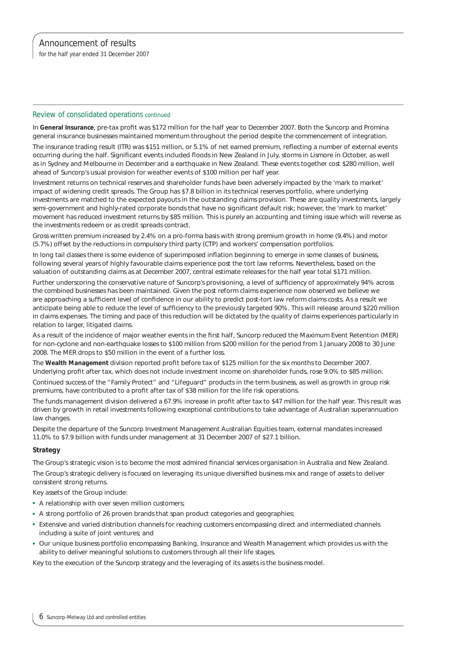for the half year ended 31 December 2007

## Review of consolidated operations continued

In General Insurance, pre-tax profit was \$172 million for the half year to December 2007. Both the Suncorp and Promina general insurance businesses maintained momentum throughout the period despite the commencement of integration.

The insurance trading result (ITR) was \$151 million, or 5.1% of net earned premium, reflecting a number of external events occurring during the half. Significant events included floods in New Zealand in July, storms in Lismore in October, as well as in Sydney and Melbourne in December and a earthquake in New Zealand. These events together cost \$280 million, well ahead of Suncorp's usual provision for weather events of \$100 million per half year.

Investment returns on technical reserves and shareholder funds have been adversely impacted by the 'mark to market' impact of widening credit spreads. The Group has \$7.8 billion in its technical reserves portfolio, where underlying investments are matched to the expected payouts in the outstanding claims provision. These are quality investments, largely semi-government and highly-rated corporate bonds that have no significant default risk; however, the 'mark to market' movement has reduced investment returns by \$85 million. This is purely an accounting and timing issue which will reverse as the investments redeem or as credit spreads contract.

Gross written premium increased by 2.4% on a pro-forma basis with strong premium growth in home (9.4%) and motor (5.7%) offset by the reductions in compulsory third party (CTP) and workers' compensation portfolios.

In long tail classes there is some evidence of superimposed inflation beginning to emerge in some classes of business, following several years of highly favourable claims experience post the tort law reforms. Nevertheless, based on the valuation of outstanding claims as at December 2007, central estimate releases for the half year total \$171 million.

Further underscoring the conservative nature of Suncorp's provisioning, a level of sufficiency of approximately 94% across the combined businesses has been maintained. Given the post reform claims experience now observed we believe we are approaching a sufficient level of confidence in our ability to predict post-tort law reform claims costs. As a result we anticipate being able to reduce the level of sufficiency to the previously targeted 90%. This will release around \$220 million in claims expenses. The timing and pace of this reduction will be dictated by the quality of claims experiences particularly in relation to larger, litigated claims.

As a result of the incidence of major weather events in the first half. Suncorp reduced the Maximum Event Retention (MER) for non-cyclone and non-earthquake losses to \$100 million from \$200 million for the period from 1 January 2008 to 30 June 2008. The MER drops to \$50 million in the event of a further loss.

The Wealth Management division reported profit before tax of \$125 million for the six months to December 2007. Underlying profit after tax, which does not include investment income on shareholder funds, rose 9.0% to \$85 million. Continued success of the "Family Protect" and "Lifeguard" products in the term business, as well as growth in group risk premiums, have contributed to a profit after tax of \$38 million for the life risk operations.

The funds management division delivered a 67.9% increase in profit after tax to \$47 million for the half year. This result was driven by growth in retail investments following exceptional contributions to take advantage of Australian superannuation law changes.

Despite the departure of the Suncorp Investment Management Australian Equities team, external mandates increased 11.0% to \$7.9 billion with funds under management at 31 December 2007 of \$27.1 billion.

## **Strategy**

The Group's strategic vision is to become the most admired financial services organisation in Australia and New Zealand.

The Group's strategic delivery is focused on leveraging its unique diversified business mix and range of assets to deliver consistent strong returns.

Key assets of the Group include:

- A relationship with over seven million customers;
- A strong portfolio of 26 proven brands that span product categories and geographies;
- Extensive and varied distribution channels for reaching customers encompassing direct and intermediated channels including a suite of joint ventures; and
- Our unique business portfolio encompassing Banking, Insurance and Wealth Management which provides us with the ability to deliver meaningful solutions to customers through all their life stages.

Key to the execution of the Suncorp strategy and the leveraging of its assets is the business model.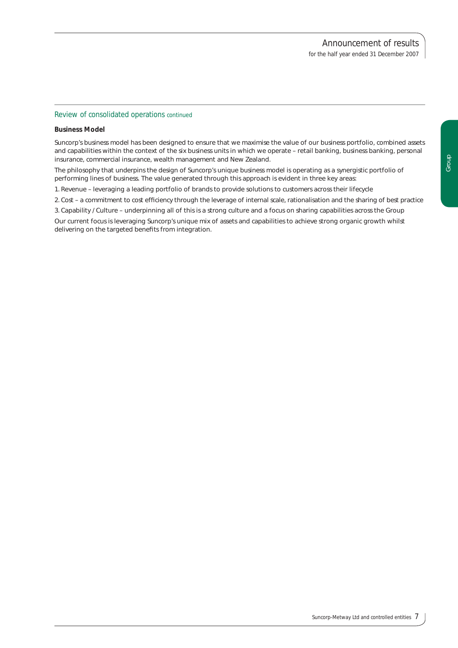### Review of consolidated operations continued

### **Business Model**

Suncorp's business model has been designed to ensure that we maximise the value of our business portfolio, combined assets and capabilities within the context of the six business units in which we operate – retail banking, business banking, personal insurance, commercial insurance, wealth management and New Zealand.

The philosophy that underpins the design of Suncorp's unique business model is operating as a synergistic portfolio of performing lines of business. The value generated through this approach is evident in three key areas:

1. Revenue – leveraging a leading portfolio of brands to provide solutions to customers across their lifecycle

2. Cost – a commitment to cost efficiency through the leverage of internal scale, rationalisation and the sharing of best practice

3. Capability / Culture – underpinning all of this is a strong culture and a focus on sharing capabilities across the Group

Our current focus is leveraging Suncorp's unique mix of assets and capabilities to achieve strong organic growth whilst delivering on the targeted benefits from integration.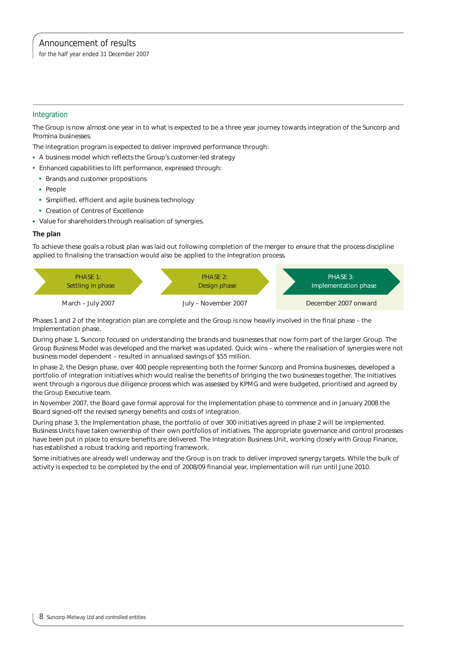for the half year ended 31 December 2007

## Integration

The Group is now almost one year in to what is expected to be a three year journey towards integration of the Suncorp and Promina businesses.

The integration program is expected to deliver improved performance through:

- A business model which reflects the Group's customer-led strategy
- Enhanced capabilities to lift performance, expressed through:
	- **Brands and customer propositions**
	- People
	- Simplified, efficient and agile business technology
	- Creation of Centres of Excellence
- Value for shareholders through realisation of synergies.

### **The plan**

To achieve these goals a robust plan was laid out following completion of the merger to ensure that the process discipline applied to finalising the transaction would also be applied to the Integration process.



Phases 1 and 2 of the Integration plan are complete and the Group is now heavily involved in the final phase – the Implementation phase.

During phase 1, Suncorp focused on understanding the brands and businesses that now form part of the larger Group. The Group Business Model was developed and the market was updated. Quick wins – where the realisation of synergies were not business model dependent – resulted in annualised savings of \$55 million.

In phase 2, the Design phase, over 400 people representing both the former Suncorp and Promina businesses, developed a portfolio of integration initiatives which would realise the benefits of bringing the two businesses together. The initiatives went through a rigorous due diligence process which was assessed by KPMG and were budgeted, prioritised and agreed by the Group Executive team.

In November 2007, the Board gave formal approval for the Implementation phase to commence and in January 2008 the Board signed-off the revised synergy benefits and costs of integration.

During phase 3, the Implementation phase, the portfolio of over 300 initiatives agreed in phase 2 will be implemented. Business Units have taken ownership of their own portfolios of initiatives. The appropriate governance and control processes have been put in place to ensure benefits are delivered. The Integration Business Unit, working closely with Group Finance, has established a robust tracking and reporting framework.

Some initiatives are already well underway and the Group is on track to deliver improved synergy targets. While the bulk of activity is expected to be completed by the end of 2008/09 financial year, Implementation will run until June 2010.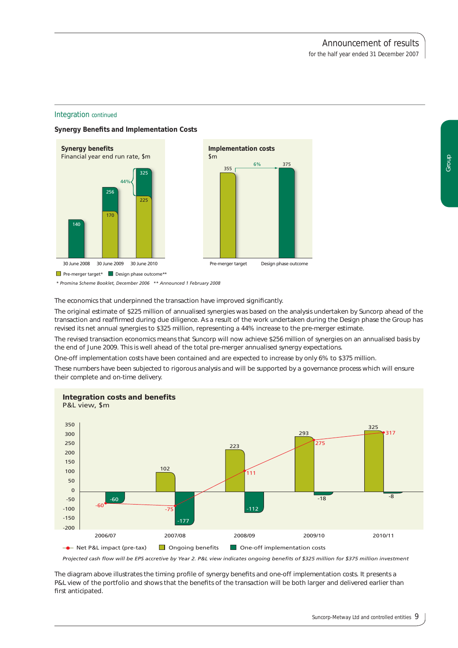### Integration continued

### **Synergy Benefits and Implementation Costs**







 *0ROMINA3CHEME"OOKLET\$ECEMBER !NNOUNCED&EBRUARY*

The economics that underpinned the transaction have improved significantly.

The original estimate of \$225 million of annualised synergies was based on the analysis undertaken by Suncorp ahead of the transaction and reaffirmed during due diligence. As a result of the work undertaken during the Design phase the Group has revised its net annual synergies to \$325 million, representing a 44% increase to the pre-merger estimate.

The revised transaction economics means that Suncorp will now achieve \$256 million of synergies on an annualised basis by the end of June 2009. This is well ahead of the total pre-merger annualised synergy expectations.

One-off implementation costs have been contained and are expected to increase by only 6% to \$375 million.

These numbers have been subjected to rigorous analysis and will be supported by a governance process which will ensure their complete and on-time delivery.



Projected cash flow will be EPS accretive by Year 2. P&L view indicates ongoing benefits of \$325 million for \$375 million investment

The diagram above illustrates the timing profile of synergy benefits and one-off implementation costs. It presents a P&L view of the portfolio and shows that the benefits of the transaction will be both larger and delivered earlier than first anticipated.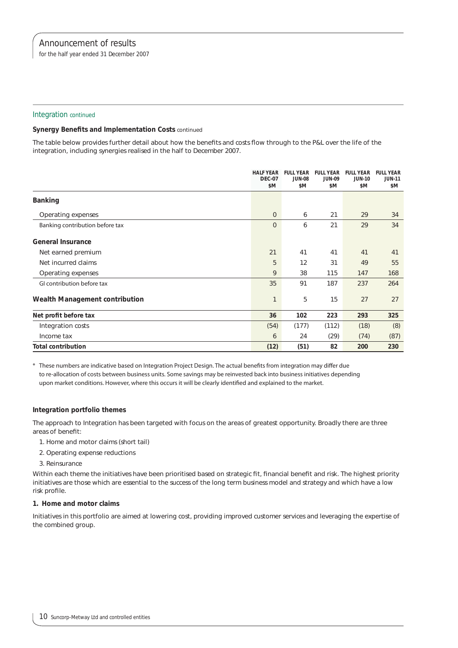for the half year ended 31 December 2007

### Integration continued

### **Synergy Benefits and Implementation Costs continued**

The table below provides further detail about how the benefits and costs flow through to the P&L over the life of the integration, including synergies realised in the half to December 2007.

|                                 | <b>HALF YEAR</b><br><b>DEC-07</b><br>\$M | <b>FULL YEAR</b><br><b>JUN-08</b><br>\$Μ | <b>FULL YEAR</b><br><b>JUN-09</b><br>\$M | <b>FULL YEAR</b><br><b>JUN-10</b><br>\$M | <b>FULL YEAR</b><br><b>JUN-11</b><br>\$M |
|---------------------------------|------------------------------------------|------------------------------------------|------------------------------------------|------------------------------------------|------------------------------------------|
| <b>Banking</b>                  |                                          |                                          |                                          |                                          |                                          |
| Operating expenses              | $\overline{0}$                           | 6                                        | 21                                       | 29                                       | 34                                       |
| Banking contribution before tax | $\overline{0}$                           | 6                                        | 21                                       | 29                                       | 34                                       |
| <b>General Insurance</b>        |                                          |                                          |                                          |                                          |                                          |
| Net earned premium              | 21                                       | 41                                       | 41                                       | 41                                       | 41                                       |
| Net incurred claims             | 5                                        | 12                                       | 31                                       | 49                                       | 55                                       |
| Operating expenses              | 9                                        | 38                                       | 115                                      | 147                                      | 168                                      |
| GI contribution before tax      | 35                                       | 91                                       | 187                                      | 237                                      | 264                                      |
| Wealth Management contribution  | $\mathbf{1}$                             | 5                                        | 15                                       | 27                                       | 27                                       |
| Net profit before tax           | 36                                       | 102                                      | 223                                      | 293                                      | 325                                      |
| Integration costs               | (54)                                     | (177)                                    | (112)                                    | (18)                                     | (8)                                      |
| Income tax                      | 6                                        | 24                                       | (29)                                     | (74)                                     | (87)                                     |
| <b>Total contribution</b>       | (12)                                     | (51)                                     | 82                                       | 200                                      | 230                                      |

\* These numbers are indicative based on Integration Project Design. The actual benefits from integration may differ due to re-allocation of costs between business units. Some savings may be reinvested back into business initiatives depending upon market conditions. However, where this occurs it will be clearly identified and explained to the market.

## **Integration portfolio themes**

The approach to Integration has been targeted with focus on the areas of greatest opportunity. Broadly there are three areas of benefit:

- 1. Home and motor claims (short tail)
- 2. Operating expense reductions
- 3. Reinsurance

Within each theme the initiatives have been prioritised based on strategic fit, financial benefit and risk. The highest priority initiatives are those which are essential to the success of the long term business model and strategy and which have a low risk profile.

## **1. Home and motor claims**

Initiatives in this portfolio are aimed at lowering cost, providing improved customer services and leveraging the expertise of the combined group.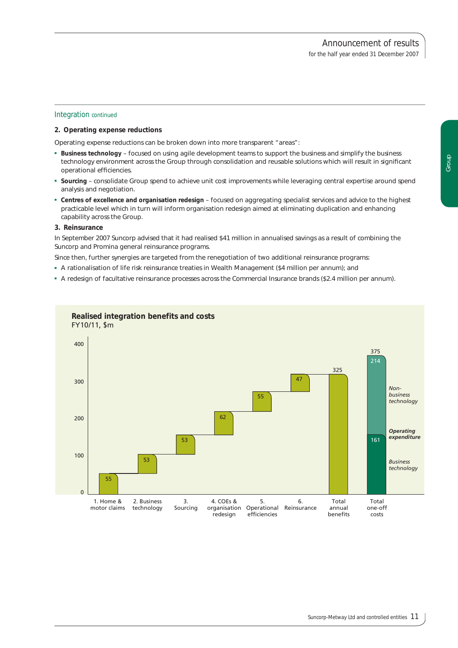### Integration continued

## **2. Operating expense reductions**

Operating expense reductions can be broken down into more transparent "areas":

- **Business technology** focused on using agile development teams to support the business and simplify the business technology environment across the Group through consolidation and reusable solutions which will result in significant operational efficiencies.
- **Sourcing** consolidate Group spend to achieve unit cost improvements while leveraging central expertise around spend analysis and negotiation.
- **Centres of excellence and organisation redesign** focused on aggregating specialist services and advice to the highest practicable level which in turn will inform organisation redesign aimed at eliminating duplication and enhancing capability across the Group.

### **3. Reinsurance**

In September 2007 Suncorp advised that it had realised \$41 million in annualised savings as a result of combining the Suncorp and Promina general reinsurance programs.

Since then, further synergies are targeted from the renegotiation of two additional reinsurance programs:

- A rationalisation of life risk reinsurance treaties in Wealth Management (\$4 million per annum); and
- A redesign of facultative reinsurance processes across the Commercial Insurance brands (\$2.4 million per annum).



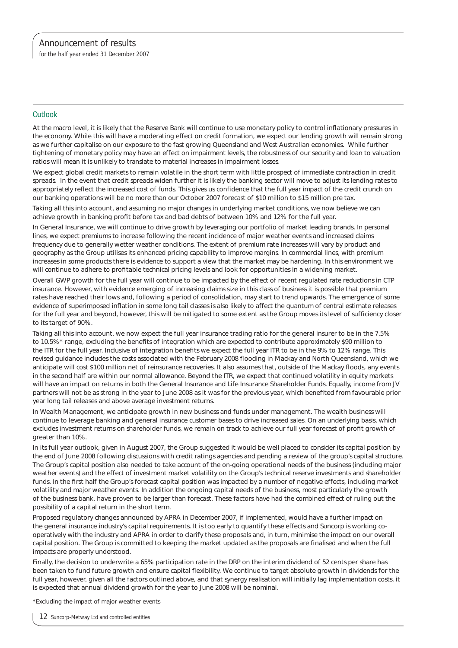for the half year ended 31 December 2007

## Outlook

At the macro level, it is likely that the Reserve Bank will continue to use monetary policy to control inflationary pressures in the economy. While this will have a moderating effect on credit formation, we expect our lending growth will remain strong as we further capitalise on our exposure to the fast growing Queensland and West Australian economies. While further tightening of monetary policy may have an effect on impairment levels, the robustness of our security and loan to valuation ratios will mean it is unlikely to translate to material increases in impairment losses.

We expect global credit markets to remain volatile in the short term with little prospect of immediate contraction in credit spreads. In the event that credit spreads widen further it is likely the banking sector will move to adjust its lending rates to appropriately reflect the increased cost of funds. This gives us confidence that the full year impact of the credit crunch on our banking operations will be no more than our October 2007 forecast of \$10 million to \$15 million pre tax.

Taking all this into account, and assuming no major changes in underlying market conditions, we now believe we can achieve growth in banking profit before tax and bad debts of between 10% and 12% for the full year.

In General Insurance, we will continue to drive growth by leveraging our portfolio of market leading brands. In personal lines, we expect premiums to increase following the recent incidence of major weather events and increased claims frequency due to generally wetter weather conditions. The extent of premium rate increases will vary by product and geography as the Group utilises its enhanced pricing capability to improve margins. In commercial lines, with premium increases in some products there is evidence to support a view that the market may be hardening. In this environment we will continue to adhere to profitable technical pricing levels and look for opportunities in a widening market.

Overall GWP growth for the full year will continue to be impacted by the effect of recent regulated rate reductions in CTP insurance. However, with evidence emerging of increasing claims size in this class of business it is possible that premium rates have reached their lows and, following a period of consolidation, may start to trend upwards. The emergence of some evidence of superimposed inflation in some long tail classes is also likely to affect the quantum of central estimate releases for the full year and beyond, however, this will be mitigated to some extent as the Group moves its level of sufficiency closer to its target of 90%.

Taking all this into account, we now expect the full year insurance trading ratio for the general insurer to be in the 7.5% to 10.5%\* range, excluding the benefits of integration which are expected to contribute approximately \$90 million to the ITR for the full year. Inclusive of integration benefits we expect the full year ITR to be in the 9% to 12% range. This revised guidance includes the costs associated with the February 2008 flooding in Mackay and North Queensland, which we anticipate will cost \$100 million net of reinsurance recoveries. It also assumes that, outside of the Mackay floods, any events in the second half are within our normal allowance. Beyond the ITR, we expect that continued volatility in equity markets will have an impact on returns in both the General Insurance and Life Insurance Shareholder Funds. Equally, income from JV partners will not be as strong in the year to June 2008 as it was for the previous year, which benefited from favourable prior year long tail releases and above average investment returns.

In Wealth Management, we anticipate growth in new business and funds under management. The wealth business will continue to leverage banking and general insurance customer bases to drive increased sales. On an underlying basis, which excludes investment returns on shareholder funds, we remain on track to achieve our full year forecast of profit growth of greater than 10%.

In its full year outlook, given in August 2007, the Group suggested it would be well placed to consider its capital position by the end of June 2008 following discussions with credit ratings agencies and pending a review of the group's capital structure. The Group's capital position also needed to take account of the on-going operational needs of the business (including major weather events) and the effect of investment market volatility on the Group's technical reserve investments and shareholder funds. In the first half the Group's forecast capital position was impacted by a number of negative effects, including market volatility and major weather events. In addition the ongoing capital needs of the business, most particularly the growth of the business bank, have proven to be larger than forecast. These factors have had the combined effect of ruling out the possibility of a capital return in the short term.

Proposed regulatory changes announced by APRA in December 2007, if implemented, would have a further impact on the general insurance industry's capital requirements. It is too early to quantify these effects and Suncorp is working cooperatively with the industry and APRA in order to clarify these proposals and, in turn, minimise the impact on our overall capital position. The Group is committed to keeping the market updated as the proposals are finalised and when the full impacts are properly understood.

Finally, the decision to underwrite a 65% participation rate in the DRP on the interim dividend of 52 cents per share has been taken to fund future growth and ensure capital flexibility. We continue to target absolute growth in dividends for the full year, however, given all the factors outlined above, and that synergy realisation will initially lag implementation costs, it is expected that annual dividend growth for the year to June 2008 will be nominal.

\*Excluding the impact of major weather events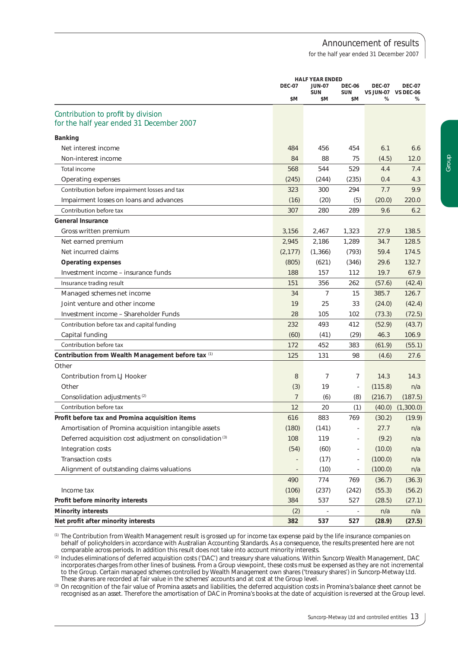for the half year ended 31 December 2007

|                                                                                |                | <b>HALF YEAR ENDED</b>      |                          |                            |                            |
|--------------------------------------------------------------------------------|----------------|-----------------------------|--------------------------|----------------------------|----------------------------|
|                                                                                | <b>DEC-07</b>  | <b>JUN-07</b><br><b>SUN</b> | <b>DEC-06</b><br>SUN     | <b>DEC-07</b><br>VS JUN-07 | <b>DEC-07</b><br>VS DEC-06 |
|                                                                                | \$M            | \$M                         | \$Μ                      | %                          | ℅                          |
| Contribution to profit by division<br>for the half year ended 31 December 2007 |                |                             |                          |                            |                            |
| Banking                                                                        |                |                             |                          |                            |                            |
| Net interest income                                                            | 484            | 456                         | 454                      | 6.1                        | 6.6                        |
| Non-interest income                                                            | 84             | 88                          | 75                       | (4.5)                      | 12.0                       |
| Total income                                                                   | 568            | 544                         | 529                      | 4.4                        | 7.4                        |
| Operating expenses                                                             | (245)          | (244)                       | (235)                    | 0.4                        | 4.3                        |
| Contribution before impairment losses and tax                                  | 323            | 300                         | 294                      | 7.7                        | 9.9                        |
| Impairment losses on loans and advances                                        | (16)           | (20)                        | (5)                      | (20.0)                     | 220.0                      |
| Contribution before tax                                                        | 307            | 280                         | 289                      | 9.6                        | 6.2                        |
| <b>General Insurance</b>                                                       |                |                             |                          |                            |                            |
| Gross written premium                                                          | 3,156          | 2,467                       | 1,323                    | 27.9                       | 138.5                      |
| Net earned premium                                                             | 2,945          | 2,186                       | 1,289                    | 34.7                       | 128.5                      |
| Net incurred claims                                                            | (2, 177)       | (1, 366)                    | (793)                    | 59.4                       | 174.5                      |
| <b>Operating expenses</b>                                                      | (805)          | (621)                       | (346)                    | 29.6                       | 132.7                      |
| Investment income – insurance funds                                            | 188            | 157                         | 112                      | 19.7                       | 67.9                       |
| Insurance trading result                                                       | 151            | 356                         | 262                      | (57.6)                     | (42.4)                     |
| Managed schemes net income                                                     | 34             | 7                           | 15                       | 385.7                      | 126.7                      |
| Joint venture and other income                                                 | 19             | 25                          | 33                       | (24.0)                     | (42.4)                     |
| Investment income - Shareholder Funds                                          | 28             | 105                         | 102                      | (73.3)                     | (72.5)                     |
| Contribution before tax and capital funding                                    | 232            | 493                         | 412                      | (52.9)                     | (43.7)                     |
| Capital funding                                                                | (60)           | (41)                        | (29)                     | 46.3                       | 106.9                      |
| Contribution before tax                                                        | 172            | 452                         | 383                      | (61.9)                     | (55.1)                     |
| Contribution from Wealth Management before tax (1)                             | 125            | 131                         | 98                       | (4.6)                      | 27.6                       |
| Other                                                                          |                |                             |                          |                            |                            |
| Contribution from LJ Hooker                                                    | 8              | 7                           | 7                        | 14.3                       | 14.3                       |
| Other                                                                          | (3)            | 19                          | $\overline{\phantom{a}}$ | (115.8)                    | n/a                        |
| Consolidation adjustments <sup>(2)</sup>                                       | $\overline{7}$ | (6)                         | (8)                      | (216.7)                    | (187.5)                    |
| Contribution before tax                                                        | 12             | 20                          | (1)                      | (40.0)                     | (1,300.0)                  |
| Profit before tax and Promina acquisition items                                | 616            | 883                         | 769                      | (30.2)                     | (19.9)                     |
| Amortisation of Promina acquisition intangible assets                          | (180)          | (141)                       | $\overline{\phantom{a}}$ | 27.7                       | n/a                        |
| Deferred acquisition cost adjustment on consolidation <sup>(3)</sup>           | 108            | 119                         | $\overline{\phantom{a}}$ | (9.2)                      | n/a                        |
| Integration costs                                                              | (54)           | (60)                        | $\overline{\phantom{a}}$ | (10.0)                     | n/a                        |
| Transaction costs                                                              |                | (17)                        | $\overline{\phantom{a}}$ | (100.0)                    | n/a                        |
| Alignment of outstanding claims valuations                                     |                | (10)                        | $\overline{\phantom{a}}$ | (100.0)                    | n/a                        |
|                                                                                | 490            | 774                         | 769                      | (36.7)                     | (36.3)                     |
| Income tax                                                                     | (106)          | (237)                       | (242)                    | (55.3)                     | (56.2)                     |
| Profit before minority interests                                               | 384            | 537                         | 527                      | (28.5)                     | (27.1)                     |
| <b>Minority interests</b>                                                      | (2)            |                             |                          | n/a                        | n/a                        |
| Net profit after minority interests                                            | 382            | 537                         | 527                      | (28.9)                     | (27.5)                     |

 $<sup>(1)</sup>$  The Contribution from Wealth Management result is grossed up for income tax expense paid by the life insurance companies on</sup> behalf of policyholders in accordance with Australian Accounting Standards. As a consequence, the results presented here are not comparable across periods. In addition this result does not take into account minority interests.

<sup>(2)</sup> Includes eliminations of deferred acquisition costs ('DAC') and treasury share valuations. Within Suncorp Wealth Management, DAC incorporates charges from other lines of business. From a Group viewpoint, these costs must be expensed as they are not incremental to the Group. Certain managed schemes controlled by Wealth Management own shares ('treasury shares') in Suncorp-Metway Ltd. These shares are recorded at fair value in the schemes' accounts and at cost at the Group level.

(3) On recognition of the fair value of Promina assets and liabilities, the deferred acquisition costs in Promina's balance sheet cannot be recognised as an asset. Therefore the amortisation of DAC in Promina's books at the date of acquisition is reversed at the Group level.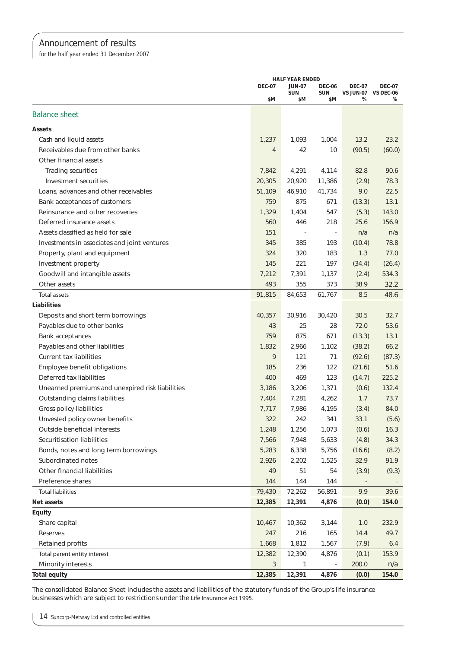for the half year ended 31 December 2007

|                                                  | <b>HALF YEAR ENDED</b> |                          |                             |                                      |               |
|--------------------------------------------------|------------------------|--------------------------|-----------------------------|--------------------------------------|---------------|
|                                                  | <b>DEC-07</b>          | <b>JUN-07</b><br>SUN     | <b>DEC-06</b><br><b>SUN</b> | <b>DEC-07</b><br>VS JUN-07 VS DEC-06 | <b>DEC-07</b> |
|                                                  | \$M                    | \$Μ                      | \$M                         | %                                    | %             |
| <b>Balance sheet</b>                             |                        |                          |                             |                                      |               |
| <b>Assets</b>                                    |                        |                          |                             |                                      |               |
| Cash and liquid assets                           | 1,237                  | 1,093                    | 1,004                       | 13.2                                 | 23.2          |
| Receivables due from other banks                 | 4                      | 42                       | 10                          | (90.5)                               | (60.0)        |
| Other financial assets                           |                        |                          |                             |                                      |               |
| Trading securities                               | 7,842                  | 4,291                    | 4,114                       | 82.8                                 | 90.6          |
| Investment securities                            | 20,305                 | 20,920                   | 11,386                      | (2.9)                                | 78.3          |
| Loans, advances and other receivables            | 51,109                 | 46,910                   | 41,734                      | 9.0                                  | 22.5          |
| Bank acceptances of customers                    | 759                    | 875                      | 671                         | (13.3)                               | 13.1          |
| Reinsurance and other recoveries                 | 1,329                  | 1,404                    | 547                         | (5.3)                                | 143.0         |
| Deferred insurance assets                        | 560                    | 446                      | 218                         | 25.6                                 | 156.9         |
| Assets classified as held for sale               | 151                    | $\overline{\phantom{a}}$ | $\overline{\phantom{a}}$    | n/a                                  | n/a           |
| Investments in associates and joint ventures     | 345                    | 385                      | 193                         | (10.4)                               | 78.8          |
| Property, plant and equipment                    | 324                    | 320                      | 183                         | 1.3                                  | 77.0          |
| Investment property                              | 145                    | 221                      | 197                         | (34.4)                               | (26.4)        |
| Goodwill and intangible assets                   | 7,212                  | 7,391                    | 1,137                       | (2.4)                                | 534.3         |
| Other assets                                     | 493                    | 355                      | 373                         | 38.9                                 | 32.2          |
| <b>Total assets</b>                              | 91,815                 | 84,653                   | 61,767                      | 8.5                                  | 48.6          |
| Liabilities                                      |                        |                          |                             |                                      |               |
| Deposits and short term borrowings               | 40,357                 | 30,916                   | 30,420                      | 30.5                                 | 32.7          |
| Payables due to other banks                      | 43                     | 25                       | 28                          | 72.0                                 | 53.6          |
| <b>Bank acceptances</b>                          | 759                    | 875                      | 671                         | (13.3)                               | 13.1          |
| Payables and other liabilities                   | 1,832                  | 2,966                    | 1,102                       | (38.2)                               | 66.2          |
| Current tax liabilities                          | 9                      | 121                      | 71                          | (92.6)                               | (87.3)        |
| Employee benefit obligations                     | 185                    | 236                      | 122                         | (21.6)                               | 51.6          |
| Deferred tax liabilities                         | 400                    | 469                      | 123                         | (14.7)                               | 225.2         |
| Unearned premiums and unexpired risk liabilities | 3,186                  | 3,206                    | 1,371                       | (0.6)                                | 132.4         |
| Outstanding claims liabilities                   | 7,404                  | 7,281                    | 4,262                       | 1.7                                  | 73.7          |
| <b>Gross policy liabilities</b>                  | 7,717                  | 7,986                    | 4,195                       | (3.4)                                | 84.0          |
| Unvested policy owner benefits                   | 322                    | 242                      | 341                         | 33.1                                 | (5.6)         |
| Outside beneficial interests                     | 1,248                  | 1,256                    | 1,073                       | (0.6)                                | 16.3          |
| Securitisation liabilities                       | 7,566                  | 7,948                    | 5,633                       | (4.8)                                | 34.3          |
| Bonds, notes and long term borrowings            | 5,283                  | 6,338                    | 5,756                       | (16.6)                               | (8.2)         |
| Subordinated notes                               | 2,926                  | 2,202                    | 1,525                       | 32.9                                 | 91.9          |
| Other financial liabilities                      | 49                     | 51                       | 54                          | (3.9)                                | (9.3)         |
| Preference shares                                | 144                    | 144                      | 144                         | $\overline{\phantom{a}}$             |               |
| <b>Total liabilities</b>                         | 79,430                 | 72,262                   | 56,891                      | 9.9                                  | 39.6          |
| Net assets                                       | 12,385                 | 12,391                   | 4,876                       | (0.0)                                | 154.0         |
| Equity                                           |                        |                          |                             |                                      |               |
| Share capital                                    | 10,467                 | 10,362                   | 3,144                       | 1.0                                  | 232.9         |
| Reserves                                         | 247                    | 216                      | 165                         | 14.4                                 | 49.7          |
| Retained profits                                 | 1,668                  | 1,812                    | 1,567                       | (7.9)                                | 6.4           |
| Total parent entity interest                     | 12,382                 | 12,390                   | 4,876                       | (0.1)                                | 153.9         |
| Minority interests                               | 3                      | $\mathbf{1}$             |                             | 200.0                                | n/a           |
| <b>Total equity</b>                              | 12,385                 | 12,391                   | 4,876                       | (0.0)                                | 154.0         |

The consolidated Balance Sheet includes the assets and liabilities of the statutory funds of the Group's life insurance businesses which are subject to restrictions under the Life Insurance Act 1995.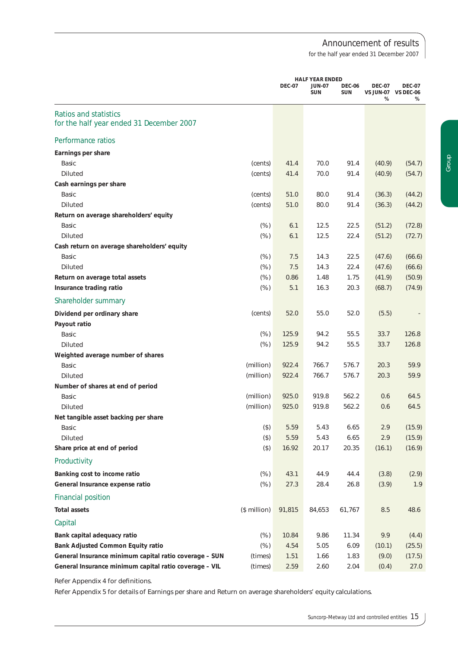for the half year ended 31 December 2007

|                                                        |              | <b>HALF YEAR ENDED</b> |                             |                             |                                           |                    |
|--------------------------------------------------------|--------------|------------------------|-----------------------------|-----------------------------|-------------------------------------------|--------------------|
|                                                        |              | <b>DEC-07</b>          | <b>JUN-07</b><br><b>SUN</b> | <b>DEC-06</b><br><b>SUN</b> | <b>DEC-07</b><br>VS JUN-07 VS DEC-06<br>% | <b>DEC-07</b><br>% |
| <b>Ratios and statistics</b>                           |              |                        |                             |                             |                                           |                    |
| for the half year ended 31 December 2007               |              |                        |                             |                             |                                           |                    |
| Performance ratios                                     |              |                        |                             |                             |                                           |                    |
| Earnings per share                                     |              |                        |                             |                             |                                           |                    |
| Basic                                                  | (cents)      | 41.4                   | 70.0                        | 91.4                        | (40.9)                                    | (54.7)             |
| <b>Diluted</b>                                         | (cents)      | 41.4                   | 70.0                        | 91.4                        | (40.9)                                    | (54.7)             |
| Cash earnings per share                                |              |                        |                             |                             |                                           |                    |
| Basic                                                  | (cents)      | 51.0                   | 80.0                        | 91.4                        | (36.3)                                    | (44.2)             |
| Diluted                                                | (cents)      | 51.0                   | 80.0                        | 91.4                        | (36.3)                                    | (44.2)             |
| Return on average shareholders' equity                 |              |                        |                             |                             |                                           |                    |
| Basic                                                  | (% )         | 6.1                    | 12.5                        | 22.5                        | (51.2)                                    | (72.8)             |
| <b>Diluted</b>                                         | $(\%)$       | 6.1                    | 12.5                        | 22.4                        | (51.2)                                    | (72.7)             |
| Cash return on average shareholders' equity            |              |                        |                             |                             |                                           |                    |
| Basic                                                  | (% )         | 7.5                    | 14.3                        | 22.5                        | (47.6)                                    | (66.6)             |
| <b>Diluted</b>                                         | $(\%)$       | 7.5                    | 14.3                        | 22.4                        | (47.6)                                    | (66.6)             |
| Return on average total assets                         | $(\%)$       | 0.86                   | 1.48                        | 1.75                        | (41.9)                                    | (50.9)             |
| Insurance trading ratio                                | $(\%)$       | 5.1                    | 16.3                        | 20.3                        | (68.7)                                    | (74.9)             |
| Shareholder summary                                    |              |                        |                             |                             |                                           |                    |
| Dividend per ordinary share                            | (cents)      | 52.0                   | 55.0                        | 52.0                        | (5.5)                                     |                    |
| Payout ratio                                           |              |                        |                             |                             |                                           |                    |
| Basic                                                  | $(\%)$       | 125.9                  | 94.2                        | 55.5                        | 33.7                                      | 126.8              |
| Diluted                                                | $(\%)$       | 125.9                  | 94.2                        | 55.5                        | 33.7                                      | 126.8              |
| Weighted average number of shares                      |              |                        |                             |                             |                                           |                    |
| Basic                                                  | (million)    | 922.4                  | 766.7                       | 576.7                       | 20.3                                      | 59.9               |
| <b>Diluted</b>                                         | (million)    | 922.4                  | 766.7                       | 576.7                       | 20.3                                      | 59.9               |
| Number of shares at end of period                      |              |                        |                             |                             |                                           |                    |
| Basic                                                  | (million)    | 925.0                  | 919.8                       | 562.2                       | 0.6                                       | 64.5               |
| Diluted                                                | (million)    | 925.0                  | 919.8                       | 562.2                       | 0.6                                       | 64.5               |
| Net tangible asset backing per share                   |              |                        |                             |                             |                                           |                    |
| Basic                                                  | $($ \$)      | 5.59                   | 5.43                        | 6.65                        | 2.9                                       | (15.9)             |
| Diluted                                                | $($ \$)      | 5.59                   | 5.43                        | 6.65                        | 2.9                                       | (15.9)             |
| Share price at end of period                           | $($ \$)      | 16.92                  | 20.17                       | 20.35                       | (16.1)                                    | (16.9)             |
| Productivity                                           |              |                        |                             |                             |                                           |                    |
| Banking cost to income ratio                           | $(\%)$       | 43.1                   | 44.9                        | 44.4                        | (3.8)                                     | (2.9)              |
| General Insurance expense ratio                        | $(\%)$       | 27.3                   | 28.4                        | 26.8                        | (3.9)                                     | 1.9                |
| <b>Financial position</b>                              |              |                        |                             |                             |                                           |                    |
| <b>Total assets</b>                                    | (\$ million) | 91,815                 | 84,653                      | 61,767                      | 8.5                                       | 48.6               |
| Capital                                                |              |                        |                             |                             |                                           |                    |
| Bank capital adequacy ratio                            | $(\%)$       | 10.84                  | 9.86                        | 11.34                       | 9.9                                       | (4.4)              |
| <b>Bank Adjusted Common Equity ratio</b>               | $(\%)$       | 4.54                   | 5.05                        | 6.09                        | (10.1)                                    | (25.5)             |
| General Insurance minimum capital ratio coverage - SUN | (times)      | 1.51                   | 1.66                        | 1.83                        | (9.0)                                     | (17.5)             |
| General Insurance minimum capital ratio coverage - VIL | (times)      | 2.59                   | 2.60                        | 2.04                        | (0.4)                                     | 27.0               |

Refer Appendix 4 for definitions.

Refer Appendix 5 for details of Earnings per share and Return on average shareholders' equity calculations.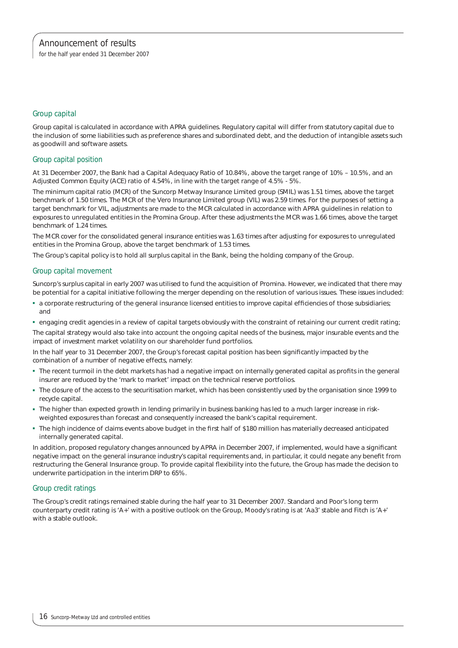for the half year ended 31 December 2007

# Group capital

Group capital is calculated in accordance with APRA guidelines. Regulatory capital will differ from statutory capital due to the inclusion of some liabilities such as preference shares and subordinated debt, and the deduction of intangible assets such as goodwill and software assets.

## Group capital position

At 31 December 2007, the Bank had a Capital Adequacy Ratio of 10.84%, above the target range of 10% – 10.5%, and an Adjusted Common Equity (ACE) ratio of 4.54%, in line with the target range of 4.5% - 5%.

The minimum capital ratio (MCR) of the Suncorp Metway Insurance Limited group (SMIL) was 1.51 times, above the target benchmark of 1.50 times. The MCR of the Vero Insurance Limited group (VIL) was 2.59 times. For the purposes of setting a target benchmark for VIL, adjustments are made to the MCR calculated in accordance with APRA guidelines in relation to exposures to unregulated entities in the Promina Group. After these adjustments the MCR was 1.66 times, above the target benchmark of 1.24 times.

The MCR cover for the consolidated general insurance entities was 1.63 times after adjusting for exposures to unregulated entities in the Promina Group, above the target benchmark of 1.53 times.

The Group's capital policy is to hold all surplus capital in the Bank, being the holding company of the Group.

### Group capital movement

Suncorp's surplus capital in early 2007 was utilised to fund the acquisition of Promina. However, we indicated that there may be potential for a capital initiative following the merger depending on the resolution of various issues. These issues included:

- a corporate restructuring of the general insurance licensed entities to improve capital efficiencies of those subsidiaries; and
- engaging credit agencies in a review of capital targets obviously with the constraint of retaining our current credit rating;
- The capital strategy would also take into account the ongoing capital needs of the business, major insurable events and the impact of investment market volatility on our shareholder fund portfolios.

In the half year to 31 December 2007, the Group's forecast capital position has been significantly impacted by the combination of a number of negative effects, namely:

- The recent turmoil in the debt markets has had a negative impact on internally generated capital as profits in the general insurer are reduced by the 'mark to market' impact on the technical reserve portfolios.
- The closure of the access to the securitisation market, which has been consistently used by the organisation since 1999 to recycle capital.
- The higher than expected growth in lending primarily in business banking has led to a much larger increase in riskweighted exposures than forecast and consequently increased the bank's capital requirement.
- The high incidence of claims events above budget in the first half of \$180 million has materially decreased anticipated internally generated capital.

In addition, proposed regulatory changes announced by APRA in December 2007, if implemented, would have a significant negative impact on the general insurance industry's capital requirements and, in particular, it could negate any benefit from restructuring the General Insurance group. To provide capital flexibility into the future, the Group has made the decision to underwrite participation in the interim DRP to 65%.

## Group credit ratings

The Group's credit ratings remained stable during the half year to 31 December 2007. Standard and Poor's long term counterparty credit rating is 'A+' with a positive outlook on the Group, Moody's rating is at 'Aa3' stable and Fitch is 'A+' with a stable outlook.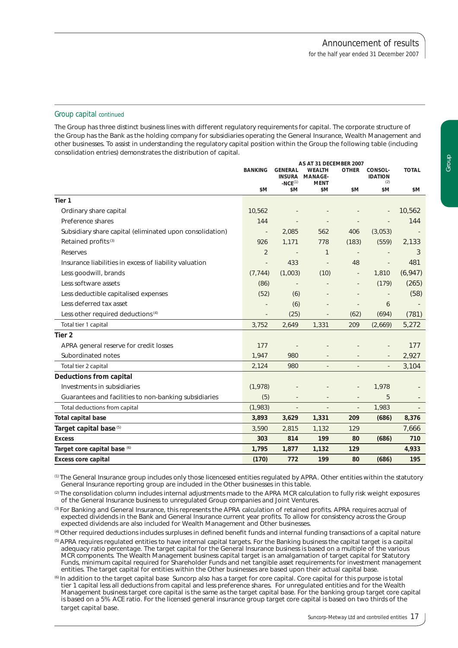### Group capital continued

The Group has three distinct business lines with different regulatory requirements for capital. The corporate structure of the Group has the Bank as the holding company for subsidiaries operating the General Insurance, Wealth Management and other businesses. To assist in understanding the regulatory capital position within the Group the following table (including consolidation entries) demonstrates the distribution of capital.

|                                                          |                |                                          | AS AT 31 DECEMBER 2007                  |              |                                  |              |
|----------------------------------------------------------|----------------|------------------------------------------|-----------------------------------------|--------------|----------------------------------|--------------|
|                                                          | <b>BANKING</b> | <b>GENERAL</b><br>INSURA<br>$-NCE^{(1)}$ | WEALTH<br><b>MANAGE-</b><br><b>MENT</b> | <b>OTHER</b> | CONSOL-<br><b>IDATION</b><br>(2) | <b>TOTAL</b> |
|                                                          | \$Μ            | \$Μ                                      | \$M                                     | \$Μ          | \$Μ                              | \$M          |
| Tier <sub>1</sub>                                        |                |                                          |                                         |              |                                  |              |
| Ordinary share capital                                   | 10,562         |                                          |                                         |              |                                  | 10,562       |
| Preference shares                                        | 144            |                                          |                                         |              |                                  | 144          |
| Subsidiary share capital (eliminated upon consolidation) |                | 2,085                                    | 562                                     | 406          | (3,053)                          |              |
| Retained profits <sup>(3)</sup>                          | 926            | 1,171                                    | 778                                     | (183)        | (559)                            | 2,133        |
| Reserves                                                 | $\overline{2}$ |                                          | $\mathbf{1}$                            |              |                                  | 3            |
| Insurance liabilities in excess of liability valuation   |                | 433                                      | $\overline{\phantom{a}}$                | 48           | $\overline{\phantom{a}}$         | 481          |
| Less goodwill, brands                                    | (7, 744)       | (1,003)                                  | (10)                                    |              | 1,810                            | (6, 947)     |
| Less software assets                                     | (86)           |                                          |                                         |              | (179)                            | (265)        |
| Less deductible capitalised expenses                     | (52)           | (6)                                      |                                         |              |                                  | (58)         |
| Less deferred tax asset                                  |                | (6)                                      |                                         |              | 6                                |              |
| Less other required deductions <sup>(4)</sup>            |                | (25)                                     |                                         | (62)         | (694)                            | (781)        |
| Total tier 1 capital                                     | 3,752          | 2,649                                    | 1,331                                   | 209          | (2,669)                          | 5,272        |
| Tier <sub>2</sub>                                        |                |                                          |                                         |              |                                  |              |
| APRA general reserve for credit losses                   | 177            |                                          |                                         |              |                                  | 177          |
| Subordinated notes                                       | 1,947          | 980                                      |                                         |              |                                  | 2,927        |
| Total tier 2 capital                                     | 2,124          | 980                                      |                                         |              |                                  | 3,104        |
| <b>Deductions from capital</b>                           |                |                                          |                                         |              |                                  |              |
| Investments in subsidiaries                              | (1,978)        |                                          |                                         |              | 1,978                            |              |
| Guarantees and facilities to non-banking subsidiaries    | (5)            |                                          |                                         |              | 5                                |              |
| Total deductions from capital                            | (1,983)        | $\overline{\phantom{a}}$                 |                                         |              | 1,983                            |              |
| <b>Total capital base</b>                                | 3,893          | 3,629                                    | 1,331                                   | 209          | (686)                            | 8,376        |
| Target capital base <sup>(5)</sup>                       | 3,590          | 2,815                                    | 1,132                                   | 129          |                                  | 7,666        |
| <b>Excess</b>                                            | 303            | 814                                      | 199                                     | 80           | (686)                            | 710          |
| Target core capital base (6)                             | 1,795          | 1,877                                    | 1,132                                   | 129          |                                  | 4,933        |
| <b>Excess core capital</b>                               | (170)          | 772                                      | 199                                     | 80           | (686)                            | 195          |

(1) The General Insurance group includes only those licencesed entities regulated by APRA. Other entities within the statutory General Insurance reporting group are included in the Other businesses in this table.

<sup>(2)</sup> The consolidation column includes internal adjustments made to the APRA MCR calculation to fully risk weight exposures of the General Insurance business to unregulated Group companies and Joint Ventures.

(3) For Banking and General Insurance, this represents the APRA calculation of retained profits. APRA requires accrual of expected dividends in the Bank and General Insurance current year profits. To allow for consistency across the Group expected dividends are also included for Wealth Management and Other businesses.

(4) Other required deductions includes surpluses in defined benefit funds and internal funding transactions of a capital nature

(5) APRA requires regulated entities to have internal capital targets. For the Banking business the capital target is a capital adequacy ratio percentage. The target capital for the General Insurance business is based on a multiple of the various MCR components. The Wealth Management business capital target is an amalgamation of target capital for Statutory Funds, minimum capital required for Shareholder Funds and net tangible asset requirements for investment management entities. The target capital for entities within the Other businesses are based upon their actual capital base.

(6) In addition to the target capital base Suncorp also has a target for core capital. Core capital for this purpose is total tier 1 capital less all deductions from capital and less preference shares. For unregulated entities and for the Wealth Management business target core capital is the same as the target capital base. For the banking group target core capital is based on a 5% ACE ratio. For the licensed general insurance group target core capital is based on two thirds of the target capital base.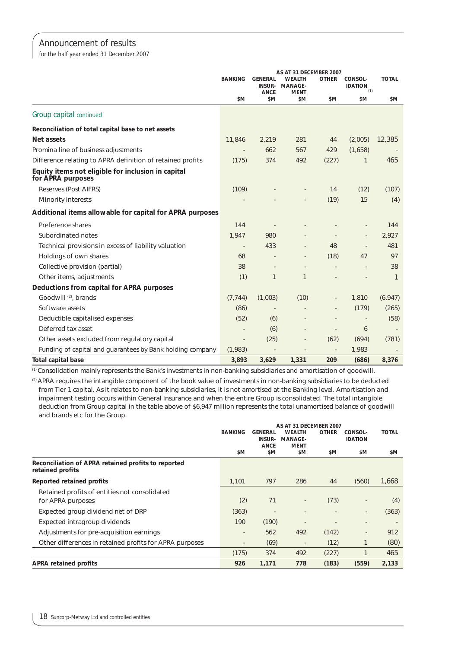for the half year ended 31 December 2007

|                                                                         | <b>BANKING</b>           | <b>GENERAL</b><br><b>INSUR-</b> | AS AT 31 DECEMBER 2007<br><b>WEALTH</b><br><b>MANAGE-</b> | <b>OTHER</b>             | CONSOL-<br><b>IDATION</b><br>(1) | <b>TOTAL</b> |
|-------------------------------------------------------------------------|--------------------------|---------------------------------|-----------------------------------------------------------|--------------------------|----------------------------------|--------------|
|                                                                         | \$M                      | <b>ANCE</b><br>\$M              | <b>MENT</b><br>\$M                                        | \$M                      | \$M                              | \$M          |
| Group capital continued                                                 |                          |                                 |                                                           |                          |                                  |              |
| Reconciliation of total capital base to net assets                      |                          |                                 |                                                           |                          |                                  |              |
| Net assets                                                              | 11,846                   | 2,219                           | 281                                                       | 44                       | (2,005)                          | 12,385       |
| Promina line of business adjustments                                    |                          | 662                             | 567                                                       | 429                      | (1,658)                          |              |
| Difference relating to APRA definition of retained profits              | (175)                    | 374                             | 492                                                       | (227)                    | $\mathbf{1}$                     | 465          |
| Equity items not eligible for inclusion in capital<br>for APRA purposes |                          |                                 |                                                           |                          |                                  |              |
| Reserves (Post AIFRS)                                                   | (109)                    |                                 |                                                           | 14                       | (12)                             | (107)        |
| Minority interests                                                      |                          |                                 |                                                           | (19)                     | 15                               | (4)          |
| Additional items allowable for capital for APRA purposes                |                          |                                 |                                                           |                          |                                  |              |
| Preference shares                                                       | 144                      |                                 |                                                           |                          | $\overline{a}$                   | 144          |
| Subordinated notes                                                      | 1,947                    | 980                             |                                                           | $\overline{a}$           |                                  | 2,927        |
| Technical provisions in excess of liability valuation                   | $\overline{\phantom{a}}$ | 433                             |                                                           | 48                       |                                  | 481          |
| Holdings of own shares                                                  | 68                       |                                 |                                                           | (18)                     | 47                               | 97           |
| Collective provision (partial)                                          | 38                       |                                 |                                                           |                          |                                  | 38           |
| Other items, adjustments                                                | (1)                      | $\mathbf{1}$                    | $\mathbf{1}$                                              |                          |                                  | $\mathbf{1}$ |
| Deductions from capital for APRA purposes                               |                          |                                 |                                                           |                          |                                  |              |
| Goodwill <sup>(2)</sup> , brands                                        | (7, 744)                 | (1,003)                         | (10)                                                      |                          | 1,810                            | (6, 947)     |
| Software assets                                                         | (86)                     |                                 |                                                           | $\overline{\phantom{a}}$ | (179)                            | (265)        |
| Deductible capitalised expenses                                         | (52)                     | (6)                             |                                                           |                          |                                  | (58)         |
| Deferred tax asset                                                      |                          | (6)                             |                                                           | $\overline{\phantom{a}}$ | 6                                |              |
| Other assets excluded from regulatory capital                           |                          | (25)                            |                                                           | (62)                     | (694)                            | (781)        |
| Funding of capital and guarantees by Bank holding company               | (1,983)                  |                                 |                                                           |                          | 1,983                            |              |
| <b>Total capital base</b>                                               | 3,893                    | 3,629                           | 1,331                                                     | 209                      | (686)                            | 8,376        |

(1) Consolidation mainly represents the Bank's investments in non-banking subsidiaries and amortisation of goodwill.

(2) APRA requires the intangible component of the book value of investments in non-banking subsidiaries to be deducted from Tier 1 capital. As it relates to non-banking subsidiaries, it is not amortised at the Banking level. Amortisation and impairment testing occurs within General Insurance and when the entire Group is consolidated. The total intangible deduction from Group capital in the table above of \$6,947 million represents the total unamortised balance of goodwill and brands etc for the Group.

|                                                                         | AS AT 31 DECEMBER 2007   |                                                |                                                |              |                           |              |
|-------------------------------------------------------------------------|--------------------------|------------------------------------------------|------------------------------------------------|--------------|---------------------------|--------------|
|                                                                         | <b>BANKING</b><br>\$Μ    | <b>GENERAL</b><br><b>INSUR-</b><br><b>ANCE</b> | <b>WEALTH</b><br><b>MANAGE-</b><br><b>MENT</b> | <b>OTHER</b> | CONSOL-<br><b>IDATION</b> | <b>TOTAL</b> |
|                                                                         |                          | \$M                                            | \$M                                            | \$M          | \$M                       | \$M          |
| Reconciliation of APRA retained profits to reported<br>retained profits |                          |                                                |                                                |              |                           |              |
| Reported retained profits                                               | 1,101                    | 797                                            | 286                                            | 44           | (560)                     | 1,668        |
| Retained profits of entities not consolidated                           |                          |                                                |                                                |              |                           |              |
| for APRA purposes                                                       | (2)                      | 71                                             | $\overline{\phantom{a}}$                       | (73)         | $\overline{\phantom{a}}$  | (4)          |
| Expected group dividend net of DRP                                      | (363)                    |                                                |                                                |              | $\overline{\phantom{a}}$  | (363)        |
| Expected intragroup dividends                                           | 190                      | (190)                                          |                                                |              | $\overline{\phantom{a}}$  |              |
| Adjustments for pre-acquisition earnings                                | $\overline{\phantom{a}}$ | 562                                            | 492                                            | (142)        | $\overline{\phantom{a}}$  | 912          |
| Other differences in retained profits for APRA purposes                 | $\overline{\phantom{a}}$ | (69)                                           | $\overline{\phantom{a}}$                       | (12)         | $\mathbf{1}$              | (80)         |
|                                                                         | (175)                    | 374                                            | 492                                            | (227)        |                           | 465          |
| <b>APRA retained profits</b>                                            | 926                      | 1,171                                          | 778                                            | (183)        | (559)                     | 2,133        |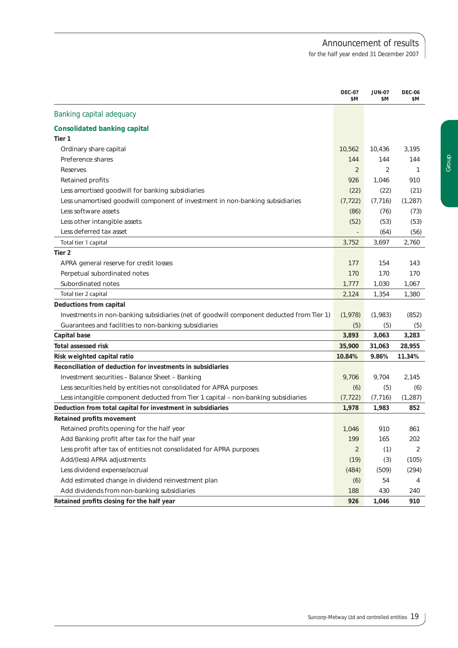for the half year ended 31 December 2007

|                                                                                          | <b>DEC-07</b><br>\$M | <b>JUN-07</b><br>\$M | <b>DEC-06</b><br>\$M |
|------------------------------------------------------------------------------------------|----------------------|----------------------|----------------------|
| <b>Banking capital adequacy</b>                                                          |                      |                      |                      |
| <b>Consolidated banking capital</b>                                                      |                      |                      |                      |
| Tier 1                                                                                   |                      |                      |                      |
| Ordinary share capital                                                                   | 10,562               | 10,436               | 3,195                |
| Preference shares                                                                        | 144                  | 144                  | 144                  |
| Reserves                                                                                 | $\overline{2}$       | $\overline{2}$       | 1                    |
| Retained profits                                                                         | 926                  | 1,046                | 910                  |
| Less amortised goodwill for banking subsidiaries                                         | (22)                 | (22)                 | (21)                 |
| Less unamortised goodwill component of investment in non-banking subsidiaries            | (7, 722)             | (7, 716)             | (1, 287)             |
| Less software assets                                                                     | (86)                 | (76)                 | (73)                 |
| Less other intangible assets                                                             | (52)                 | (53)                 | (53)                 |
| Less deferred tax asset                                                                  |                      | (64)                 | (56)                 |
| Total tier 1 capital                                                                     | 3,752                | 3,697                | 2,760                |
| Tier 2                                                                                   |                      |                      |                      |
| APRA general reserve for credit losses                                                   | 177                  | 154                  | 143                  |
| Perpetual subordinated notes                                                             | 170                  | 170                  | 170                  |
| Subordinated notes                                                                       | 1,777                | 1,030                | 1,067                |
| Total tier 2 capital                                                                     | 2,124                | 1,354                | 1,380                |
| Deductions from capital                                                                  |                      |                      |                      |
| Investments in non-banking subsidiaries (net of goodwill component deducted from Tier 1) | (1,978)              | (1,983)              | (852)                |
| Guarantees and facilities to non-banking subsidiaries                                    | (5)                  | (5)                  | (5)                  |
| Capital base                                                                             | 3,893                | 3,063                | 3,283                |
| <b>Total assessed risk</b>                                                               | 35,900               | 31,063               | 28,955               |
| Risk weighted capital ratio                                                              | 10.84%               | 9.86%                | 11.34%               |
| Reconciliation of deduction for investments in subsidiaries                              |                      |                      |                      |
| Investment securities - Balance Sheet - Banking                                          | 9,706                | 9,704                | 2,145                |
| Less securities held by entities not consolidated for APRA purposes                      | (6)                  | (5)                  | (6)                  |
| Less intangible component deducted from Tier 1 capital - non-banking subsidiaries        | (7, 722)             | (7, 716)             | (1, 287)             |
| Deduction from total capital for investment in subsidiaries                              | 1,978                | 1,983                | 852                  |
| Retained profits movement                                                                |                      |                      |                      |
| Retained profits opening for the half year                                               | 1,046                | 910                  | 861                  |
| Add Banking profit after tax for the half year                                           | 199                  | 165                  | 202                  |
| Less profit after tax of entities not consolidated for APRA purposes                     | 2                    | (1)                  | 2                    |
| Add/(less) APRA adjustments                                                              | (19)                 | (3)                  | (105)                |
| Less dividend expense/accrual                                                            | (484)                | (509)                | (294)                |
| Add estimated change in dividend reinvestment plan                                       | (6)                  | 54                   | 4                    |
| Add dividends from non-banking subsidiaries                                              | 188                  | 430                  | 240                  |
| Retained profits closing for the half year                                               | 926                  | 1,046                | 910                  |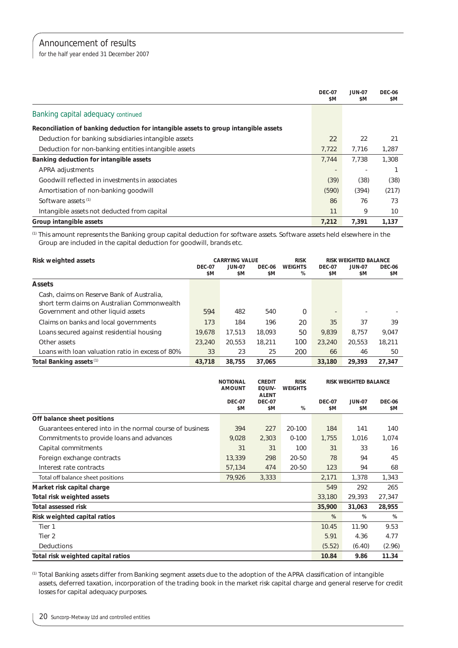for the half year ended 31 December 2007

|                                                                                      | <b>DEC-07</b><br>\$M | <b>JUN-07</b><br>\$M | <b>DEC-06</b><br>\$Μ |
|--------------------------------------------------------------------------------------|----------------------|----------------------|----------------------|
| Banking capital adequacy continued                                                   |                      |                      |                      |
| Reconciliation of banking deduction for intangible assets to group intangible assets |                      |                      |                      |
| Deduction for banking subsidiaries intangible assets                                 | 22                   | 22                   | 21                   |
| Deduction for non-banking entities intangible assets                                 | 7.722                | 7.716                | 1,287                |
| Banking deduction for intangible assets                                              | 7,744                | 7,738                | 1,308                |
| APRA adjustments                                                                     |                      |                      |                      |
| Goodwill reflected in investments in associates                                      | (39)                 | (38)                 | (38)                 |
| Amortisation of non-banking goodwill                                                 | (590)                | (394)                | (217)                |
| Software assets (1)                                                                  | 86                   | 76                   | 73                   |
| Intangible assets not deducted from capital                                          | 11                   | 9                    | 10                   |
| Group intangible assets                                                              | 7,212                | 7,391                | 1,137                |

(1) This amount represents the Banking group capital deduction for software assets. Software assets held elsewhere in the Group are included in the capital deduction for goodwill, brands etc.

| <b>Risk weighted assets</b>                                                                                                      |                      | <b>RISK</b><br><b>CARRYING VALUE</b><br><b>RISK WEIGHTED BALANCE</b> |                      |                     |                      |                      |               |
|----------------------------------------------------------------------------------------------------------------------------------|----------------------|----------------------------------------------------------------------|----------------------|---------------------|----------------------|----------------------|---------------|
|                                                                                                                                  | <b>DEC-07</b><br>\$Μ | <b>JUN-07</b><br>\$Μ                                                 | <b>DEC-06</b><br>\$M | <b>WEIGHTS</b><br>% | <b>DEC-07</b><br>\$M | <b>JUN-07</b><br>\$M | DEC-06<br>\$M |
| <b>Assets</b>                                                                                                                    |                      |                                                                      |                      |                     |                      |                      |               |
| Cash, claims on Reserve Bank of Australia,<br>short term claims on Australian Commonwealth<br>Government and other liquid assets | 594                  | 482                                                                  | 540                  | 0                   | $\overline{a}$       |                      |               |
| Claims on banks and local governments                                                                                            | 173                  | 184                                                                  | 196                  | 20                  | 35                   | 37                   | 39            |
| Loans secured against residential housing                                                                                        | 19.678               | 17.513                                                               | 18.093               | 50                  | 9.839                | 8.757                | 9,047         |
| Other assets                                                                                                                     | 23,240               | 20.553                                                               | 18.211               | 100                 | 23,240               | 20,553               | 18,211        |
| Loans with loan valuation ratio in excess of 80%                                                                                 | 33                   | 23                                                                   | 25                   | 200                 | 66                   | 46                   | 50            |
| Total Banking assets (1)                                                                                                         | 43,718               | 38.755                                                               | 37.065               |                     | 33,180               | 29,393               | 27.347        |

|                                                          | <b>NOTIONAL</b><br><b>CREDIT</b><br><b>AMOUNT</b><br>EQUIV- | <b>ALENT</b>         | <b>RISK</b><br><b>WEIGHTS</b> |                      | <b>RISK WEIGHTED BALANCE</b> |                      |
|----------------------------------------------------------|-------------------------------------------------------------|----------------------|-------------------------------|----------------------|------------------------------|----------------------|
|                                                          | <b>DEC-07</b><br>\$M                                        | <b>DEC-07</b><br>\$M | %                             | <b>DEC-07</b><br>\$M | <b>JUN-07</b><br>\$M         | <b>DEC-06</b><br>\$Μ |
| Off balance sheet positions                              |                                                             |                      |                               |                      |                              |                      |
| Guarantees entered into in the normal course of business | 394                                                         | 227                  | 20-100                        | 184                  | 141                          | 140                  |
| Commitments to provide loans and advances                | 9,028                                                       | 2,303                | $0 - 100$                     | 1,755                | 1,016                        | 1,074                |
| Capital commitments                                      | 31                                                          | 31                   | 100                           | 31                   | 33                           | 16                   |
| Foreign exchange contracts                               | 13,339                                                      | 298                  | 20-50                         | 78                   | 94                           | 45                   |
| Interest rate contracts                                  | 57,134                                                      | 474                  | 20-50                         | 123                  | 94                           | 68                   |
| Total off balance sheet positions                        | 79,926                                                      | 3,333                |                               | 2,171                | 1,378                        | 1,343                |
| Market risk capital charge                               |                                                             |                      |                               | 549                  | 292                          | 265                  |
| Total risk weighted assets                               |                                                             |                      |                               | 33,180               | 29,393                       | 27,347               |
| <b>Total assessed risk</b>                               |                                                             |                      |                               | 35,900               | 31,063                       | 28,955               |
| Risk weighted capital ratios                             |                                                             |                      |                               | %                    | %                            | %                    |
| Tier 1                                                   |                                                             |                      |                               | 10.45                | 11.90                        | 9.53                 |
| Tier 2                                                   |                                                             |                      |                               | 5.91                 | 4.36                         | 4.77                 |
| Deductions                                               |                                                             |                      |                               | (5.52)               | (6.40)                       | (2.96)               |
| Total risk weighted capital ratios                       |                                                             |                      |                               | 10.84                | 9.86                         | 11.34                |

(1) Total Banking assets differ from Banking segment assets due to the adoption of the APRA classification of intangible assets, deferred taxation, incorporation of the trading book in the market risk capital charge and general reserve for credit losses for capital adequacy purposes.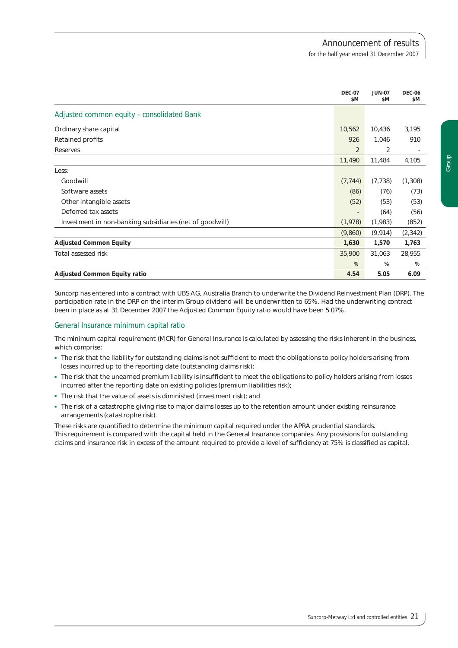for the half year ended 31 December 2007

|                                                          | <b>DEC-07</b><br>\$M | <b>JUN-07</b><br>\$M | <b>DEC-06</b><br>\$Μ |
|----------------------------------------------------------|----------------------|----------------------|----------------------|
| Adjusted common equity - consolidated Bank               |                      |                      |                      |
| Ordinary share capital                                   | 10,562               | 10,436               | 3,195                |
| Retained profits                                         | 926                  | 1,046                | 910                  |
| Reserves                                                 | $\overline{2}$       | 2                    |                      |
|                                                          | 11,490               | 11,484               | 4,105                |
| Less:                                                    |                      |                      |                      |
| Goodwill                                                 | (7, 744)             | (7, 738)             | (1,308)              |
| Software assets                                          | (86)                 | (76)                 | (73)                 |
| Other intangible assets                                  | (52)                 | (53)                 | (53)                 |
| Deferred tax assets                                      |                      | (64)                 | (56)                 |
| Investment in non-banking subsidiaries (net of goodwill) | (1,978)              | (1,983)              | (852)                |
|                                                          | (9,860)              | (9, 914)             | (2, 342)             |
| <b>Adjusted Common Equity</b>                            | 1,630                | 1,570                | 1,763                |
| <b>Total assessed risk</b>                               | 35,900               | 31,063               | 28,955               |
|                                                          | %                    | %                    | %                    |
| <b>Adjusted Common Equity ratio</b>                      | 4.54                 | 5.05                 | 6.09                 |

Suncorp has entered into a contract with UBS AG, Australia Branch to underwrite the Dividend Reinvestment Plan (DRP). The participation rate in the DRP on the interim Group dividend will be underwritten to 65%. Had the underwriting contract been in place as at 31 December 2007 the Adjusted Common Equity ratio would have been 5.07%.

### General Insurance minimum capital ratio

The minimum capital requirement (MCR) for General Insurance is calculated by assessing the risks inherent in the business, which comprise:

- The risk that the liability for outstanding claims is not sufficient to meet the obligations to policy holders arising from losses incurred up to the reporting date (outstanding claims risk);
- The risk that the unearned premium liability is insufficient to meet the obligations to policy holders arising from losses incurred after the reporting date on existing policies (premium liabilities risk);
- The risk that the value of assets is diminished (investment risk); and
- The risk of a catastrophe giving rise to major claims losses up to the retention amount under existing reinsurance arrangements (catastrophe risk).

These risks are quantified to determine the minimum capital required under the APRA prudential standards. This requirement is compared with the capital held in the General Insurance companies. Any provisions for outstanding claims and insurance risk in excess of the amount required to provide a level of sufficiency at 75% is classified as capital.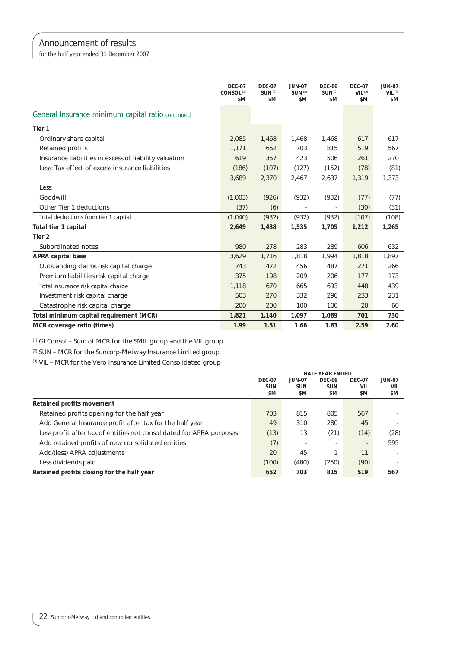for the half year ended 31 December 2007

|                                                        | <b>DEC-07</b><br>CONSOL <sup>(1)</sup><br>\$M | <b>DEC-07</b><br><b>SUN(2)</b><br>\$M | <b>JUN-07</b><br><b>SUN</b> (2)<br>\$M | <b>DEC-06</b><br><b>SUN(2)</b><br>\$M | <b>DEC-07</b><br>VIL <sup>(3)</sup><br>\$M | <b>JUN-07</b><br>VIL <sup>(3)</sup><br>\$M |
|--------------------------------------------------------|-----------------------------------------------|---------------------------------------|----------------------------------------|---------------------------------------|--------------------------------------------|--------------------------------------------|
| General Insurance minimum capital ratio continued      |                                               |                                       |                                        |                                       |                                            |                                            |
| Tier <sub>1</sub>                                      |                                               |                                       |                                        |                                       |                                            |                                            |
| Ordinary share capital                                 | 2,085                                         | 1,468                                 | 1,468                                  | 1,468                                 | 617                                        | 617                                        |
| Retained profits                                       | 1,171                                         | 652                                   | 703                                    | 815                                   | 519                                        | 567                                        |
| Insurance liabilities in excess of liability valuation | 619                                           | 357                                   | 423                                    | 506                                   | 261                                        | 270                                        |
| Less: Tax effect of excess insurance liabilities       | (186)                                         | (107)                                 | (127)                                  | (152)                                 | (78)                                       | (81)                                       |
|                                                        | 3,689                                         | 2,370                                 | 2,467                                  | 2,637                                 | 1,319                                      | 1,373                                      |
| Less:                                                  |                                               |                                       |                                        |                                       |                                            |                                            |
| Goodwill                                               | (1,003)                                       | (926)                                 | (932)                                  | (932)                                 | (77)                                       | (77)                                       |
| Other Tier 1 deductions                                | (37)                                          | (6)                                   |                                        |                                       | (30)                                       | (31)                                       |
| Total deductions from tier 1 capital                   | (1,040)                                       | (932)                                 | (932)                                  | (932)                                 | (107)                                      | (108)                                      |
| Total tier 1 capital                                   | 2,649                                         | 1,438                                 | 1,535                                  | 1,705                                 | 1,212                                      | 1,265                                      |
| Tier <sub>2</sub>                                      |                                               |                                       |                                        |                                       |                                            |                                            |
| Subordinated notes                                     | 980                                           | 278                                   | 283                                    | 289                                   | 606                                        | 632                                        |
| <b>APRA capital base</b>                               | 3,629                                         | 1,716                                 | 1,818                                  | 1,994                                 | 1,818                                      | 1,897                                      |
| Outstanding claims risk capital charge                 | 743                                           | 472                                   | 456                                    | 487                                   | 271                                        | 266                                        |
| Premium liabilities risk capital charge                | 375                                           | 198                                   | 209                                    | 206                                   | 177                                        | 173                                        |
| Total insurance risk capital charge                    | 1,118                                         | 670                                   | 665                                    | 693                                   | 448                                        | 439                                        |
| Investment risk capital charge                         | 503                                           | 270                                   | 332                                    | 296                                   | 233                                        | 231                                        |
| Catastrophe risk capital charge                        | 200                                           | 200                                   | 100                                    | 100                                   | 20                                         | 60                                         |
| Total minimum capital requirement (MCR)                | 1,821                                         | 1,140                                 | 1,097                                  | 1,089                                 | 701                                        | 730                                        |
| MCR coverage ratio (times)                             | 1.99                                          | 1.51                                  | 1.66                                   | 1.83                                  | 2.59                                       | 2.60                                       |

(1) GI Consol – Sum of MCR for the SMIL group and the VIL group

(2) SUN – MCR for the Suncorp-Metway Insurance Limited group

(3) VIL – MCR for the Vero Insurance Limited Consolidated group

|                                                                      | <b>HALF YEAR ENDED</b> |               |               |               |               |  |
|----------------------------------------------------------------------|------------------------|---------------|---------------|---------------|---------------|--|
|                                                                      | <b>DEC-07</b>          | <b>JUN-07</b> | <b>DEC-06</b> | <b>DEC-07</b> | <b>JUN-07</b> |  |
|                                                                      | <b>SUN</b>             | <b>SUN</b>    | <b>SUN</b>    | <b>VIL</b>    | VIL           |  |
|                                                                      | \$M                    | \$Μ           | \$M           | \$M           | \$M           |  |
| Retained profits movement                                            |                        |               |               |               |               |  |
| Retained profits opening for the half year                           | 703                    | 815           | 805           | 567           |               |  |
| Add General Insurance profit after tax for the half year             | 49                     | 310           | 280           | 45            |               |  |
| Less profit after tax of entities not consolidated for APRA purposes | (13)                   | 13            | (21)          | (14)          | (28)          |  |
| Add retained profits of new consolidated entities                    | (7)                    |               |               |               | 595           |  |
| Add/(less) APRA adjustments                                          | 20                     | 45            |               | 11            |               |  |
| Less dividends paid                                                  | (100)                  | (480)         | (250)         | (90)          |               |  |
| Retained profits closing for the half year                           | 652                    | 703           | 815           | 519           | 567           |  |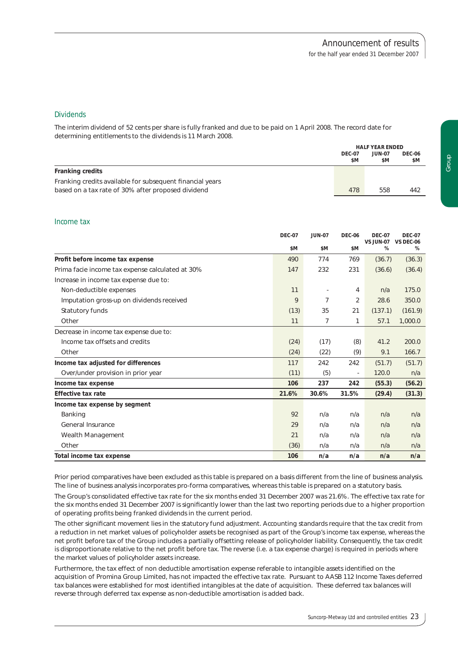## Dividends

The interim dividend of 52 cents per share is fully franked and due to be paid on 1 April 2008. The record date for determining entitlements to the dividends is 11 March 2008.

|                                                           | <b>HALF YEAR ENDED</b> |                      |                      |
|-----------------------------------------------------------|------------------------|----------------------|----------------------|
|                                                           | <b>DEC-07</b><br>\$M   | <b>JUN-07</b><br>\$M | <b>DEC-06</b><br>\$M |
| <b>Franking credits</b>                                   |                        |                      |                      |
| Franking credits available for subsequent financial years |                        |                      |                      |
| based on a tax rate of 30% after proposed dividend        | 478                    | 558                  | 442                  |

### Income tax

|                                                  | <b>DEC-07</b> | <b>JUN-07</b> | <b>DEC-06</b>            | <b>DEC-07</b><br><b>VS JUN-07</b> | <b>DEC-07</b><br>VS DEC-06 |
|--------------------------------------------------|---------------|---------------|--------------------------|-----------------------------------|----------------------------|
|                                                  | \$M           | \$M           | \$M                      | %                                 | %                          |
| Profit before income tax expense                 | 490           | 774           | 769                      | (36.7)                            | (36.3)                     |
| Prima facie income tax expense calculated at 30% | 147           | 232           | 231                      | (36.6)                            | (36.4)                     |
| Increase in income tax expense due to:           |               |               |                          |                                   |                            |
| Non-deductible expenses                          | 11            |               | 4                        | n/a                               | 175.0                      |
| Imputation gross-up on dividends received        | 9             | 7             | 2                        | 28.6                              | 350.0                      |
| Statutory funds                                  | (13)          | 35            | 21                       | (137.1)                           | (161.9)                    |
| Other                                            | 11            | 7             | 1                        | 57.1                              | 1,000.0                    |
| Decrease in income tax expense due to:           |               |               |                          |                                   |                            |
| Income tax offsets and credits                   | (24)          | (17)          | (8)                      | 41.2                              | 200.0                      |
| Other                                            | (24)          | (22)          | (9)                      | 9.1                               | 166.7                      |
| Income tax adjusted for differences              | 117           | 242           | 242                      | (51.7)                            | (51.7)                     |
| Over/under provision in prior year               | (11)          | (5)           | $\overline{\phantom{a}}$ | 120.0                             | n/a                        |
| Income tax expense                               | 106           | 237           | 242                      | (55.3)                            | (56.2)                     |
| Effective tax rate                               | 21.6%         | 30.6%         | 31.5%                    | (29.4)                            | (31.3)                     |
| Income tax expense by segment                    |               |               |                          |                                   |                            |
| Banking                                          | 92            | n/a           | n/a                      | n/a                               | n/a                        |
| General Insurance                                | 29            | n/a           | n/a                      | n/a                               | n/a                        |
| Wealth Management                                | 21            | n/a           | n/a                      | n/a                               | n/a                        |
| Other                                            | (36)          | n/a           | n/a                      | n/a                               | n/a                        |
| Total income tax expense                         | 106           | n/a           | n/a                      | n/a                               | n/a                        |

Prior period comparatives have been excluded as this table is prepared on a basis different from the line of business analysis. The line of business analysis incorporates pro-forma comparatives, whereas this table is prepared on a statutory basis.

The Group's consolidated effective tax rate for the six months ended 31 December 2007 was 21.6%. The effective tax rate for the six months ended 31 December 2007 is significantly lower than the last two reporting periods due to a higher proportion of operating profits being franked dividends in the current period.

The other significant movement lies in the statutory fund adjustment. Accounting standards require that the tax credit from a reduction in net market values of policyholder assets be recognised as part of the Group's income tax expense, whereas the net profit before tax of the Group includes a partially offsetting release of policyholder liability. Consequently, the tax credit is disproportionate relative to the net profit before tax. The reverse (i.e. a tax expense charge) is required in periods where the market values of policyholder assets increase.

Furthermore, the tax effect of non deductible amortisation expense referable to intangible assets identified on the acquisition of Promina Group Limited, has not impacted the effective tax rate. Pursuant to AASB 112 Income Taxes deferred tax balances were established for most identified intangibles at the date of acquisition. These deferred tax balances will reverse through deferred tax expense as non-deductible amortisation is added back.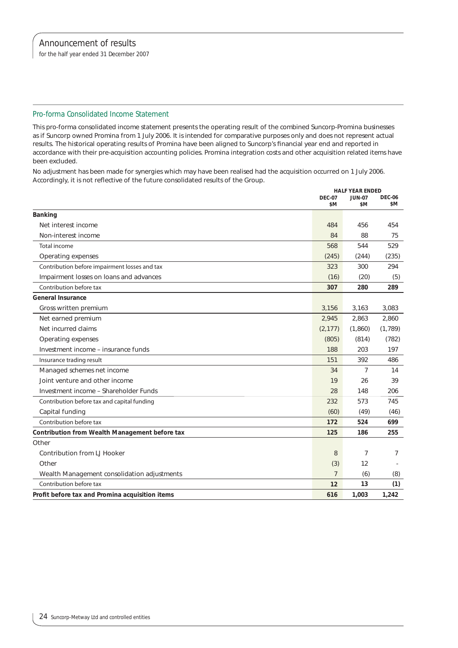for the half year ended 31 December 2007

### Pro-forma Consolidated Income Statement

This pro-forma consolidated income statement presents the operating result of the combined Suncorp-Promina businesses as if Suncorp owned Promina from 1 July 2006. It is intended for comparative purposes only and does not represent actual results. The historical operating results of Promina have been aligned to Suncorp's financial year end and reported in accordance with their pre-acquisition accounting policies. Promina integration costs and other acquisition related items have been excluded.

No adjustment has been made for synergies which may have been realised had the acquisition occurred on 1 July 2006. Accordingly, it is not reflective of the future consolidated results of the Group.

|                                                 |                      | <b>HALF YEAR ENDED</b> |                      |  |  |
|-------------------------------------------------|----------------------|------------------------|----------------------|--|--|
|                                                 | <b>DEC-07</b><br>\$M | <b>JUN-07</b><br>\$M   | <b>DEC-06</b><br>\$M |  |  |
| <b>Banking</b>                                  |                      |                        |                      |  |  |
| Net interest income                             | 484                  | 456                    | 454                  |  |  |
| Non-interest income                             | 84                   | 88                     | 75                   |  |  |
| <b>Total income</b>                             | 568                  | 544                    | 529                  |  |  |
| Operating expenses                              | (245)                | (244)                  | (235)                |  |  |
| Contribution before impairment losses and tax   | 323                  | 300                    | 294                  |  |  |
| Impairment losses on loans and advances         | (16)                 | (20)                   | (5)                  |  |  |
| Contribution before tax                         | 307                  | 280                    | 289                  |  |  |
| <b>General Insurance</b>                        |                      |                        |                      |  |  |
| Gross written premium                           | 3,156                | 3,163                  | 3,083                |  |  |
| Net earned premium                              | 2,945                | 2,863                  | 2,860                |  |  |
| Net incurred claims                             | (2, 177)             | (1,860)                | (1,789)              |  |  |
| Operating expenses                              | (805)                | (814)                  | (782)                |  |  |
| Investment income - insurance funds             | 188                  | 203                    | 197                  |  |  |
| Insurance trading result                        | 151                  | 392                    | 486                  |  |  |
| Managed schemes net income                      | 34                   | $\overline{7}$         | 14                   |  |  |
| Joint venture and other income                  | 19                   | 26                     | 39                   |  |  |
| Investment income - Shareholder Funds           | 28                   | 148                    | 206                  |  |  |
| Contribution before tax and capital funding     | 232                  | 573                    | 745                  |  |  |
| Capital funding                                 | (60)                 | (49)                   | (46)                 |  |  |
| Contribution before tax                         | 172                  | 524                    | 699                  |  |  |
| Contribution from Wealth Management before tax  | 125                  | 186                    | 255                  |  |  |
| Other                                           |                      |                        |                      |  |  |
| Contribution from LJ Hooker                     | 8                    | 7                      | 7                    |  |  |
| Other                                           | (3)                  | 12                     |                      |  |  |
| Wealth Management consolidation adjustments     | $\overline{7}$       | (6)                    | (8)                  |  |  |
| Contribution before tax                         | 12                   | 13                     | (1)                  |  |  |
| Profit before tax and Promina acquisition items | 616                  | 1,003                  | 1,242                |  |  |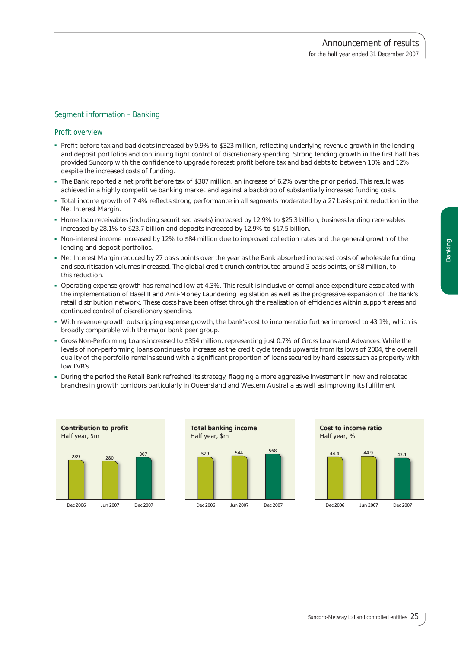## Segment information – Banking

### Profit overview

- Profit before tax and bad debts increased by 9.9% to \$323 million, reflecting underlying revenue growth in the lending and deposit portfolios and continuing tight control of discretionary spending. Strong lending growth in the first half has provided Suncorp with the confidence to upgrade forecast profit before tax and bad debts to between 10% and 12% despite the increased costs of funding.
- The Bank reported a net profit before tax of \$307 million, an increase of 6.2% over the prior period. This result was achieved in a highly competitive banking market and against a backdrop of substantially increased funding costs.
- Total income growth of 7.4% reflects strong performance in all segments moderated by a 27 basis point reduction in the Net Interest Margin.
- Home loan receivables (including securitised assets) increased by 12.9% to \$25.3 billion, business lending receivables increased by 28.1% to \$23.7 billion and deposits increased by 12.9% to \$17.5 billion.
- Non-interest income increased by 12% to \$84 million due to improved collection rates and the general growth of the lending and deposit portfolios.
- Net Interest Margin reduced by 27 basis points over the year as the Bank absorbed increased costs of wholesale funding and securitisation volumes increased. The global credit crunch contributed around 3 basis points, or \$8 million, to this reduction.
- Operating expense growth has remained low at 4.3%. This result is inclusive of compliance expenditure associated with the implementation of Basel II and Anti-Money Laundering legislation as well as the progressive expansion of the Bank's retail distribution network. These costs have been offset through the realisation of efficiencies within support areas and continued control of discretionary spending.
- With revenue growth outstripping expense growth, the bank's cost to income ratio further improved to 43.1%, which is broadly comparable with the major bank peer group.
- Gross Non-Performing Loans increased to \$354 million, representing just 0.7% of Gross Loans and Advances. While the levels of non-performing loans continues to increase as the credit cycle trends upwards from its lows of 2004, the overall quality of the portfolio remains sound with a significant proportion of loans secured by hard assets such as property with low LVR's.
- During the period the Retail Bank refreshed its strategy, flagging a more aggressive investment in new and relocated branches in growth corridors particularly in Queensland and Western Australia as well as improving its fulfilment





**Cost to income ratio** Half year, % 44.4 44.9 43.1

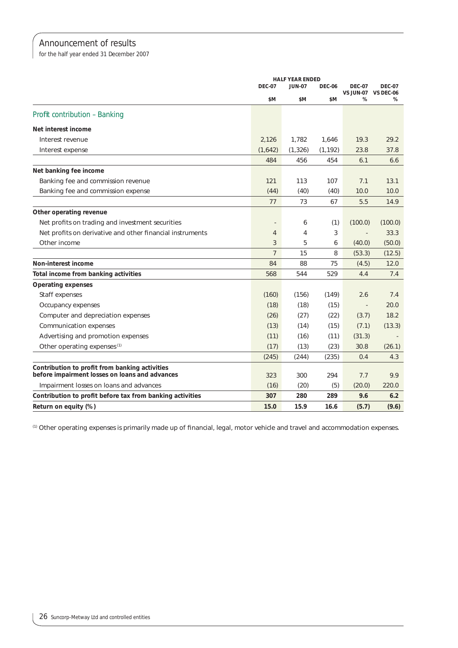for the half year ended 31 December 2007

|                                                                                                  | <b>HALF YEAR ENDED</b> |               |               |                                      |               |
|--------------------------------------------------------------------------------------------------|------------------------|---------------|---------------|--------------------------------------|---------------|
|                                                                                                  | <b>DEC-07</b>          | <b>JUN-07</b> | <b>DEC-06</b> | <b>DEC-07</b><br>VS JUN-07 VS DEC-06 | <b>DEC-07</b> |
|                                                                                                  | \$Μ                    | \$Μ           | \$M           | %                                    | ℅             |
| Profit contribution - Banking                                                                    |                        |               |               |                                      |               |
| Net interest income                                                                              |                        |               |               |                                      |               |
| Interest revenue                                                                                 | 2,126                  | 1,782         | 1,646         | 19.3                                 | 29.2          |
| Interest expense                                                                                 | (1,642)                | (1, 326)      | (1, 192)      | 23.8                                 | 37.8          |
|                                                                                                  | 484                    | 456           | 454           | 6.1                                  | 6.6           |
| Net banking fee income                                                                           |                        |               |               |                                      |               |
| Banking fee and commission revenue                                                               | 121                    | 113           | 107           | 7.1                                  | 13.1          |
| Banking fee and commission expense                                                               | (44)                   | (40)          | (40)          | 10.0                                 | 10.0          |
|                                                                                                  | 77                     | 73            | 67            | 5.5                                  | 14.9          |
| Other operating revenue                                                                          |                        |               |               |                                      |               |
| Net profits on trading and investment securities                                                 |                        | 6             | (1)           | (100.0)                              | (100.0)       |
| Net profits on derivative and other financial instruments                                        | $\overline{4}$         | 4             | 3             | $\overline{\phantom{a}}$             | 33.3          |
| Other income                                                                                     | 3                      | 5             | 6             | (40.0)                               | (50.0)        |
|                                                                                                  | $\overline{7}$         | 15            | 8             | (53.3)                               | (12.5)        |
| Non-interest income                                                                              | 84                     | 88            | 75            | (4.5)                                | 12.0          |
| Total income from banking activities                                                             | 568                    | 544           | 529           | 4.4                                  | 7.4           |
| <b>Operating expenses</b>                                                                        |                        |               |               |                                      |               |
| Staff expenses                                                                                   | (160)                  | (156)         | (149)         | 2.6                                  | 7.4           |
| Occupancy expenses                                                                               | (18)                   | (18)          | (15)          | $\overline{\phantom{a}}$             | 20.0          |
| Computer and depreciation expenses                                                               | (26)                   | (27)          | (22)          | (3.7)                                | 18.2          |
| Communication expenses                                                                           | (13)                   | (14)          | (15)          | (7.1)                                | (13.3)        |
| Advertising and promotion expenses                                                               | (11)                   | (16)          | (11)          | (31.3)                               |               |
| Other operating expenses <sup>(1)</sup>                                                          | (17)                   | (13)          | (23)          | 30.8                                 | (26.1)        |
|                                                                                                  | (245)                  | (244)         | (235)         | 0.4                                  | 4.3           |
| Contribution to profit from banking activities<br>before impairment losses on loans and advances | 323                    | 300           | 294           | 7.7                                  | 9.9           |
| Impairment losses on loans and advances                                                          | (16)                   | (20)          | (5)           | (20.0)                               | 220.0         |
| Contribution to profit before tax from banking activities                                        | 307                    | 280           | 289           | 9.6                                  | 6.2           |
| Return on equity (%)                                                                             | 15.0                   | 15.9          | 16.6          | (5.7)                                | (9.6)         |

(1) Other operating expenses is primarily made up of financial, legal, motor vehicle and travel and accommodation expenses.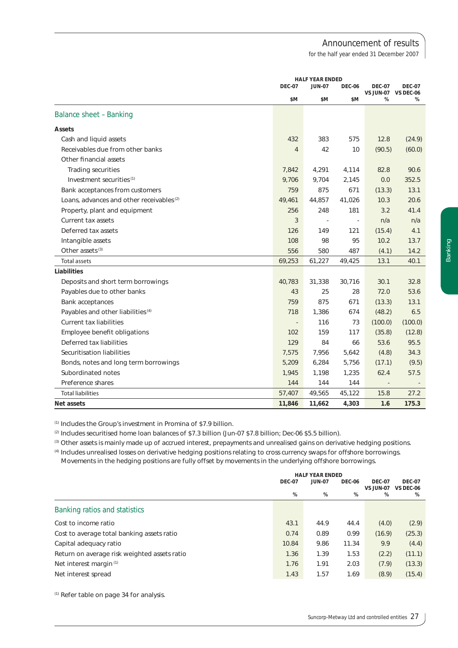for the half year ended 31 December 2007

|                                                      |                          | <b>HALF YEAR ENDED</b> |                          |                          |                          |
|------------------------------------------------------|--------------------------|------------------------|--------------------------|--------------------------|--------------------------|
|                                                      | <b>DEC-07</b>            | <b>JUN-07</b>          | <b>DEC-06</b>            | <b>DEC-07</b>            | <b>DEC-07</b>            |
|                                                      | \$M                      | \$M                    | \$M                      | %                        | VS JUN-07 VS DEC-06<br>% |
| <b>Balance sheet - Banking</b>                       |                          |                        |                          |                          |                          |
| <b>Assets</b>                                        |                          |                        |                          |                          |                          |
| Cash and liquid assets                               | 432                      | 383                    | 575                      | 12.8                     | (24.9)                   |
| Receivables due from other banks                     | $\overline{4}$           | 42                     | 10                       | (90.5)                   | (60.0)                   |
| Other financial assets                               |                          |                        |                          |                          |                          |
| <b>Trading securities</b>                            | 7,842                    | 4,291                  | 4,114                    | 82.8                     | 90.6                     |
| Investment securities <sup>(1)</sup>                 | 9,706                    | 9,704                  | 2,145                    | 0.0                      | 352.5                    |
| Bank acceptances from customers                      | 759                      | 875                    | 671                      | (13.3)                   | 13.1                     |
| Loans, advances and other receivables <sup>(2)</sup> | 49,461                   | 44,857                 | 41,026                   | 10.3                     | 20.6                     |
| Property, plant and equipment                        | 256                      | 248                    | 181                      | 3.2                      | 41.4                     |
| Current tax assets                                   | 3                        |                        | $\overline{\phantom{a}}$ | n/a                      | n/a                      |
| Deferred tax assets                                  | 126                      | 149                    | 121                      | (15.4)                   | 4.1                      |
| Intangible assets                                    | 108                      | 98                     | 95                       | 10.2                     | 13.7                     |
| Other assets <sup>(3)</sup>                          | 556                      | 580                    | 487                      | (4.1)                    | 14.2                     |
| <b>Total assets</b>                                  | 69,253                   | 61,227                 | 49,425                   | 13.1                     | 40.1                     |
| Liabilities                                          |                          |                        |                          |                          |                          |
| Deposits and short term borrowings                   | 40,783                   | 31,338                 | 30,716                   | 30.1                     | 32.8                     |
| Payables due to other banks                          | 43                       | 25                     | 28                       | 72.0                     | 53.6                     |
| <b>Bank acceptances</b>                              | 759                      | 875                    | 671                      | (13.3)                   | 13.1                     |
| Payables and other liabilities <sup>(4)</sup>        | 718                      | 1,386                  | 674                      | (48.2)                   | 6.5                      |
| Current tax liabilities                              | $\overline{\phantom{a}}$ | 116                    | 73                       | (100.0)                  | (100.0)                  |
| Employee benefit obligations                         | 102                      | 159                    | 117                      | (35.8)                   | (12.8)                   |
| Deferred tax liabilities                             | 129                      | 84                     | 66                       | 53.6                     | 95.5                     |
| Securitisation liabilities                           | 7,575                    | 7,956                  | 5,642                    | (4.8)                    | 34.3                     |
| Bonds, notes and long term borrowings                | 5,209                    | 6,284                  | 5,756                    | (17.1)                   | (9.5)                    |
| Subordinated notes                                   | 1,945                    | 1,198                  | 1,235                    | 62.4                     | 57.5                     |
| Preference shares                                    | 144                      | 144                    | 144                      | $\overline{\phantom{a}}$ |                          |
| <b>Total liabilities</b>                             | 57,407                   | 49,565                 | 45,122                   | 15.8                     | 27.2                     |
| Net assets                                           | 11,846                   | 11,662                 | 4,303                    | 1.6                      | 175.3                    |

(1) Includes the Group's investment in Promina of \$7.9 billion.

(2) Includes securitised home loan balances of \$7.3 billion (Jun-07 \$7.8 billion; Dec-06 \$5.5 billion).

(3) Other assets is mainly made up of accrued interest, prepayments and unrealised gains on derivative hedging positions.

(4) Includes unrealised losses on derivative hedging positions relating to cross currency swaps for offshore borrowings. Movements in the hedging positions are fully offset by movements in the underlying offshore borrowings.

|                                              | <b>HALF YEAR ENDED</b> |               |               |                                   |                            |
|----------------------------------------------|------------------------|---------------|---------------|-----------------------------------|----------------------------|
|                                              | <b>DEC-07</b>          | <b>JUN-07</b> | <b>DEC-06</b> | <b>DEC-07</b><br><b>VS JUN-07</b> | <b>DEC-07</b><br>VS DEC-06 |
|                                              | %                      | %             | %             | %                                 | %                          |
| Banking ratios and statistics                |                        |               |               |                                   |                            |
| Cost to income ratio                         | 43.1                   | 44.9          | 44.4          | (4.0)                             | (2.9)                      |
| Cost to average total banking assets ratio   | 0.74                   | 0.89          | 0.99          | (16.9)                            | (25.3)                     |
| Capital adequacy ratio                       | 10.84                  | 9.86          | 11.34         | 9.9                               | (4.4)                      |
| Return on average risk weighted assets ratio | 1.36                   | 1.39          | 1.53          | (2.2)                             | (11.1)                     |
| Net interest margin $(1)$                    | 1.76                   | 1.91          | 2.03          | (7.9)                             | (13.3)                     |
| Net interest spread                          | 1.43                   | 1.57          | 1.69          | (8.9)                             | (15.4)                     |

(1) Refer table on page 34 for analysis.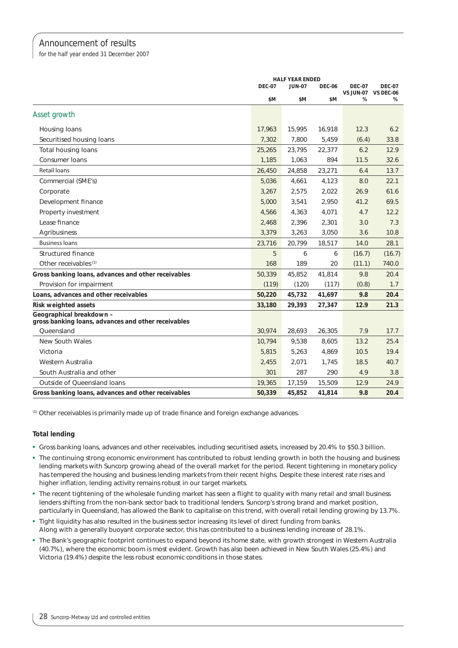for the half year ended 31 December 2007

|                                                                                 |               | <b>HALF YEAR ENDED</b> |               |                                      |               |
|---------------------------------------------------------------------------------|---------------|------------------------|---------------|--------------------------------------|---------------|
|                                                                                 | <b>DEC-07</b> | <b>JUN-07</b>          | <b>DEC-06</b> | <b>DEC-07</b><br>VS JUN-07 VS DEC-06 | <b>DEC-07</b> |
|                                                                                 | \$M           | \$M                    | \$M           | %                                    | %             |
| Asset growth                                                                    |               |                        |               |                                      |               |
| Housing loans                                                                   | 17,963        | 15,995                 | 16,918        | 12.3                                 | 6.2           |
| Securitised housing loans                                                       | 7,302         | 7,800                  | 5,459         | (6.4)                                | 33.8          |
| <b>Total housing loans</b>                                                      | 25,265        | 23,795                 | 22,377        | 6.2                                  | 12.9          |
| Consumer Joans                                                                  | 1,185         | 1,063                  | 894           | 11.5                                 | 32.6          |
| <b>Retail loans</b>                                                             | 26,450        | 24,858                 | 23,271        | 6.4                                  | 13.7          |
| Commercial (SME's)                                                              | 5,036         | 4,661                  | 4,123         | 8.0                                  | 22.1          |
| Corporate                                                                       | 3,267         | 2,575                  | 2,022         | 26.9                                 | 61.6          |
| Development finance                                                             | 5,000         | 3,541                  | 2,950         | 41.2                                 | 69.5          |
| Property investment                                                             | 4,566         | 4,363                  | 4,071         | 4.7                                  | 12.2          |
| Lease finance                                                                   | 2,468         | 2,396                  | 2,301         | 3.0                                  | 7.3           |
| Agribusiness                                                                    | 3,379         | 3,263                  | 3,050         | 3.6                                  | 10.8          |
| <b>Business loans</b>                                                           | 23,716        | 20,799                 | 18,517        | 14.0                                 | 28.1          |
| <b>Structured finance</b>                                                       | 5             | 6                      | 6             | (16.7)                               | (16.7)        |
| Other receivables <sup>(1)</sup>                                                | 168           | 189                    | 20            | (11.1)                               | 740.0         |
| Gross banking loans, advances and other receivables                             | 50,339        | 45,852                 | 41,814        | 9.8                                  | 20.4          |
| Provision for impairment                                                        | (119)         | (120)                  | (117)         | (0.8)                                | 1.7           |
| Loans, advances and other receivables                                           | 50,220        | 45,732                 | 41,697        | 9.8                                  | 20.4          |
| <b>Risk weighted assets</b>                                                     | 33,180        | 29,393                 | 27,347        | 12.9                                 | 21.3          |
| Geographical breakdown -<br>gross banking loans, advances and other receivables |               |                        |               |                                      |               |
| Queensland                                                                      | 30,974        | 28,693                 | 26,305        | 7.9                                  | 17.7          |
| New South Wales                                                                 | 10,794        | 9,538                  | 8.605         | 13.2                                 | 25.4          |
| Victoria                                                                        | 5,815         | 5,263                  | 4,869         | 10.5                                 | 19.4          |
| Western Australia                                                               | 2,455         | 2,071                  | 1,745         | 18.5                                 | 40.7          |
| South Australia and other                                                       | 301           | 287                    | 290           | 4.9                                  | 3.8           |
| Outside of Queensland Joans                                                     | 19,365        | 17,159                 | 15,509        | 12.9                                 | 24.9          |
| Gross banking loans, advances and other receivables                             | 50,339        | 45,852                 | 41,814        | 9.8                                  | 20.4          |

(1) Other receivables is primarily made up of trade finance and foreign exchange advances.

## **Total lending**

- Gross banking loans, advances and other receivables, including securitised assets, increased by 20.4% to \$50.3 billion.
- The continuing strong economic environment has contributed to robust lending growth in both the housing and business lending markets with Suncorp growing ahead of the overall market for the period. Recent tightening in monetary policy has tempered the housing and business lending markets from their recent highs. Despite these interest rate rises and higher inflation, lending activity remains robust in our target markets.
- The recent tightening of the wholesale funding market has seen a flight to quality with many retail and small business lenders shifting from the non-bank sector back to traditional lenders. Suncorp's strong brand and market position, particularly in Queensland, has allowed the Bank to capitalise on this trend, with overall retail lending growing by 13.7%.
- Tight liquidity has also resulted in the business sector increasing its level of direct funding from banks. Along with a generally buoyant corporate sector, this has contributed to a business lending increase of 28.1%.
- The Bank's geographic footprint continues to expand beyond its home state, with growth strongest in Western Australia (40.7%), where the economic boom is most evident. Growth has also been achieved in New South Wales (25.4%) and Victoria (19.4%) despite the less robust economic conditions in those states.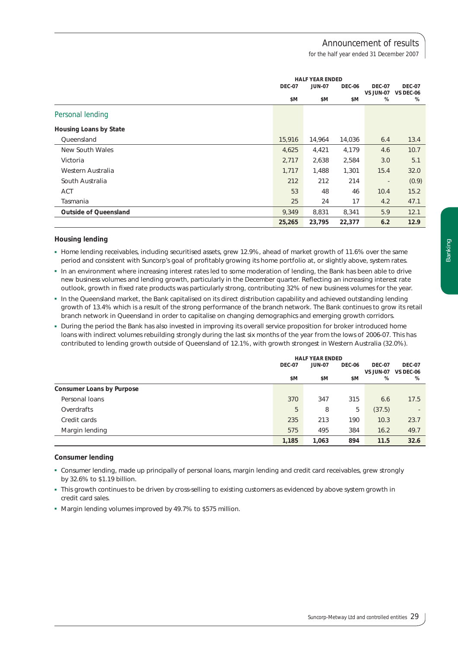for the half year ended 31 December 2007

|                               | <b>HALF YEAR ENDED</b> |               |               |                          |                |
|-------------------------------|------------------------|---------------|---------------|--------------------------|----------------|
|                               | <b>DEC-07</b>          | <b>JUN-07</b> | <b>DEC-06</b> | <b>DEC-07</b>            | <b>DEC-07</b>  |
|                               | \$M                    | \$M           | \$M           | <b>VS JUN-07</b><br>%    | VS DEC-06<br>% |
| Personal lending              |                        |               |               |                          |                |
| <b>Housing Loans by State</b> |                        |               |               |                          |                |
| Queensland                    | 15,916                 | 14,964        | 14,036        | 6.4                      | 13.4           |
| New South Wales               | 4,625                  | 4,421         | 4,179         | 4.6                      | 10.7           |
| Victoria                      | 2,717                  | 2,638         | 2,584         | 3.0                      | 5.1            |
| Western Australia             | 1,717                  | 1,488         | 1,301         | 15.4                     | 32.0           |
| South Australia               | 212                    | 212           | 214           | $\overline{\phantom{a}}$ | (0.9)          |
| <b>ACT</b>                    | 53                     | 48            | 46            | 10.4                     | 15.2           |
| Tasmania                      | 25                     | 24            | 17            | 4.2                      | 47.1           |
| <b>Outside of Queensland</b>  | 9,349                  | 8,831         | 8,341         | 5.9                      | 12.1           |
|                               | 25,265                 | 23,795        | 22,377        | 6.2                      | 12.9           |

### **Housing lending**

- Home lending receivables, including securitised assets, grew 12.9%, ahead of market growth of 11.6% over the same period and consistent with Suncorp's goal of profitably growing its home portfolio at, or slightly above, system rates.
- In an environment where increasing interest rates led to some moderation of lending, the Bank has been able to drive new business volumes and lending growth, particularly in the December quarter. Reflecting an increasing interest rate outlook, growth in fixed rate products was particularly strong, contributing 32% of new business volumes for the year.
- In the Queensland market, the Bank capitalised on its direct distribution capability and achieved outstanding lending growth of 13.4% which is a result of the strong performance of the branch network. The Bank continues to grow its retail branch network in Queensland in order to capitalise on changing demographics and emerging growth corridors.
- During the period the Bank has also invested in improving its overall service proposition for broker introduced home loans with indirect volumes rebuilding strongly during the last six months of the year from the lows of 2006-07. This has contributed to lending growth outside of Queensland of 12.1%, with growth strongest in Western Australia (32.0%).

|                                  |               | <b>HALF YEAR ENDED</b> |        |                                   |                            |
|----------------------------------|---------------|------------------------|--------|-----------------------------------|----------------------------|
|                                  | <b>DEC-07</b> | <b>JUN-07</b>          | DEC-06 | <b>DEC-07</b><br><b>VS JUN-07</b> | <b>DEC-07</b><br>VS DEC-06 |
|                                  | \$M           | \$M                    | \$M    | %                                 | %                          |
| <b>Consumer Loans by Purpose</b> |               |                        |        |                                   |                            |
| Personal loans                   | 370           | 347                    | 315    | 6.6                               | 17.5                       |
| Overdrafts                       | 5             | 8                      | 5      | (37.5)                            | $\overline{\phantom{a}}$   |
| Credit cards                     | 235           | 213                    | 190    | 10.3                              | 23.7                       |
| Margin lending                   | 575           | 495                    | 384    | 16.2                              | 49.7                       |
|                                  | 1,185         | 1.063                  | 894    | 11.5                              | 32.6                       |

### **Consumer lending**

- Consumer lending, made up principally of personal loans, margin lending and credit card receivables, grew strongly by 32.6% to \$1.19 billion.
- This growth continues to be driven by cross-selling to existing customers as evidenced by above system growth in credit card sales.
- Margin lending volumes improved by 49.7% to \$575 million.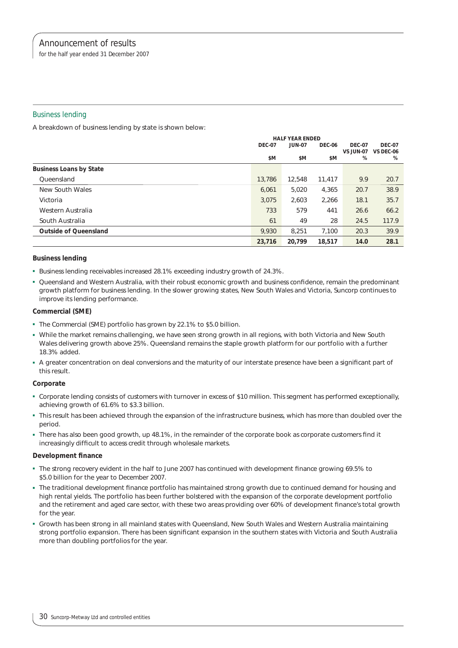for the half year ended 31 December 2007

## Business lending

A breakdown of business lending by state is shown below:

|                                | <b>HALF YEAR ENDED</b> |               |               |               |               |
|--------------------------------|------------------------|---------------|---------------|---------------|---------------|
|                                | <b>DEC-07</b>          | <b>JUN-07</b> | <b>DEC-06</b> | <b>DEC-07</b> | <b>DEC-07</b> |
|                                |                        |               |               | VS JUN-07     | VS DEC-06     |
|                                | \$M                    | \$M           | \$M           | %             | %             |
| <b>Business Loans by State</b> |                        |               |               |               |               |
| Queensland                     | 13,786                 | 12,548        | 11.417        | 9.9           | 20.7          |
| New South Wales                | 6,061                  | 5,020         | 4,365         | 20.7          | 38.9          |
| Victoria                       | 3,075                  | 2,603         | 2,266         | 18.1          | 35.7          |
| Western Australia              | 733                    | 579           | 441           | 26.6          | 66.2          |
| South Australia                | 61                     | 49            | 28            | 24.5          | 117.9         |
| <b>Outside of Queensland</b>   | 9.930                  | 8.251         | 7.100         | 20.3          | 39.9          |
|                                | 23.716                 | 20.799        | 18,517        | 14.0          | 28.1          |

### **Business lending**

- Business lending receivables increased 28.1% exceeding industry growth of 24.3%.
- Queensland and Western Australia, with their robust economic growth and business confidence, remain the predominant growth platform for business lending. In the slower growing states, New South Wales and Victoria, Suncorp continues to improve its lending performance.

### **Commercial (SME)**

- The Commercial (SME) portfolio has grown by 22.1% to \$5.0 billion.
- While the market remains challenging, we have seen strong growth in all regions, with both Victoria and New South Wales delivering growth above 25%. Queensland remains the staple growth platform for our portfolio with a further 18.3% added.
- A greater concentration on deal conversions and the maturity of our interstate presence have been a significant part of this result.

### **Corporate**

- Corporate lending consists of customers with turnover in excess of \$10 million. This segment has performed exceptionally, achieving growth of 61.6% to \$3.3 billion.
- This result has been achieved through the expansion of the infrastructure business, which has more than doubled over the period.
- There has also been good growth, up 48.1%, in the remainder of the corporate book as corporate customers find it increasingly difficult to access credit through wholesale markets.

### **Development finance**

- The strong recovery evident in the half to June 2007 has continued with development finance growing 69.5% to \$5.0 billion for the year to December 2007.
- . The traditional development finance portfolio has maintained strong growth due to continued demand for housing and high rental yields. The portfolio has been further bolstered with the expansion of the corporate development portfolio and the retirement and aged care sector, with these two areas providing over 60% of development finance's total growth for the year.
- Growth has been strong in all mainland states with Queensland, New South Wales and Western Australia maintaining strong portfolio expansion. There has been significant expansion in the southern states with Victoria and South Australia more than doubling portfolios for the year.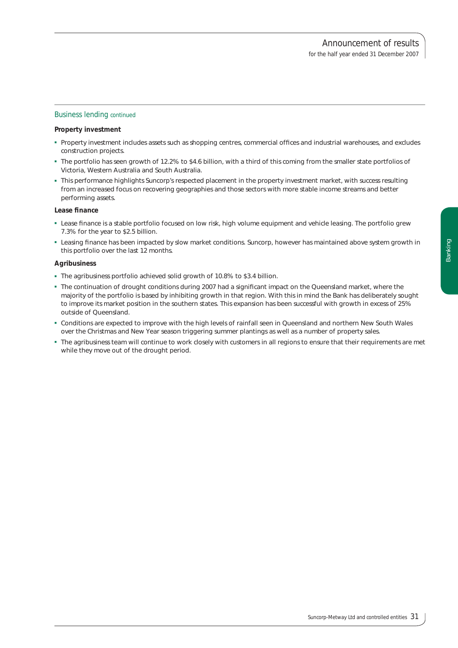### Business lending continued

### **Property investment**

- Property investment includes assets such as shopping centres, commercial offices and industrial warehouses, and excludes construction projects.
- The portfolio has seen growth of 12.2% to \$4.6 billion, with a third of this coming from the smaller state portfolios of Victoria, Western Australia and South Australia.
- This performance highlights Suncorp's respected placement in the property investment market, with success resulting from an increased focus on recovering geographies and those sectors with more stable income streams and better performing assets.

#### **Lease finance**

- Lease finance is a stable portfolio focused on low risk, high volume equipment and vehicle leasing. The portfolio grew 7.3% for the year to \$2.5 billion.
- Leasing finance has been impacted by slow market conditions. Suncorp, however has maintained above system growth in this portfolio over the last 12 months.

### **Agribusiness**

- The agribusiness portfolio achieved solid growth of 10.8% to \$3.4 billion.
- The continuation of drought conditions during 2007 had a significant impact on the Queensland market, where the majority of the portfolio is based by inhibiting growth in that region. With this in mind the Bank has deliberately sought to improve its market position in the southern states. This expansion has been successful with growth in excess of 25% outside of Queensland.
- Conditions are expected to improve with the high levels of rainfall seen in Queensland and northern New South Wales over the Christmas and New Year season triggering summer plantings as well as a number of property sales.
- The agribusiness team will continue to work closely with customers in all regions to ensure that their requirements are met while they move out of the drought period.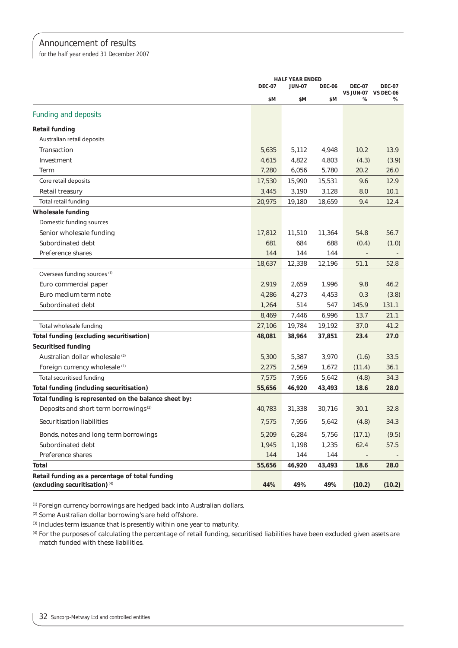for the half year ended 31 December 2007

|                                                       |               | <b>HALF YEAR ENDED</b> |               |                            |                            |
|-------------------------------------------------------|---------------|------------------------|---------------|----------------------------|----------------------------|
|                                                       | <b>DEC-07</b> | <b>JUN-07</b>          | <b>DEC-06</b> | <b>DEC-07</b><br>VS JUN-07 | <b>DEC-07</b><br>VS DEC-06 |
|                                                       | \$Μ           | \$Μ                    | \$Μ           | %                          | %                          |
| <b>Funding and deposits</b>                           |               |                        |               |                            |                            |
| <b>Retail funding</b>                                 |               |                        |               |                            |                            |
| Australian retail deposits                            |               |                        |               |                            |                            |
| Transaction                                           | 5,635         | 5,112                  | 4,948         | 10.2                       | 13.9                       |
| Investment                                            | 4,615         | 4,822                  | 4,803         | (4.3)                      | (3.9)                      |
| Term                                                  | 7,280         | 6,056                  | 5,780         | 20.2                       | 26.0                       |
| Core retail deposits                                  | 17,530        | 15,990                 | 15,531        | 9.6                        | 12.9                       |
| Retail treasury                                       | 3,445         | 3,190                  | 3,128         | 8.0                        | 10.1                       |
| Total retail funding                                  | 20,975        | 19,180                 | 18,659        | 9.4                        | 12.4                       |
| <b>Wholesale funding</b>                              |               |                        |               |                            |                            |
| Domestic funding sources                              |               |                        |               |                            |                            |
| Senior wholesale funding                              | 17,812        | 11,510                 | 11,364        | 54.8                       | 56.7                       |
| Subordinated debt                                     | 681           | 684                    | 688           | (0.4)                      | (1.0)                      |
| Preference shares                                     | 144           | 144                    | 144           |                            |                            |
|                                                       | 18,637        | 12,338                 | 12,196        | 51.1                       | 52.8                       |
| Overseas funding sources <sup>(1)</sup>               |               |                        |               |                            |                            |
| Euro commercial paper                                 | 2,919         | 2,659                  | 1,996         | 9.8                        | 46.2                       |
| Euro medium term note                                 | 4,286         | 4,273                  | 4,453         | 0.3                        | (3.8)                      |
| Subordinated debt                                     | 1,264         | 514                    | 547           | 145.9                      | 131.1                      |
|                                                       | 8,469         | 7,446                  | 6,996         | 13.7                       | 21.1                       |
| Total wholesale funding                               | 27,106        | 19,784                 | 19,192        | 37.0                       | 41.2                       |
| Total funding (excluding securitisation)              | 48,081        | 38,964                 | 37,851        | 23.4                       | 27.0                       |
| <b>Securitised funding</b>                            |               |                        |               |                            |                            |
| Australian dollar wholesale <sup>(2)</sup>            | 5,300         | 5,387                  | 3,970         | (1.6)                      | 33.5                       |
| Foreign currency wholesale (1)                        | 2,275         | 2,569                  | 1,672         | (11.4)                     | 36.1                       |
| Total securitised funding                             | 7,575         | 7,956                  | 5,642         | (4.8)                      | 34.3                       |
| Total funding (including securitisation)              | 55,656        | 46,920                 | 43,493        | 18.6                       | 28.0                       |
| Total funding is represented on the balance sheet by: |               |                        |               |                            |                            |
| Deposits and short term borrowings <sup>(3)</sup>     | 40,783        | 31,338                 | 30,716        | 30.1                       | 32.8                       |
| Securitisation liabilities                            | 7,575         | 7,956                  | 5,642         | (4.8)                      | 34.3                       |
| Bonds, notes and long term borrowings                 | 5,209         | 6,284                  | 5,756         | (17.1)                     | (9.5)                      |
| Subordinated debt                                     | 1,945         | 1,198                  | 1,235         | 62.4                       | 57.5                       |
| Preference shares                                     | 144           | 144                    | 144           |                            |                            |
| Total                                                 | 55,656        | 46,920                 | 43,493        | 18.6                       | 28.0                       |
| Retail funding as a percentage of total funding       |               |                        |               |                            |                            |
| (excluding securitisation) <sup>(4)</sup>             | 44%           | 49%                    | 49%           | (10.2)                     | (10.2)                     |

(1) Foreign currency borrowings are hedged back into Australian dollars.

(2) Some Australian dollar borrowing's are held offshore.

(3) Includes term issuance that is presently within one year to maturity.

(4) For the purposes of calculating the percentage of retail funding, securitised liabilities have been excluded given assets are match funded with these liabilities.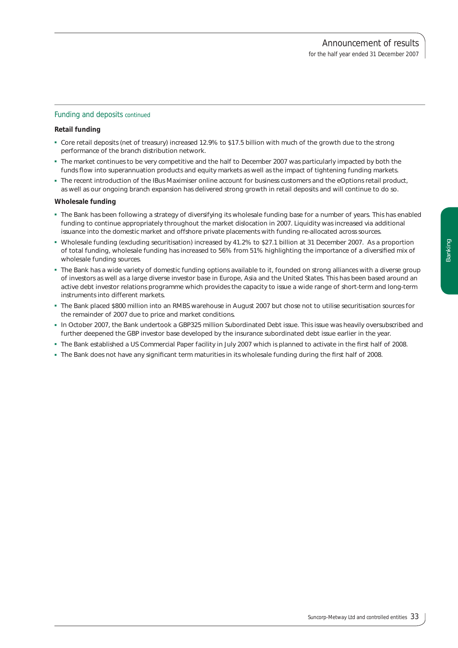### Funding and deposits continued

## **Retail funding**

- Core retail deposits (net of treasury) increased 12.9% to \$17.5 billion with much of the growth due to the strong performance of the branch distribution network.
- The market continues to be very competitive and the half to December 2007 was particularly impacted by both the funds flow into superannuation products and equity markets as well as the impact of tightening funding markets.
- The recent introduction of the IBus Maximiser online account for business customers and the eOptions retail product, as well as our ongoing branch expansion has delivered strong growth in retail deposits and will continue to do so.

### **Wholesale funding**

- The Bank has been following a strategy of diversifying its wholesale funding base for a number of years. This has enabled funding to continue appropriately throughout the market dislocation in 2007. Liquidity was increased via additional issuance into the domestic market and offshore private placements with funding re-allocated across sources.
- Wholesale funding (excluding securitisation) increased by 41.2% to \$27.1 billion at 31 December 2007. As a proportion of total funding, wholesale funding has increased to 56% from 51% highlighting the importance of a diversified mix of wholesale funding sources.
- The Bank has a wide variety of domestic funding options available to it, founded on strong alliances with a diverse group of investors as well as a large diverse investor base in Europe, Asia and the United States. This has been based around an active debt investor relations programme which provides the capacity to issue a wide range of short-term and long-term instruments into different markets.
- The Bank placed \$800 million into an RMBS warehouse in August 2007 but chose not to utilise securitisation sources for the remainder of 2007 due to price and market conditions.
- In October 2007, the Bank undertook a GBP325 million Subordinated Debt issue. This issue was heavily oversubscribed and further deepened the GBP investor base developed by the insurance subordinated debt issue earlier in the year.
- The Bank established a US Commercial Paper facility in July 2007 which is planned to activate in the first half of 2008.
- The Bank does not have any significant term maturities in its wholesale funding during the first half of 2008.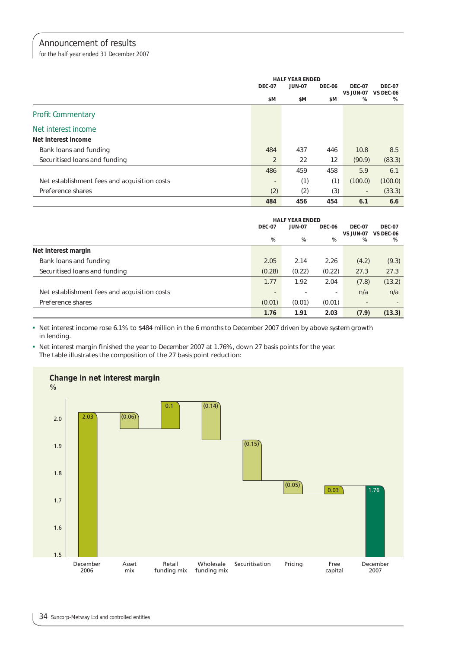for the half year ended 31 December 2007

|                                              | <b>HALF YEAR ENDED</b>   |               |               |                          |                |
|----------------------------------------------|--------------------------|---------------|---------------|--------------------------|----------------|
|                                              | <b>DEC-07</b>            | <b>JUN-07</b> | <b>DEC-06</b> | <b>DEC-07</b>            | <b>DEC-07</b>  |
|                                              | \$M                      | \$M           | \$M           | VS JUN-07<br>%           | VS DEC-06<br>% |
| <b>Profit Commentary</b>                     |                          |               |               |                          |                |
| Net interest income                          |                          |               |               |                          |                |
| Net interest income                          |                          |               |               |                          |                |
| Bank loans and funding                       | 484                      | 437           | 446           | 10.8                     | 8.5            |
| Securitised loans and funding                | $\overline{2}$           | 22            | 12            | (90.9)                   | (83.3)         |
|                                              | 486                      | 459           | 458           | 5.9                      | 6.1            |
| Net establishment fees and acquisition costs | $\overline{\phantom{a}}$ | (1)           | (1)           | (100.0)                  | (100.0)        |
| Preference shares                            | (2)                      | (2)           | (3)           | $\overline{\phantom{a}}$ | (33.3)         |
|                                              | 484                      | 456           | 454           | 6.1                      | 6.6            |

|                                              | <b>HALF YEAR ENDED</b>   |               |                          |                            |                            |
|----------------------------------------------|--------------------------|---------------|--------------------------|----------------------------|----------------------------|
|                                              | <b>DEC-07</b>            | <b>JUN-07</b> | <b>DEC-06</b>            | <b>DEC-07</b><br>VS JUN-07 | <b>DEC-07</b><br>VS DEC-06 |
|                                              | %                        | %             | %                        | %                          | %                          |
| Net interest margin                          |                          |               |                          |                            |                            |
| Bank loans and funding                       | 2.05                     | 2.14          | 2.26                     | (4.2)                      | (9.3)                      |
| Securitised loans and funding                | (0.28)                   | (0.22)        | (0.22)                   | 27.3                       | 27.3                       |
|                                              | 1.77                     | 1.92          | 2.04                     | (7.8)                      | (13.2)                     |
| Net establishment fees and acquisition costs | $\overline{\phantom{0}}$ |               | $\overline{\phantom{a}}$ | n/a                        | n/a                        |
| Preference shares                            | (0.01)                   | (0.01)        | (0.01)                   | $\overline{\phantom{0}}$   | $\overline{\phantom{a}}$   |
|                                              | 1.76                     | 1.91          | 2.03                     | (7.9)                      | (13.3)                     |

 Net interest income rose 6.1% to \$484 million in the 6 months to December 2007 driven by above system growth in lending.

- Net interest margin finished the year to December 2007 at 1.76%, down 27 basis points for the year. The table illustrates the composition of the 27 basis point reduction:

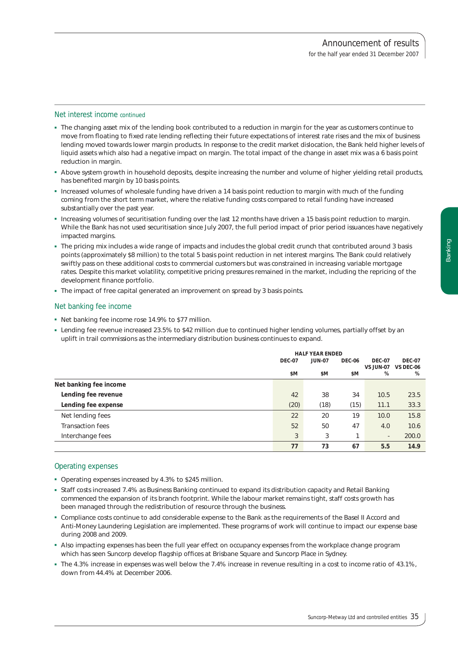### Net interest income continued

- The changing asset mix of the lending book contributed to a reduction in margin for the year as customers continue to move from floating to fixed rate lending reflecting their future expectations of interest rate rises and the mix of business lending moved towards lower margin products. In response to the credit market dislocation, the Bank held higher levels of liquid assets which also had a negative impact on margin. The total impact of the change in asset mix was a 6 basis point reduction in margin.
- Above system growth in household deposits, despite increasing the number and volume of higher yielding retail products, has benefited margin by 10 basis points.
- Increased volumes of wholesale funding have driven a 14 basis point reduction to margin with much of the funding coming from the short term market, where the relative funding costs compared to retail funding have increased substantially over the past year.
- Increasing volumes of securitisation funding over the last 12 months have driven a 15 basis point reduction to margin. While the Bank has not used securitisation since July 2007, the full period impact of prior period issuances have negatively impacted margins.
- The pricing mix includes a wide range of impacts and includes the global credit crunch that contributed around 3 basis points (approximately \$8 million) to the total 5 basis point reduction in net interest margins. The Bank could relatively swiftly pass on these additional costs to commercial customers but was constrained in increasing variable mortgage rates. Despite this market volatility, competitive pricing pressures remained in the market, including the repricing of the development finance portfolio.
- The impact of free capital generated an improvement on spread by 3 basis points.

## Net banking fee income

- Net banking fee income rose 14.9% to \$77 million.
- Lending fee revenue increased 23.5% to \$42 million due to continued higher lending volumes, partially offset by an uplift in trail commissions as the intermediary distribution business continues to expand.

|                         |               | <b>HALF YEAR ENDED</b> |               |                                   |                            |
|-------------------------|---------------|------------------------|---------------|-----------------------------------|----------------------------|
|                         | <b>DEC-07</b> | <b>JUN-07</b>          | <b>DEC-06</b> | <b>DEC-07</b><br><b>VS JUN-07</b> | <b>DEC-07</b><br>VS DEC-06 |
|                         | \$M           | \$Μ                    | \$M           | %                                 | %                          |
| Net banking fee income  |               |                        |               |                                   |                            |
| Lending fee revenue     | 42            | 38                     | 34            | 10.5                              | 23.5                       |
| Lending fee expense     | (20)          | (18)                   | (15)          | 11.1                              | 33.3                       |
| Net lending fees        | 22            | 20                     | 19            | 10.0                              | 15.8                       |
| <b>Transaction fees</b> | 52            | 50                     | 47            | 4.0                               | 10.6                       |
| Interchange fees        | 3             | 3                      | 1             | $\overline{\phantom{a}}$          | 200.0                      |
|                         | 77            | 73                     | 67            | 5.5                               | 14.9                       |

## Operating expenses

- Operating expenses increased by 4.3% to \$245 million.
- Staff costs increased 7.4% as Business Banking continued to expand its distribution capacity and Retail Banking commenced the expansion of its branch footprint. While the labour market remains tight, staff costs growth has been managed through the redistribution of resource through the business.
- Compliance costs continue to add considerable expense to the Bank as the requirements of the Basel II Accord and Anti-Money Laundering Legislation are implemented. These programs of work will continue to impact our expense base during 2008 and 2009.
- Also impacting expenses has been the full year effect on occupancy expenses from the workplace change program which has seen Suncorp develop flagship offices at Brisbane Square and Suncorp Place in Sydney.
- The 4.3% increase in expenses was well below the 7.4% increase in revenue resulting in a cost to income ratio of 43.1%, down from 44.4% at December 2006.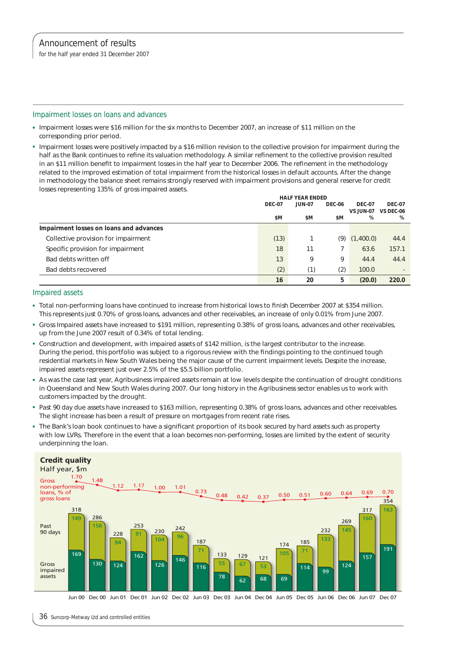for the half year ended 31 December 2007

### Impairment losses on loans and advances

- Impairment losses were \$16 million for the six months to December 2007, an increase of \$11 million on the corresponding prior period.
- Impairment losses were positively impacted by a \$16 million revision to the collective provision for impairment during the half as the Bank continues to refine its valuation methodology. A similar refinement to the collective provision resulted in an \$11 million benefit to impairment losses in the half year to December 2006. The refinement in the methodology related to the improved estimation of total impairment from the historical losses in default accounts. After the change in methodology the balance sheet remains strongly reserved with impairment provisions and general reserve for credit losses representing 135% of gross impaired assets.

|                                         |               | <b>HALF YEAR ENDED</b> |               |                            |                            |
|-----------------------------------------|---------------|------------------------|---------------|----------------------------|----------------------------|
|                                         | <b>DEC-07</b> | <b>JUN-07</b>          | <b>DEC-06</b> | <b>DEC-07</b><br>VS JUN-07 | <b>DEC-07</b><br>VS DEC-06 |
|                                         | \$M           | \$M                    | \$M           | %                          | %                          |
| Impairment losses on loans and advances |               |                        |               |                            |                            |
| Collective provision for impairment     | (13)          |                        | (9)           | (1,400.0)                  | 44.4                       |
| Specific provision for impairment       | 18            | 11                     |               | 63.6                       | 157.1                      |
| Bad debts written off                   | 13            | 9                      | 9             | 44.4                       | 44.4                       |
| Bad debts recovered                     | (2)           | (1)                    | (2)           | 100.0                      | $\overline{\phantom{a}}$   |
|                                         | 16            | 20                     | 5             | (20.0)                     | 220.0                      |

## Impaired assets

- " Total non-performing loans have continued to increase from historical lows to finish December 2007 at \$354 million. This represents just 0.70% of gross loans, advances and other receivables, an increase of only 0.01% from June 2007.
- Gross Impaired assets have increased to \$191 million, representing 0.38% of gross loans, advances and other receivables, up from the June 2007 result of 0.34% of total lending.
- Construction and development, with impaired assets of \$142 million, is the largest contributor to the increase. During the period, this portfolio was subject to a rigorous review with the findings pointing to the continued tough residential markets in New South Wales being the major cause of the current impairment levels. Despite the increase, impaired assets represent just over 2.5% of the \$5.5 billion portfolio.
- As was the case last year, Agribusiness impaired assets remain at low levels despite the continuation of drought conditions in Queensland and New South Wales during 2007. Our long history in the Agribusiness sector enables us to work with customers impacted by the drought.
- Past 90 day due assets have increased to \$163 million, representing 0.38% of gross loans, advances and other receivables. The slight increase has been a result of pressure on mortgages from recent rate rises.
- The Bank's loan book continues to have a significant proportion of its book secured by hard assets such as property with low LVRs. Therefore in the event that a loan becomes non-performing, losses are limited by the extent of security underpinning the loan.



36 Suncorp-Metway Ltd and controlled entities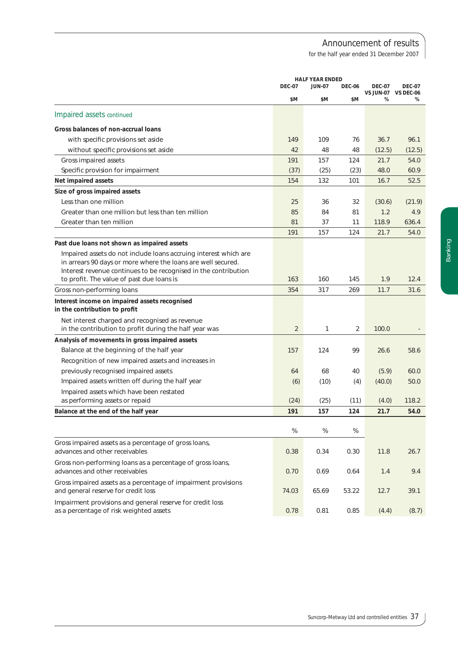for the half year ended 31 December 2007

|                                                                                                                                                                                                     |                | <b>HALF YEAR ENDED</b> |               |                                      |               |
|-----------------------------------------------------------------------------------------------------------------------------------------------------------------------------------------------------|----------------|------------------------|---------------|--------------------------------------|---------------|
|                                                                                                                                                                                                     | <b>DEC-07</b>  | <b>JUN-07</b>          | <b>DEC-06</b> | <b>DEC-07</b><br>VS JUN-07 VS DEC-06 | <b>DEC-07</b> |
|                                                                                                                                                                                                     | \$Μ            | \$M                    | \$M           | %                                    | %             |
| Impaired assets continued                                                                                                                                                                           |                |                        |               |                                      |               |
| Gross balances of non-accrual loans                                                                                                                                                                 |                |                        |               |                                      |               |
| with specific provisions set aside                                                                                                                                                                  | 149            | 109                    | 76            | 36.7                                 | 96.1          |
| without specific provisions set aside                                                                                                                                                               | 42             | 48                     | 48            | (12.5)                               | (12.5)        |
| Gross impaired assets                                                                                                                                                                               | 191            | 157                    | 124           | 21.7                                 | 54.0          |
| Specific provision for impairment                                                                                                                                                                   | (37)           | (25)                   | (23)          | 48.0                                 | 60.9          |
| Net impaired assets                                                                                                                                                                                 | 154            | 132                    | 101           | 16.7                                 | 52.5          |
| Size of gross impaired assets                                                                                                                                                                       |                |                        |               |                                      |               |
| Less than one million                                                                                                                                                                               | 25             | 36                     | 32            | (30.6)                               | (21.9)        |
| Greater than one million but less than ten million                                                                                                                                                  | 85             | 84                     | 81            | 1.2                                  | 4.9           |
| Greater than ten million                                                                                                                                                                            | 81             | 37                     | 11            | 118.9                                | 636.4         |
|                                                                                                                                                                                                     | 191            | 157                    | 124           | 21.7                                 | 54.0          |
| Past due loans not shown as impaired assets                                                                                                                                                         |                |                        |               |                                      |               |
| Impaired assets do not include loans accruing interest which are<br>in arrears 90 days or more where the loans are well secured.<br>Interest revenue continues to be recognised in the contribution |                |                        |               |                                      |               |
| to profit. The value of past due loans is                                                                                                                                                           | 163            | 160                    | 145           | 1.9                                  | 12.4          |
| Gross non-performing loans                                                                                                                                                                          | 354            | 317                    | 269           | 11.7                                 | 31.6          |
| Interest income on impaired assets recognised<br>in the contribution to profit                                                                                                                      |                |                        |               |                                      |               |
| Net interest charged and recognised as revenue<br>in the contribution to profit during the half year was                                                                                            | $\overline{2}$ | 1                      | 2             | 100.0                                |               |
| Analysis of movements in gross impaired assets                                                                                                                                                      |                |                        |               |                                      |               |
| Balance at the beginning of the half year                                                                                                                                                           | 157            | 124                    | 99            | 26.6                                 | 58.6          |
| Recognition of new impaired assets and increases in                                                                                                                                                 |                |                        |               |                                      |               |
| previously recognised impaired assets                                                                                                                                                               | 64             | 68                     | 40            | (5.9)                                | 60.0          |
| Impaired assets written off during the half year                                                                                                                                                    | (6)            | (10)                   | (4)           | (40.0)                               | 50.0          |
| Impaired assets which have been restated                                                                                                                                                            |                |                        |               |                                      |               |
| as performing assets or repaid                                                                                                                                                                      | (24)           | (25)                   | (11)          | (4.0)                                | 118.2         |
| Balance at the end of the half year                                                                                                                                                                 | 191            | 157                    | 124           | 21.7                                 | 54.0          |
|                                                                                                                                                                                                     | $\%$           | $\%$                   | $\%$          |                                      |               |
| Gross impaired assets as a percentage of gross loans,<br>advances and other receivables                                                                                                             | 0.38           | 0.34                   | 0.30          | 11.8                                 | 26.7          |
| Gross non-performing loans as a percentage of gross loans,<br>advances and other receivables                                                                                                        | 0.70           | 0.69                   | 0.64          | 1.4                                  | 9.4           |
| Gross impaired assets as a percentage of impairment provisions<br>and general reserve for credit loss                                                                                               | 74.03          | 65.69                  | 53.22         | 12.7                                 | 39.1          |
| Impairment provisions and general reserve for credit loss<br>as a percentage of risk weighted assets                                                                                                | 0.78           | 0.81                   | 0.85          | (4.4)                                | (8.7)         |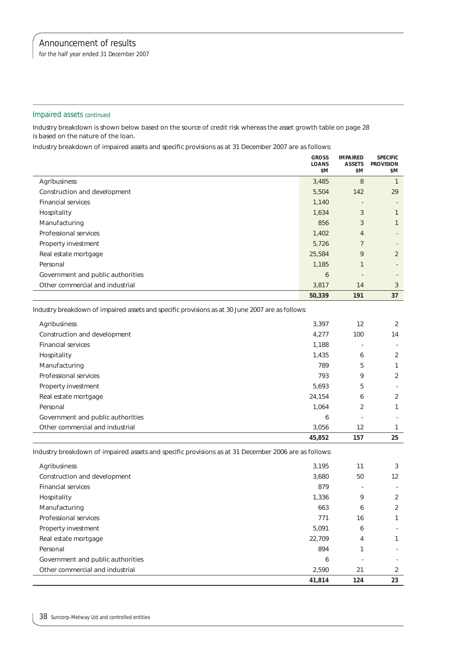for the half year ended 31 December 2007

### Impaired assets continued

Industry breakdown is shown below based on the source of credit risk whereas the asset growth table on page 28 is based on the nature of the loan.

Industry breakdown of impaired assets and specific provisions as at 31 December 2007 are as follows:

|                                   | <b>GROSS</b><br><b>LOANS</b><br>\$Μ | <b>IMPAIRED</b><br><b>ASSETS</b><br>\$M | <b>SPECIFIC</b><br><b>PROVISION</b><br>\$M |
|-----------------------------------|-------------------------------------|-----------------------------------------|--------------------------------------------|
| Agribusiness                      | 3,485                               | 8                                       |                                            |
| Construction and development      | 5,504                               | 142                                     | 29                                         |
| <b>Financial services</b>         | 1,140                               | $\overline{\phantom{a}}$                | $\overline{\phantom{a}}$                   |
| Hospitality                       | 1,634                               | 3                                       | $\mathbf{1}$                               |
| Manufacturing                     | 856                                 | 3                                       |                                            |
| Professional services             | 1,402                               | $\overline{4}$                          |                                            |
| Property investment               | 5,726                               | $\overline{7}$                          |                                            |
| Real estate mortgage              | 25,584                              | 9                                       | $\overline{2}$                             |
| Personal                          | 1,185                               | $\mathbf{1}$                            | $\overline{\phantom{a}}$                   |
| Government and public authorities | 6                                   |                                         | $\overline{\phantom{a}}$                   |
| Other commercial and industrial   | 3,817                               | 14                                      | 3                                          |
|                                   | 50,339                              | 191                                     | 37                                         |

Industry breakdown of impaired assets and specific provisions as at 30 June 2007 are as follows:

| Agribusiness                      | 3,397  | 12             | 2                        |
|-----------------------------------|--------|----------------|--------------------------|
| Construction and development      | 4,277  | 100            | 14                       |
| <b>Financial services</b>         | 1,188  | $\overline{a}$ | $\overline{\phantom{a}}$ |
| Hospitality                       | 1,435  | 6              | 2                        |
| Manufacturing                     | 789    | 5              |                          |
| Professional services             | 793    | 9              | 2                        |
| Property investment               | 5,693  | 5              | $\overline{\phantom{a}}$ |
| Real estate mortgage              | 24,154 | 6              | 2                        |
| Personal                          | 1,064  | $\overline{2}$ |                          |
| Government and public authorities | 6      |                | $\overline{\phantom{a}}$ |
| Other commercial and industrial   | 3,056  | 12             |                          |
|                                   | 45,852 | 157            | 25                       |

Industry breakdown of impaired assets and specific provisions as at 31 December 2006 are as follows:

|                                   | 41,814 | 124                      | 23                       |
|-----------------------------------|--------|--------------------------|--------------------------|
| Other commercial and industrial   | 2,590  | 21                       | 2                        |
| Government and public authorities | 6      | $\overline{\phantom{a}}$ |                          |
| Personal                          | 894    | 1                        | $\overline{\phantom{a}}$ |
| Real estate mortgage              | 22,709 | 4                        |                          |
| Property investment               | 5,091  | 6                        |                          |
| Professional services             | 771    | 16                       |                          |
| Manufacturing                     | 663    | 6                        | 2                        |
| Hospitality                       | 1,336  | 9                        | 2                        |
| <b>Financial services</b>         | 879    | $\overline{\phantom{a}}$ | $\overline{\phantom{0}}$ |
| Construction and development      | 3,680  | 50                       | 12                       |
| Agribusiness                      | 3,195  | 11                       | 3                        |
|                                   |        |                          |                          |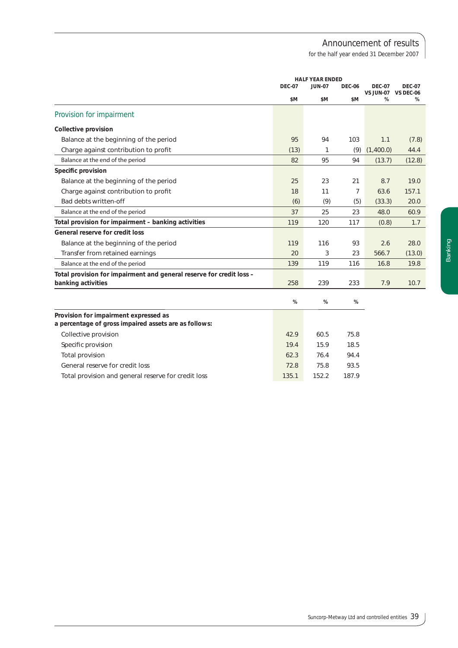for the half year ended 31 December 2007

|                                                                      |               | <b>HALF YEAR ENDED</b> |               |               |                          |
|----------------------------------------------------------------------|---------------|------------------------|---------------|---------------|--------------------------|
|                                                                      | <b>DEC-07</b> | <b>JUN-07</b>          | <b>DEC-06</b> | <b>DEC-07</b> | <b>DEC-07</b>            |
|                                                                      | \$Μ           | \$M                    | \$M           | %             | VS JUN-07 VS DEC-06<br>% |
| Provision for impairment                                             |               |                        |               |               |                          |
| <b>Collective provision</b>                                          |               |                        |               |               |                          |
| Balance at the beginning of the period                               | 95            | 94                     | 103           | 1.1           | (7.8)                    |
| Charge against contribution to profit                                | (13)          | 1                      | (9)           | (1,400.0)     | 44.4                     |
| Balance at the end of the period                                     | 82            | 95                     | 94            | (13.7)        | (12.8)                   |
| Specific provision                                                   |               |                        |               |               |                          |
| Balance at the beginning of the period                               | 25            | 23                     | 21            | 8.7           | 19.0                     |
| Charge against contribution to profit                                | 18            | 11                     | 7             | 63.6          | 157.1                    |
| Bad debts written-off                                                | (6)           | (9)                    | (5)           | (33.3)        | 20.0                     |
| Balance at the end of the period                                     | 37            | 25                     | 23            | 48.0          | 60.9                     |
| Total provision for impairment - banking activities                  | 119           | 120                    | 117           | (0.8)         | 1.7                      |
| General reserve for credit loss                                      |               |                        |               |               |                          |
| Balance at the beginning of the period                               | 119           | 116                    | 93            | 2.6           | 28.0                     |
| Transfer from retained earnings                                      | 20            | 3                      | 23            | 566.7         | (13.0)                   |
| Balance at the end of the period                                     | 139           | 119                    | 116           | 16.8          | 19.8                     |
| Total provision for impairment and general reserve for credit loss - |               |                        |               |               |                          |
| banking activities                                                   | 258           | 239                    | 233           | 7.9           | 10.7                     |
|                                                                      |               |                        |               |               |                          |
|                                                                      | $\%$          | $\%$                   | $\%$          |               |                          |
| Provision for impairment expressed as                                |               |                        |               |               |                          |
| a percentage of gross impaired assets are as follows:                |               |                        |               |               |                          |
| Collective provision                                                 | 42.9          | 60.5                   | 75.8          |               |                          |
| Specific provision                                                   | 19.4          | 15.9                   | 18.5          |               |                          |
| <b>Total provision</b>                                               | 62.3          | 76.4                   | 94.4          |               |                          |
| General reserve for credit loss                                      | 72.8          | 75.8                   | 93.5          |               |                          |
| Total provision and general reserve for credit loss                  | 135.1         | 152.2                  | 187.9         |               |                          |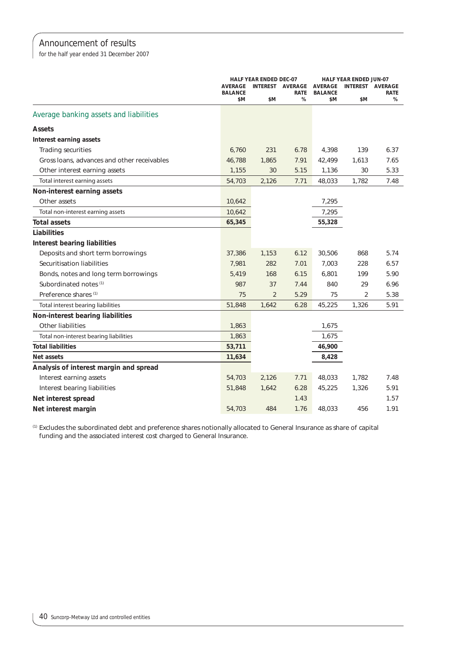for the half year ended 31 December 2007

|                                             | <b>HALF YEAR ENDED DEC-07</b> |                |                  |                       | HALF YEAR ENDED JUN-07 |                  |
|---------------------------------------------|-------------------------------|----------------|------------------|-----------------------|------------------------|------------------|
|                                             | <b>AVERAGE</b>                | INTEREST       | <b>AVERAGE</b>   | <b>AVERAGE</b>        | <b>INTEREST</b>        | <b>AVERAGE</b>   |
|                                             | <b>BALANCE</b><br>\$Μ         | \$Μ            | <b>RATE</b><br>℅ | <b>BALANCE</b><br>\$M | \$Μ                    | <b>RATE</b><br>% |
| Average banking assets and liabilities      |                               |                |                  |                       |                        |                  |
| <b>Assets</b>                               |                               |                |                  |                       |                        |                  |
| Interest earning assets                     |                               |                |                  |                       |                        |                  |
| Trading securities                          | 6,760                         | 231            | 6.78             | 4,398                 | 139                    | 6.37             |
| Gross Ioans, advances and other receivables | 46,788                        | 1,865          | 7.91             | 42,499                | 1,613                  | 7.65             |
| Other interest earning assets               | 1,155                         | 30             | 5.15             | 1,136                 | 30                     | 5.33             |
| Total interest earning assets               | 54,703                        | 2,126          | 7.71             | 48,033                | 1,782                  | 7.48             |
| Non-interest earning assets                 |                               |                |                  |                       |                        |                  |
| Other assets                                | 10,642                        |                |                  | 7,295                 |                        |                  |
| Total non-interest earning assets           | 10,642                        |                |                  | 7,295                 |                        |                  |
| <b>Total assets</b>                         | 65,345                        |                |                  | 55,328                |                        |                  |
| Liabilities                                 |                               |                |                  |                       |                        |                  |
| <b>Interest bearing liabilities</b>         |                               |                |                  |                       |                        |                  |
| Deposits and short term borrowings          | 37,386                        | 1,153          | 6.12             | 30,506                | 868                    | 5.74             |
| Securitisation liabilities                  | 7,981                         | 282            | 7.01             | 7,003                 | 228                    | 6.57             |
| Bonds, notes and long term borrowings       | 5,419                         | 168            | 6.15             | 6,801                 | 199                    | 5.90             |
| Subordinated notes <sup>(1)</sup>           | 987                           | 37             | 7.44             | 840                   | 29                     | 6.96             |
| Preference shares <sup>(1)</sup>            | 75                            | $\overline{2}$ | 5.29             | 75                    | $\overline{2}$         | 5.38             |
| Total interest bearing liabilities          | 51,848                        | 1,642          | 6.28             | 45,225                | 1,326                  | 5.91             |
| Non-interest bearing liabilities            |                               |                |                  |                       |                        |                  |
| Other liabilities                           | 1,863                         |                |                  | 1,675                 |                        |                  |
| Total non-interest bearing liabilities      | 1,863                         |                |                  | 1,675                 |                        |                  |
| <b>Total liabilities</b>                    | 53,711                        |                |                  | 46,900                |                        |                  |
| Net assets                                  | 11,634                        |                |                  | 8,428                 |                        |                  |
| Analysis of interest margin and spread      |                               |                |                  |                       |                        |                  |
| Interest earning assets                     | 54,703                        | 2,126          | 7.71             | 48,033                | 1,782                  | 7.48             |
| Interest bearing liabilities                | 51,848                        | 1,642          | 6.28             | 45,225                | 1,326                  | 5.91             |
| Net interest spread                         |                               |                | 1.43             |                       |                        | 1.57             |
| Net interest margin                         | 54,703                        | 484            | 1.76             | 48,033                | 456                    | 1.91             |

(1) Excludes the subordinated debt and preference shares notionally allocated to General Insurance as share of capital funding and the associated interest cost charged to General Insurance.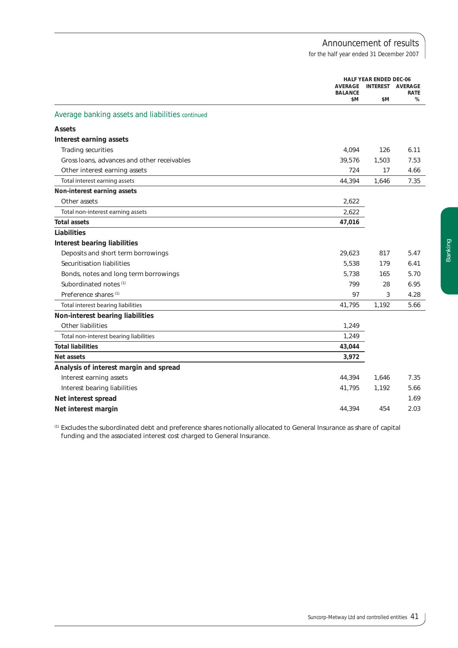for the half year ended 31 December 2007

|                                                  |                                  | <b>HALF YEAR ENDED DEC-06</b> |                                 |  |  |
|--------------------------------------------------|----------------------------------|-------------------------------|---------------------------------|--|--|
|                                                  | <b>AVERAGE</b><br><b>BALANCE</b> |                               | INTEREST AVERAGE<br><b>RATE</b> |  |  |
|                                                  | \$M                              | \$Μ                           | %                               |  |  |
| Average banking assets and liabilities continued |                                  |                               |                                 |  |  |
| <b>Assets</b>                                    |                                  |                               |                                 |  |  |
| Interest earning assets                          |                                  |                               |                                 |  |  |
| Trading securities                               | 4,094                            | 126                           | 6.11                            |  |  |
| Gross Ioans, advances and other receivables      | 39,576                           | 1,503                         | 7.53                            |  |  |
| Other interest earning assets                    | 724                              | 17                            | 4.66                            |  |  |
| Total interest earning assets                    | 44,394                           | 1,646                         | 7.35                            |  |  |
| Non-interest earning assets                      |                                  |                               |                                 |  |  |
| Other assets                                     | 2,622                            |                               |                                 |  |  |
| Total non-interest earning assets                | 2,622                            |                               |                                 |  |  |
| <b>Total assets</b>                              | 47,016                           |                               |                                 |  |  |
| Liabilities                                      |                                  |                               |                                 |  |  |
| <b>Interest bearing liabilities</b>              |                                  |                               |                                 |  |  |
| Deposits and short term borrowings               | 29,623                           | 817                           | 5.47                            |  |  |
| Securitisation liabilities                       | 5,538                            | 179                           | 6.41                            |  |  |
| Bonds, notes and long term borrowings            | 5,738                            | 165                           | 5.70                            |  |  |
| Subordinated notes <sup>(1)</sup>                | 799                              | 28                            | 6.95                            |  |  |
| Preference shares <sup>(1)</sup>                 | 97                               | 3                             | 4.28                            |  |  |
| Total interest bearing liabilities               | 41,795                           | 1,192                         | 5.66                            |  |  |
| Non-interest bearing liabilities                 |                                  |                               |                                 |  |  |
| Other liabilities                                | 1,249                            |                               |                                 |  |  |
| Total non-interest bearing liabilities           | 1,249                            |                               |                                 |  |  |
| <b>Total liabilities</b>                         | 43,044                           |                               |                                 |  |  |
| Net assets                                       | 3,972                            |                               |                                 |  |  |
| Analysis of interest margin and spread           |                                  |                               |                                 |  |  |
| Interest earning assets                          | 44,394                           | 1,646                         | 7.35                            |  |  |
| Interest bearing liabilities                     | 41,795                           | 1,192                         | 5.66                            |  |  |
| Net interest spread                              |                                  |                               | 1.69                            |  |  |
| Net interest margin                              | 44,394                           | 454                           | 2.03                            |  |  |

(1) Excludes the subordinated debt and preference shares notionally allocated to General Insurance as share of capital funding and the associated interest cost charged to General Insurance.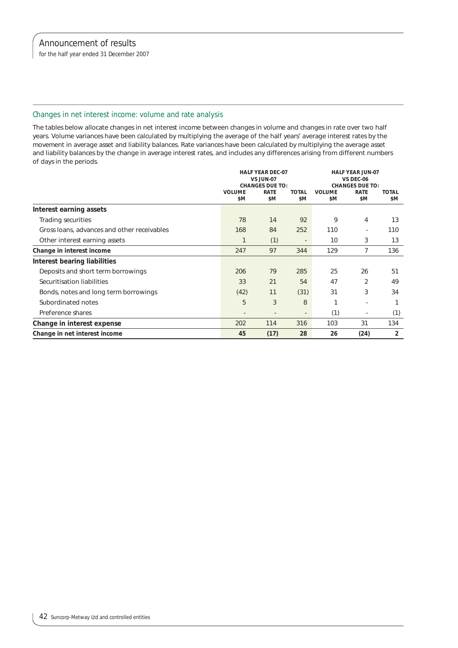for the half year ended 31 December 2007

### Changes in net interest income: volume and rate analysis

The tables below allocate changes in net interest income between changes in volume and changes in rate over two half years. Volume variances have been calculated by multiplying the average of the half years' average interest rates by the movement in average asset and liability balances. Rate variances have been calculated by multiplying the average asset and liability balances by the change in average interest rates, and includes any differences arising from different numbers of days in the periods.

|                                             | <b>HALF YEAR DEC-07</b><br><b>VS JUN-07</b><br><b>CHANGES DUE TO:</b> |                    |                     | <b>HALF YEAR JUN-07</b><br>VS DEC-06<br><b>CHANGES DUE TO:</b> |                          |                     |
|---------------------------------------------|-----------------------------------------------------------------------|--------------------|---------------------|----------------------------------------------------------------|--------------------------|---------------------|
|                                             | <b>VOLUME</b><br>\$M                                                  | <b>RATE</b><br>\$M | <b>TOTAL</b><br>\$Μ | <b>VOLUME</b><br>\$Μ                                           | <b>RATE</b><br>\$M       | <b>TOTAL</b><br>\$M |
| Interest earning assets                     |                                                                       |                    |                     |                                                                |                          |                     |
| Trading securities                          | 78                                                                    | 14                 | 92                  | 9                                                              | 4                        | 13                  |
| Gross Ioans, advances and other receivables | 168                                                                   | 84                 | 252                 | 110                                                            | $\overline{\phantom{a}}$ | 110                 |
| Other interest earning assets               | $\mathbf{1}$                                                          | (1)                |                     | 10                                                             | 3                        | 13                  |
| Change in interest income                   | 247                                                                   | 97                 | 344                 | 129                                                            | $\overline{7}$           | 136                 |
| Interest bearing liabilities                |                                                                       |                    |                     |                                                                |                          |                     |
| Deposits and short term borrowings          | 206                                                                   | 79                 | 285                 | 25                                                             | 26                       | 51                  |
| Securitisation liabilities                  | 33                                                                    | 21                 | 54                  | 47                                                             | 2                        | 49                  |
| Bonds, notes and long term borrowings       | (42)                                                                  | 11                 | (31)                | 31                                                             | 3                        | 34                  |
| Subordinated notes                          | 5                                                                     | 3                  | 8                   | 1                                                              |                          |                     |
| Preference shares                           |                                                                       |                    |                     | (1)                                                            | $\overline{\phantom{a}}$ | (1)                 |
| Change in interest expense                  | 202                                                                   | 114                | 316                 | 103                                                            | 31                       | 134                 |
| Change in net interest income               | 45                                                                    | (17)               | 28                  | 26                                                             | (24)                     | 2                   |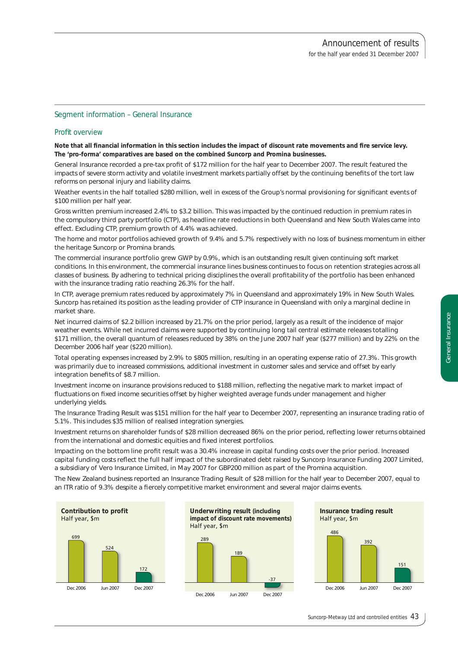### Segment information – General Insurance

### Profit overview

Note that all financial information in this section includes the impact of discount rate movements and fire service levy. **The 'pro-forma' comparatives are based on the combined Suncorp and Promina businesses.** 

General Insurance recorded a pre-tax profit of \$172 million for the half year to December 2007. The result featured the impacts of severe storm activity and volatile investment markets partially offset by the continuing benefits of the tort law reforms on personal injury and liability claims.

Weather events in the half totalled \$280 million, well in excess of the Group's normal provisioning for significant events of \$100 million per half year.

Gross written premium increased 2.4% to \$3.2 billion. This was impacted by the continued reduction in premium rates in the compulsory third party portfolio (CTP), as headline rate reductions in both Queensland and New South Wales came into effect. Excluding CTP, premium growth of 4.4% was achieved.

The home and motor portfolios achieved growth of 9.4% and 5.7% respectively with no loss of business momentum in either the heritage Suncorp or Promina brands.

The commercial insurance portfolio grew GWP by 0.9%, which is an outstanding result given continuing soft market conditions. In this environment, the commercial insurance lines business continues to focus on retention strategies across all classes of business. By adhering to technical pricing disciplines the overall profi tability of the portfolio has been enhanced with the insurance trading ratio reaching 26.3% for the half.

In CTP, average premium rates reduced by approximately 7% in Queensland and approximately 19% in New South Wales. Suncorp has retained its position as the leading provider of CTP insurance in Queensland with only a marginal decline in market share.

Net incurred claims of \$2.2 billion increased by 21.7% on the prior period, largely as a result of the incidence of major weather events. While net incurred claims were supported by continuing long tail central estimate releases totalling \$171 million, the overall quantum of releases reduced by 38% on the June 2007 half year (\$277 million) and by 22% on the December 2006 half year (\$220 million).

Total operating expenses increased by 2.9% to \$805 million, resulting in an operating expense ratio of 27.3%. This growth was primarily due to increased commissions, additional investment in customer sales and service and offset by early integration benefits of \$8.7 million.

Investment income on insurance provisions reduced to \$188 million, reflecting the negative mark to market impact of fluctuations on fixed income securities offset by higher weighted average funds under management and higher underlying yields.

The Insurance Trading Result was \$151 million for the half year to December 2007, representing an insurance trading ratio of 5.1%. This includes \$35 million of realised integration synergies.

Investment returns on shareholder funds of \$28 million decreased 86% on the prior period, reflecting lower returns obtained from the international and domestic equities and fixed interest portfolios.

Impacting on the bottom line profit result was a 30.4% increase in capital funding costs over the prior period. Increased capital funding costs reflect the full half impact of the subordinated debt raised by Suncorp Insurance Funding 2007 Limited, a subsidiary of Vero Insurance Limited, in May 2007 for GBP200 million as part of the Promina acquisition.

The New Zealand business reported an Insurance Trading Result of \$28 million for the half year to December 2007, equal to an ITR ratio of 9.3% despite a fiercely competitive market environment and several major claims events.





Dec 2006 Jun 2007 Dec 2007

-37

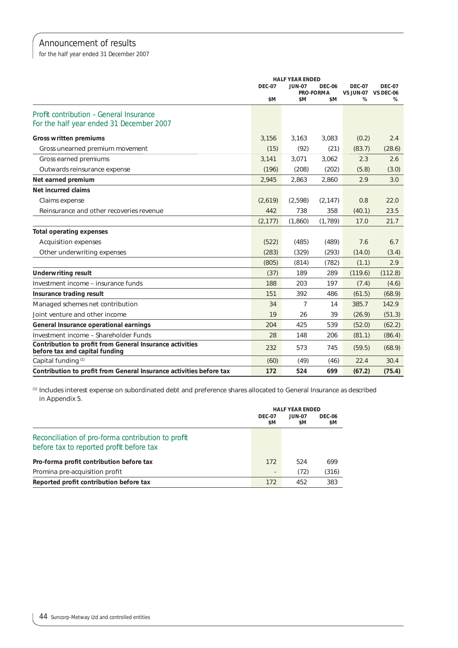for the half year ended 31 December 2007

|                                                                                            | <b>DEC-07</b><br>\$Μ | <b>JUN-07</b><br>\$M | <b>HALF YEAR ENDED</b><br><b>DEC-06</b><br><b>PRO-FORMA</b> |         | <b>DEC-07</b><br>VS JUN-07 VS DEC-06<br>% |
|--------------------------------------------------------------------------------------------|----------------------|----------------------|-------------------------------------------------------------|---------|-------------------------------------------|
|                                                                                            |                      |                      | \$Μ                                                         | %       |                                           |
| Profit contribution - General Insurance<br>For the half year ended 31 December 2007        |                      |                      |                                                             |         |                                           |
| <b>Gross written premiums</b>                                                              | 3,156                | 3,163                | 3,083                                                       | (0.2)   | 2.4                                       |
| Gross unearned premium movement                                                            | (15)                 | (92)                 | (21)                                                        | (83.7)  | (28.6)                                    |
| Gross earned premiums                                                                      | 3,141                | 3.071                | 3.062                                                       | 2.3     | 2.6                                       |
| Outwards reinsurance expense                                                               | (196)                | (208)                | (202)                                                       | (5.8)   | (3.0)                                     |
| Net earned premium                                                                         | 2,945                | 2,863                | 2,860                                                       | 2.9     | 3.0                                       |
| Net incurred claims                                                                        |                      |                      |                                                             |         |                                           |
| Claims expense                                                                             | (2,619)              | (2,598)              | (2, 147)                                                    | 0.8     | 22.0                                      |
| Reinsurance and other recoveries revenue                                                   | 442                  | 738                  | 358                                                         | (40.1)  | 23.5                                      |
|                                                                                            | (2, 177)             | (1,860)              | (1,789)                                                     | 17.0    | 21.7                                      |
| <b>Total operating expenses</b>                                                            |                      |                      |                                                             |         |                                           |
| <b>Acquisition expenses</b>                                                                | (522)                | (485)                | (489)                                                       | 7.6     | 6.7                                       |
| Other underwriting expenses                                                                | (283)                | (329)                | (293)                                                       | (14.0)  | (3.4)                                     |
|                                                                                            | (805)                | (814)                | (782)                                                       | (1.1)   | 2.9                                       |
| <b>Underwriting result</b>                                                                 | (37)                 | 189                  | 289                                                         | (119.6) | (112.8)                                   |
| Investment income - insurance funds                                                        | 188                  | 203                  | 197                                                         | (7.4)   | (4.6)                                     |
| Insurance trading result                                                                   | 151                  | 392                  | 486                                                         | (61.5)  | (68.9)                                    |
| Managed schemes net contribution                                                           | 34                   | 7                    | 14                                                          | 385.7   | 142.9                                     |
| Joint venture and other income                                                             | 19                   | 26                   | 39                                                          | (26.9)  | (51.3)                                    |
| General Insurance operational earnings                                                     | 204                  | 425                  | 539                                                         | (52.0)  | (62.2)                                    |
| Investment income - Shareholder Funds                                                      | 28                   | 148                  | 206                                                         | (81.1)  | (86.4)                                    |
| Contribution to profit from General Insurance activities<br>before tax and capital funding | 232                  | 573                  | 745                                                         | (59.5)  | (68.9)                                    |
| Capital funding <sup>(1)</sup>                                                             | (60)                 | (49)                 | (46)                                                        | 22.4    | 30.4                                      |
| Contribution to profit from General Insurance activities before tax                        | 172                  | 524                  | 699                                                         | (67.2)  | (75.4)                                    |

(1) Includes interest expense on subordinated debt and preference shares allocated to General Insurance as described in Appendix 5.

|                                                                                                |                          | <b>HALF YEAR ENDED</b> |                      |  |  |  |
|------------------------------------------------------------------------------------------------|--------------------------|------------------------|----------------------|--|--|--|
|                                                                                                | <b>DEC-07</b><br>\$M     | <b>JUN-07</b><br>\$M   | <b>DEC-06</b><br>\$M |  |  |  |
| Reconciliation of pro-forma contribution to profit<br>before tax to reported profit before tax |                          |                        |                      |  |  |  |
| Pro-forma profit contribution before tax                                                       | 172                      | 524                    | 699                  |  |  |  |
| Promina pre-acquisition profit                                                                 | $\overline{\phantom{a}}$ | (72)                   | (316)                |  |  |  |
| Reported profit contribution before tax                                                        | 172                      | 452                    | 383                  |  |  |  |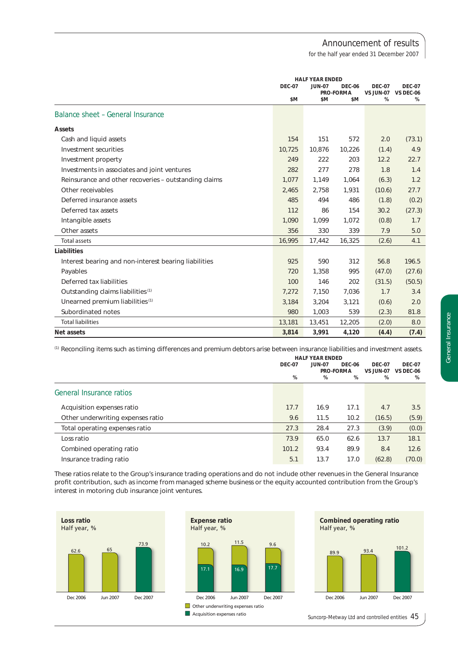for the half year ended 31 December 2007

|                                                       | <b>DEC-07</b> | <b>HALF YEAR ENDED</b> |                                   |                                   | <b>DEC-07</b> |
|-------------------------------------------------------|---------------|------------------------|-----------------------------------|-----------------------------------|---------------|
|                                                       |               | <b>JUN-07</b>          | <b>DEC-06</b><br><b>PRO-FORMA</b> | <b>DEC-07</b><br><b>VS JUN-07</b> | VS DEC-06     |
|                                                       | \$M           | \$M                    | \$M                               | %                                 | %             |
| Balance sheet - General Insurance                     |               |                        |                                   |                                   |               |
| <b>Assets</b>                                         |               |                        |                                   |                                   |               |
| Cash and liquid assets                                | 154           | 151                    | 572                               | 2.0                               | (73.1)        |
| Investment securities                                 | 10,725        | 10.876                 | 10,226                            | (1.4)                             | 4.9           |
| Investment property                                   | 249           | 222                    | 203                               | 12.2                              | 22.7          |
| Investments in associates and joint ventures          | 282           | 277                    | 278                               | 1.8                               | 1.4           |
| Reinsurance and other recoveries - outstanding claims | 1.077         | 1,149                  | 1.064                             | (6.3)                             | 1.2           |
| Other receivables                                     | 2,465         | 2,758                  | 1,931                             | (10.6)                            | 27.7          |
| Deferred insurance assets                             | 485           | 494                    | 486                               | (1.8)                             | (0.2)         |
| Deferred tax assets                                   | 112           | 86                     | 154                               | 30.2                              | (27.3)        |
| Intangible assets                                     | 1,090         | 1,099                  | 1,072                             | (0.8)                             | 1.7           |
| Other assets                                          | 356           | 330                    | 339                               | 7.9                               | 5.0           |
| <b>Total assets</b>                                   | 16,995        | 17,442                 | 16,325                            | (2.6)                             | 4.1           |
| Liabilities                                           |               |                        |                                   |                                   |               |
| Interest bearing and non-interest bearing liabilities | 925           | 590                    | 312                               | 56.8                              | 196.5         |
| Payables                                              | 720           | 1,358                  | 995                               | (47.0)                            | (27.6)        |
| Deferred tax liabilities                              | 100           | 146                    | 202                               | (31.5)                            | (50.5)        |
| Outstanding claims liabilities <sup>(1)</sup>         | 7,272         | 7,150                  | 7,036                             | 1.7                               | 3.4           |
| Unearned premium liabilities <sup>(1)</sup>           | 3,184         | 3,204                  | 3,121                             | (0.6)                             | 2.0           |
| Subordinated notes                                    | 980           | 1,003                  | 539                               | (2.3)                             | 81.8          |
| <b>Total liabilities</b>                              | 13,181        | 13,451                 | 12,205                            | (2.0)                             | 8.0           |
| Net assets                                            | 3,814         | 3,991                  | 4,120                             | (4.4)                             | (7.4)         |

(1) Reconciling items such as timing differences and premium debtors arise between insurance liabilities and investment assets.

|                                   | <b>HALF YEAR ENDED</b> |               |                  |                  |               |
|-----------------------------------|------------------------|---------------|------------------|------------------|---------------|
|                                   | <b>DEC-07</b>          | <b>JUN-07</b> | <b>DEC-06</b>    | <b>DEC-07</b>    | <b>DEC-07</b> |
|                                   |                        |               | <b>PRO-FORMA</b> | <b>VS JUN-07</b> | VS DEC-06     |
|                                   | %                      | %             | %                | %                | %             |
| General Insurance ratios          |                        |               |                  |                  |               |
| Acquisition expenses ratio        | 17.7                   | 16.9          | 17.1             | 4.7              | 3.5           |
| Other underwriting expenses ratio | 9.6                    | 11.5          | 10.2             | (16.5)           | (5.9)         |
| Total operating expenses ratio    | 27.3                   | 28.4          | 27.3             | (3.9)            | (0.0)         |
| Loss ratio                        | 73.9                   | 65.0          | 62.6             | 13.7             | 18.1          |
| Combined operating ratio          | 101.2                  | 93.4          | 89.9             | 8.4              | 12.6          |
| Insurance trading ratio           | 5.1                    | 13.7          | 17.0             | (62.8)           | (70.0)        |

These ratios relate to the Group's insurance trading operations and do not include other revenues in the General Insurance profit contribution, such as income from managed scheme business or the equity accounted contribution from the Group's interest in motoring club insurance joint ventures.







Suncorp-Metway Ltd and controlled entities 45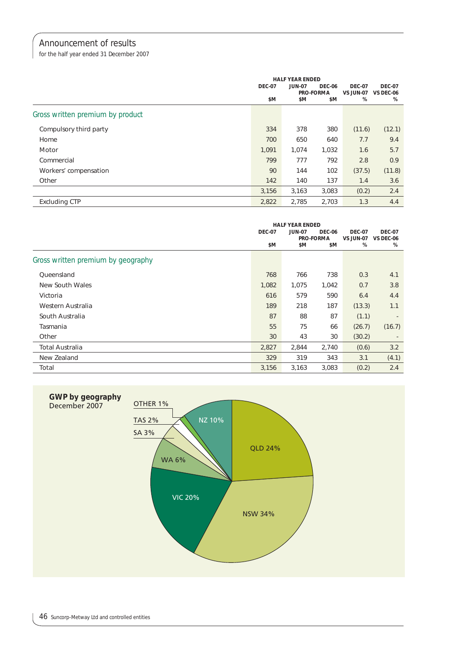for the half year ended 31 December 2007

|                                  | <b>HALF YEAR ENDED</b> |               |                                   |                            |                            |  |  |
|----------------------------------|------------------------|---------------|-----------------------------------|----------------------------|----------------------------|--|--|
|                                  | <b>DEC-07</b>          | <b>JUN-07</b> | <b>DEC-06</b><br><b>PRO-FORMA</b> | <b>DEC-07</b><br>VS JUN-07 | <b>DEC-07</b><br>VS DEC-06 |  |  |
|                                  | \$M                    | \$Μ           | \$M                               | %                          | %                          |  |  |
| Gross written premium by product |                        |               |                                   |                            |                            |  |  |
| Compulsory third party           | 334                    | 378           | 380                               | (11.6)                     | (12.1)                     |  |  |
| Home                             | 700                    | 650           | 640                               | 7.7                        | 9.4                        |  |  |
| Motor                            | 1,091                  | 1.074         | 1.032                             | 1.6                        | 5.7                        |  |  |
| Commercial                       | 799                    | 777           | 792                               | 2.8                        | 0.9                        |  |  |
| Workers' compensation            | 90                     | 144           | 102                               | (37.5)                     | (11.8)                     |  |  |
| Other                            | 142                    | 140           | 137                               | 1.4                        | 3.6                        |  |  |
|                                  | 3,156                  | 3,163         | 3,083                             | (0.2)                      | 2.4                        |  |  |
| <b>Excluding CTP</b>             | 2,822                  | 2.785         | 2.703                             | 1.3                        | 4.4                        |  |  |

|                                    | <b>HALF YEAR ENDED</b> |               |                                   |                            |                            |
|------------------------------------|------------------------|---------------|-----------------------------------|----------------------------|----------------------------|
|                                    | <b>DEC-07</b>          | <b>JUN-07</b> | <b>DEC-06</b><br><b>PRO-FORMA</b> | <b>DEC-07</b><br>VS JUN-07 | <b>DEC-07</b><br>VS DEC-06 |
|                                    | \$M                    | \$M           | \$M                               | %                          | %                          |
| Gross written premium by geography |                        |               |                                   |                            |                            |
| Queensland                         | 768                    | 766           | 738                               | 0.3                        | 4.1                        |
| New South Wales                    | 1,082                  | 1,075         | 1,042                             | 0.7                        | 3.8                        |
| Victoria                           | 616                    | 579           | 590                               | 6.4                        | 4.4                        |
| Western Australia                  | 189                    | 218           | 187                               | (13.3)                     | 1.1                        |
| South Australia                    | 87                     | 88            | 87                                | (1.1)                      | $\overline{\phantom{a}}$   |
| Tasmania                           | 55                     | 75            | 66                                | (26.7)                     | (16.7)                     |
| Other                              | 30                     | 43            | 30                                | (30.2)                     |                            |
| <b>Total Australia</b>             | 2,827                  | 2,844         | 2,740                             | (0.6)                      | 3.2                        |
| New Zealand                        | 329                    | 319           | 343                               | 3.1                        | (4.1)                      |
| Total                              | 3,156                  | 3,163         | 3,083                             | (0.2)                      | 2.4                        |

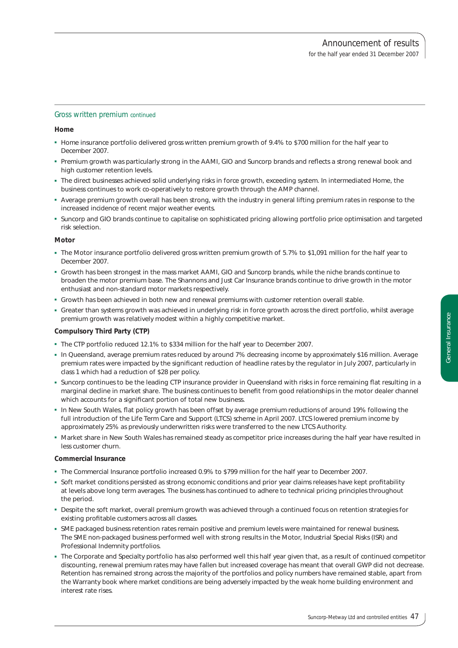### Gross written premium continued

### **Home**

- Home insurance portfolio delivered gross written premium growth of 9.4% to \$700 million for the half year to December 2007.
- Premium growth was particularly strong in the AAMI, GIO and Suncorp brands and reflects a strong renewal book and high customer retention levels.
- The direct businesses achieved solid underlying risks in force growth, exceeding system. In intermediated Home, the business continues to work co-operatively to restore growth through the AMP channel.
- Average premium growth overall has been strong, with the industry in general lifting premium rates in response to the increased incidence of recent major weather events.
- Suncorp and GIO brands continue to capitalise on sophisticated pricing allowing portfolio price optimisation and targeted risk selection.

#### **Motor**

- The Motor insurance portfolio delivered gross written premium growth of 5.7% to \$1,091 million for the half year to December 2007.
- Growth has been strongest in the mass market AAMI, GIO and Suncorp brands, while the niche brands continue to broaden the motor premium base. The Shannons and Just Car Insurance brands continue to drive growth in the motor enthusiast and non-standard motor markets respectively.
- Growth has been achieved in both new and renewal premiums with customer retention overall stable.
- Greater than systems growth was achieved in underlying risk in force growth across the direct portfolio, whilst average premium growth was relatively modest within a highly competitive market.

### **Compulsory Third Party (CTP)**

- The CTP portfolio reduced 12.1% to \$334 million for the half year to December 2007.
- In Queensland, average premium rates reduced by around 7% decreasing income by approximately \$16 million. Average premium rates were impacted by the significant reduction of headline rates by the regulator in July 2007, particularly in class 1 which had a reduction of \$28 per policy.
- Suncorp continues to be the leading CTP insurance provider in Queensland with risks in force remaining flat resulting in a marginal decline in market share. The business continues to benefit from good relationships in the motor dealer channel which accounts for a significant portion of total new business.
- In New South Wales, flat policy growth has been offset by average premium reductions of around 19% following the full introduction of the Life Term Care and Support (LTCS) scheme in April 2007. LTCS lowered premium income by approximately 25% as previously underwritten risks were transferred to the new LTCS Authority.
- Market share in New South Wales has remained steady as competitor price increases during the half year have resulted in less customer churn.

### **Commercial Insurance**

- The Commercial Insurance portfolio increased 0.9% to \$799 million for the half year to December 2007.
- Soft market conditions persisted as strong economic conditions and prior year claims releases have kept profitability at levels above long term averages. The business has continued to adhere to technical pricing principles throughout the period.
- Despite the soft market, overall premium growth was achieved through a continued focus on retention strategies for existing profitable customers across all classes.
- SME packaged business retention rates remain positive and premium levels were maintained for renewal business. The SME non-packaged business performed well with strong results in the Motor, Industrial Special Risks (ISR) and Professional Indemnity portfolios.
- The Corporate and Specialty portfolio has also performed well this half year given that, as a result of continued competitor discounting, renewal premium rates may have fallen but increased coverage has meant that overall GWP did not decrease. Retention has remained strong across the majority of the portfolios and policy numbers have remained stable, apart from the Warranty book where market conditions are being adversely impacted by the weak home building environment and interest rate rises.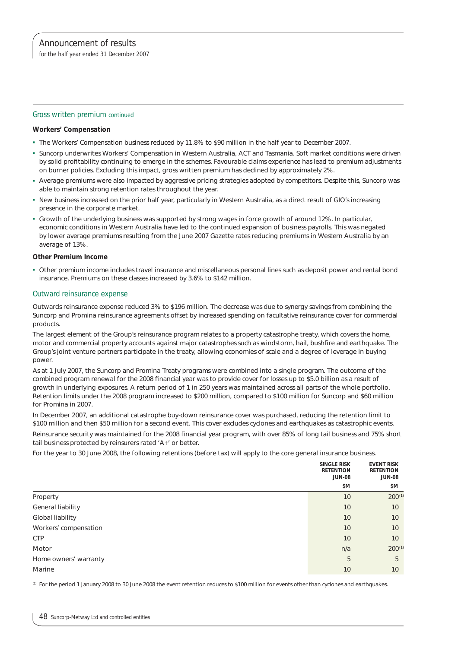for the half year ended 31 December 2007

### Gross written premium continued

## **Workers' Compensation**

- The Workers' Compensation business reduced by 11.8% to \$90 million in the half year to December 2007.
- Suncorp underwrites Workers' Compensation in Western Australia, ACT and Tasmania. Soft market conditions were driven by solid profi tability continuing to emerge in the schemes. Favourable claims experience has lead to premium adjustments on burner policies. Excluding this impact, gross written premium has declined by approximately 2%.
- Average premiums were also impacted by aggressive pricing strategies adopted by competitors. Despite this, Suncorp was able to maintain strong retention rates throughout the year.
- New business increased on the prior half year, particularly in Western Australia, as a direct result of GIO's increasing presence in the corporate market.
- Growth of the underlying business was supported by strong wages in force growth of around 12%. In particular, economic conditions in Western Australia have led to the continued expansion of business payrolls. This was negated by lower average premiums resulting from the June 2007 Gazette rates reducing premiums in Western Australia by an average of 13%.

### **Other Premium Income**

 Other premium income includes travel insurance and miscellaneous personal lines such as deposit power and rental bond insurance. Premiums on these classes increased by 3.6% to \$142 million.

### Outward reinsurance expense

Outwards reinsurance expense reduced 3% to \$196 million. The decrease was due to synergy savings from combining the Suncorp and Promina reinsurance agreements offset by increased spending on facultative reinsurance cover for commercial products.

The largest element of the Group's reinsurance program relates to a property catastrophe treaty, which covers the home, motor and commercial property accounts against major catastrophes such as windstorm, hail, bushfire and earthquake. The Group's joint venture partners participate in the treaty, allowing economies of scale and a degree of leverage in buying power.

As at 1 July 2007, the Suncorp and Promina Treaty programs were combined into a single program. The outcome of the combined program renewal for the 2008 financial year was to provide cover for losses up to \$5.0 billion as a result of growth in underlying exposures. A return period of 1 in 250 years was maintained across all parts of the whole portfolio. Retention limits under the 2008 program increased to \$200 million, compared to \$100 million for Suncorp and \$60 million for Promina in 2007.

In December 2007, an additional catastrophe buy-down reinsurance cover was purchased, reducing the retention limit to \$100 million and then \$50 million for a second event. This cover excludes cyclones and earthquakes as catastrophic events.

Reinsurance security was maintained for the 2008 financial year program, with over 85% of long tail business and 75% short tail business protected by reinsurers rated 'A+' or better.

For the year to 30 June 2008, the following retentions (before tax) will apply to the core general insurance business.

|                          | <b>SINGLE RISK</b><br><b>RETENTION</b><br><b>JUN-08</b> | <b>EVENT RISK</b><br><b>RETENTION</b><br><b>JUN-08</b> |
|--------------------------|---------------------------------------------------------|--------------------------------------------------------|
|                          | \$M                                                     | \$M                                                    |
| Property                 | 10                                                      | $200^{(1)}$                                            |
| <b>General liability</b> | 10                                                      | 10                                                     |
| Global liability         | 10                                                      | 10                                                     |
| Workers' compensation    | 10                                                      | 10                                                     |
| <b>CTP</b>               | 10                                                      | 10                                                     |
| Motor                    | n/a                                                     | $200^{(1)}$                                            |
| Home owners' warranty    | 5                                                       | 5                                                      |
| Marine                   | 10                                                      | 10                                                     |

(1) For the period 1 January 2008 to 30 June 2008 the event retention reduces to \$100 million for events other than cyclones and earthquakes.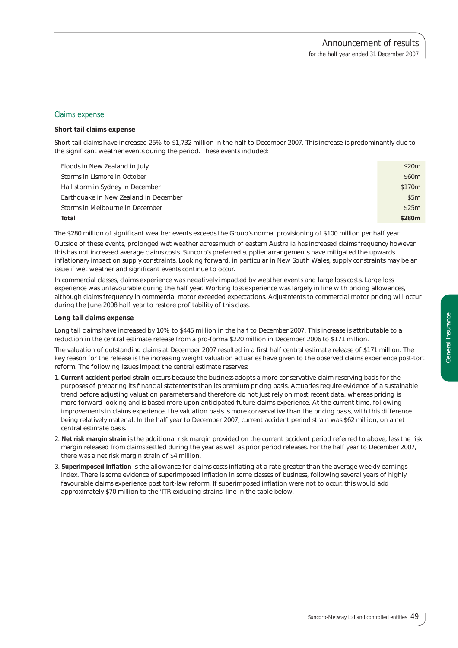### Claims expense

### **Short tail claims expense**

Short tail claims have increased 25% to \$1,732 million in the half to December 2007. This increase is predominantly due to the significant weather events during the period. These events included:

| Floods in New Zealand in July         | \$20 <sub>m</sub>  |
|---------------------------------------|--------------------|
| Storms in Lismore in October          | \$60m              |
| Hail storm in Sydney in December      | \$170 <sub>m</sub> |
| Earthquake in New Zealand in December | \$5m               |
| Storms in Melbourne in December       | \$25m              |
| Total                                 | \$280m             |

The \$280 million of significant weather events exceeds the Group's normal provisioning of \$100 million per half year.

Outside of these events, prolonged wet weather across much of eastern Australia has increased claims frequency however this has not increased average claims costs. Suncorp's preferred supplier arrangements have mitigated the upwards inflationary impact on supply constraints. Looking forward, in particular in New South Wales, supply constraints may be an issue if wet weather and significant events continue to occur.

In commercial classes, claims experience was negatively impacted by weather events and large loss costs. Large loss experience was unfavourable during the half year. Working loss experience was largely in line with pricing allowances, although claims frequency in commercial motor exceeded expectations. Adjustments to commercial motor pricing will occur during the June 2008 half year to restore profitability of this class.

### **Long tail claims expense**

Long tail claims have increased by 10% to \$445 million in the half to December 2007. This increase is attributable to a reduction in the central estimate release from a pro-forma \$220 million in December 2006 to \$171 million.

The valuation of outstanding claims at December 2007 resulted in a first half central estimate release of \$171 million. The key reason for the release is the increasing weight valuation actuaries have given to the observed claims experience post-tort reform. The following issues impact the central estimate reserves:

- 1. **Current accident period strain** occurs because the business adopts a more conservative claim reserving basis for the purposes of preparing its financial statements than its premium pricing basis. Actuaries require evidence of a sustainable trend before adjusting valuation parameters and therefore do not just rely on most recent data, whereas pricing is more forward looking and is based more upon anticipated future claims experience. At the current time, following improvements in claims experience, the valuation basis is more conservative than the pricing basis, with this difference being relatively material. In the half year to December 2007, current accident period strain was \$62 million, on a net central estimate basis.
- 2. **Net risk margin strain** is the additional risk margin provided on the current accident period referred to above, less the risk margin released from claims settled during the year as well as prior period releases. For the half year to December 2007, there was a net risk margin strain of \$4 million.
- 3. Superimposed inflation is the allowance for claims costs inflating at a rate greater than the average weekly earnings index. There is some evidence of superimposed inflation in some classes of business, following several years of highly favourable claims experience post tort-law reform. If superimposed inflation were not to occur, this would add approximately \$70 million to the 'ITR excluding strains' line in the table below.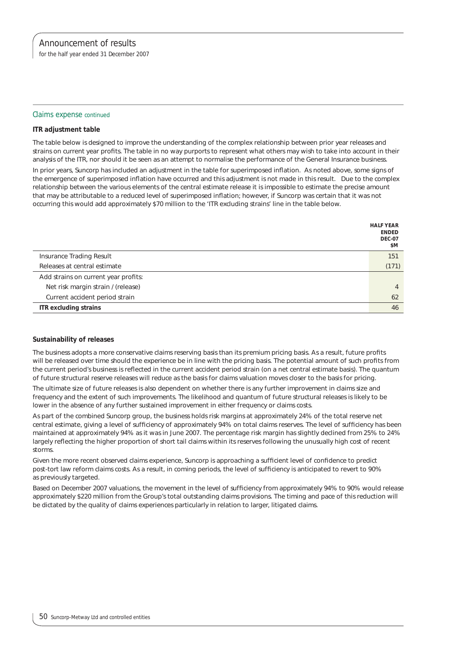for the half year ended 31 December 2007

#### Claims expense continued

#### **ITR adjustment table**

The table below is designed to improve the understanding of the complex relationship between prior year releases and strains on current year profits. The table in no way purports to represent what others may wish to take into account in their analysis of the ITR, nor should it be seen as an attempt to normalise the performance of the General Insurance business.

In prior years, Suncorp has included an adjustment in the table for superimposed inflation. As noted above, some signs of the emergence of superimposed inflation have occurred and this adjustment is not made in this result. Due to the complex relationship between the various elements of the central estimate release it is impossible to estimate the precise amount that may be attributable to a reduced level of superimposed inflation; however, if Suncorp was certain that it was not occurring this would add approximately \$70 million to the 'ITR excluding strains' line in the table below.

|                                      | <b>HALF YEAR</b><br><b>ENDED</b><br><b>DEC-07</b><br>\$M |
|--------------------------------------|----------------------------------------------------------|
| Insurance Trading Result             | 151                                                      |
| Releases at central estimate         | (171)                                                    |
| Add strains on current year profits: |                                                          |
| Net risk margin strain / (release)   | 4                                                        |
| Current accident period strain       | 62                                                       |
| <b>ITR excluding strains</b>         | 46                                                       |

### **Sustainability of releases**

The business adopts a more conservative claims reserving basis than its premium pricing basis. As a result, future profits will be released over time should the experience be in line with the pricing basis. The potential amount of such profits from the current period's business is reflected in the current accident period strain (on a net central estimate basis). The quantum of future structural reserve releases will reduce as the basis for claims valuation moves closer to the basis for pricing.

The ultimate size of future releases is also dependent on whether there is any further improvement in claims size and frequency and the extent of such improvements. The likelihood and quantum of future structural releases is likely to be lower in the absence of any further sustained improvement in either frequency or claims costs.

As part of the combined Suncorp group, the business holds risk margins at approximately 24% of the total reserve net central estimate, giving a level of sufficiency of approximately 94% on total claims reserves. The level of sufficiency has been maintained at approximately 94% as it was in June 2007. The percentage risk margin has slightly declined from 25% to 24% largely reflecting the higher proportion of short tail claims within its reserves following the unusually high cost of recent storms.

Given the more recent observed claims experience, Suncorp is approaching a sufficient level of confidence to predict post-tort law reform claims costs. As a result, in coming periods, the level of sufficiency is anticipated to revert to 90% as previously targeted.

Based on December 2007 valuations, the movement in the level of sufficiency from approximately 94% to 90% would release approximately \$220 million from the Group's total outstanding claims provisions. The timing and pace of this reduction will be dictated by the quality of claims experiences particularly in relation to larger, litigated claims.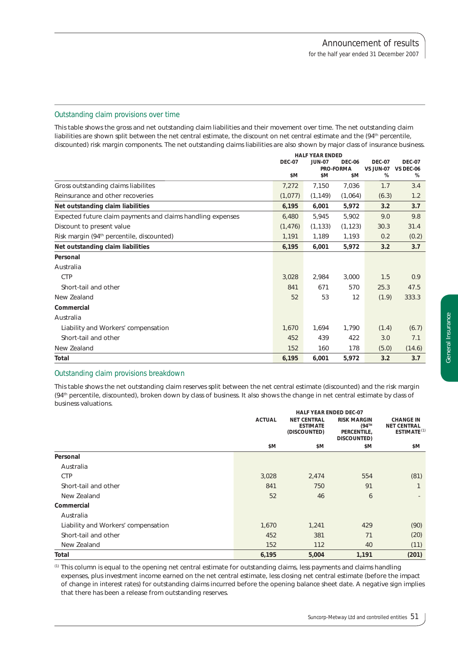### Outstanding claim provisions over time

This table shows the gross and net outstanding claim liabilities and their movement over time. The net outstanding claim liabilities are shown split between the net central estimate, the discount on net central estimate and the (94<sup>th</sup> percentile, discounted) risk margin components. The net outstanding claims liabilities are also shown by major class of insurance business.

|                                                             |               | <b>HALF YEAR ENDED</b> |                                   |                                   |                            |
|-------------------------------------------------------------|---------------|------------------------|-----------------------------------|-----------------------------------|----------------------------|
|                                                             | <b>DEC-07</b> | <b>JUN-07</b>          | <b>DEC-06</b><br><b>PRO-FORMA</b> | <b>DEC-07</b><br><b>VS JUN-07</b> | <b>DEC-07</b><br>VS DEC-06 |
|                                                             | \$M           | \$M                    | \$M                               | %                                 | %                          |
| Gross outstanding claims liabilites                         | 7,272         | 7,150                  | 7,036                             | 1.7                               | 3.4                        |
| Reinsurance and other recoveries                            | (1,077)       | (1, 149)               | (1,064)                           | (6.3)                             | 1.2                        |
| Net outstanding claim liabilities                           | 6,195         | 6,001                  | 5,972                             | 3.2                               | 3.7                        |
| Expected future claim payments and claims handling expenses | 6,480         | 5,945                  | 5,902                             | 9.0                               | 9.8                        |
| Discount to present value                                   | (1, 476)      | (1, 133)               | (1, 123)                          | 30.3                              | 31.4                       |
| Risk margin (94 <sup>th</sup> percentile, discounted)       | 1,191         | 1,189                  | 1,193                             | 0.2                               | (0.2)                      |
| Net outstanding claim liabilities                           | 6,195         | 6,001                  | 5,972                             | 3.2                               | 3.7                        |
| Personal                                                    |               |                        |                                   |                                   |                            |
| Australia                                                   |               |                        |                                   |                                   |                            |
| <b>CTP</b>                                                  | 3,028         | 2,984                  | 3,000                             | 1.5                               | 0.9                        |
| Short-tail and other                                        | 841           | 671                    | 570                               | 25.3                              | 47.5                       |
| New Zealand                                                 | 52            | 53                     | 12                                | (1.9)                             | 333.3                      |
| Commercial                                                  |               |                        |                                   |                                   |                            |
| Australia                                                   |               |                        |                                   |                                   |                            |
| Liability and Workers' compensation                         | 1,670         | 1,694                  | 1,790                             | (1.4)                             | (6.7)                      |
| Short-tail and other                                        | 452           | 439                    | 422                               | 3.0                               | 7.1                        |
| New Zealand                                                 | 152           | 160                    | 178                               | (5.0)                             | (14.6)                     |
| Total                                                       | 6,195         | 6,001                  | 5,972                             | 3.2                               | 3.7                        |

### Outstanding claim provisions breakdown

This table shows the net outstanding claim reserves split between the net central estimate (discounted) and the risk margin (94th percentile, discounted), broken down by class of business. It also shows the change in net central estimate by class of business valuations.

|                                     |               | <b>HALF YEAR ENDED DEC-07</b>                         |                                                                         |                                                                   |  |  |  |  |  |
|-------------------------------------|---------------|-------------------------------------------------------|-------------------------------------------------------------------------|-------------------------------------------------------------------|--|--|--|--|--|
|                                     | <b>ACTUAL</b> | <b>NET CENTRAL</b><br><b>ESTIMATE</b><br>(DISCOUNTED) | <b>RISK MARGIN</b><br>(94 <sup>TH</sup> )<br>PERCENTILE,<br>DISCOUNTED) | <b>CHANGE IN</b><br><b>NET CENTRAL</b><br>ESTIMATE <sup>(1)</sup> |  |  |  |  |  |
|                                     | \$Μ           | \$Μ                                                   | \$Μ                                                                     | \$M                                                               |  |  |  |  |  |
| Personal                            |               |                                                       |                                                                         |                                                                   |  |  |  |  |  |
| Australia                           |               |                                                       |                                                                         |                                                                   |  |  |  |  |  |
| <b>CTP</b>                          | 3,028         | 2,474                                                 | 554                                                                     | (81)                                                              |  |  |  |  |  |
| Short-tail and other                | 841           | 750                                                   | 91                                                                      | $\mathbf{1}$                                                      |  |  |  |  |  |
| New Zealand                         | 52            | 46                                                    | 6                                                                       |                                                                   |  |  |  |  |  |
| Commercial                          |               |                                                       |                                                                         |                                                                   |  |  |  |  |  |
| Australia                           |               |                                                       |                                                                         |                                                                   |  |  |  |  |  |
| Liability and Workers' compensation | 1,670         | 1,241                                                 | 429                                                                     | (90)                                                              |  |  |  |  |  |
| Short-tail and other                | 452           | 381                                                   | 71                                                                      | (20)                                                              |  |  |  |  |  |
| New Zealand                         | 152           | 112                                                   | 40                                                                      | (11)                                                              |  |  |  |  |  |
| Total                               | 6,195         | 5,004                                                 | 1,191                                                                   | (201)                                                             |  |  |  |  |  |

(1) This column is equal to the opening net central estimate for outstanding claims, less payments and claims handling expenses, plus investment income earned on the net central estimate, less closing net central estimate (before the impact of change in interest rates) for outstanding claims incurred before the opening balance sheet date. A negative sign implies that there has been a release from outstanding reserves.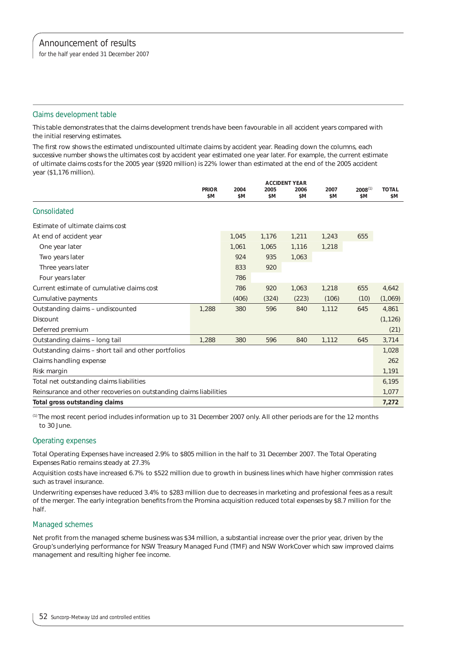for the half year ended 31 December 2007

### Claims development table

This table demonstrates that the claims development trends have been favourable in all accident years compared with the initial reserving estimates.

The first row shows the estimated undiscounted ultimate claims by accident year. Reading down the columns, each successive number shows the ultimates cost by accident year estimated one year later. For example, the current estimate of ultimate claims costs for the 2005 year (\$920 million) is 22% lower than estimated at the end of the 2005 accident year (\$1,176 million).

|                                                                    |                     |             |             | <b>ACCIDENT YEAR</b> |             |                     |                     |
|--------------------------------------------------------------------|---------------------|-------------|-------------|----------------------|-------------|---------------------|---------------------|
|                                                                    | <b>PRIOR</b><br>\$M | 2004<br>\$M | 2005<br>\$M | 2006<br>\$M          | 2007<br>\$M | $2008^{(1)}$<br>\$M | <b>TOTAL</b><br>\$M |
|                                                                    |                     |             |             |                      |             |                     |                     |
| Consolidated                                                       |                     |             |             |                      |             |                     |                     |
| Estimate of ultimate claims cost                                   |                     |             |             |                      |             |                     |                     |
| At end of accident year                                            |                     | 1,045       | 1,176       | 1,211                | 1,243       | 655                 |                     |
| One year later                                                     |                     | 1,061       | 1,065       | 1,116                | 1,218       |                     |                     |
| Two years later                                                    |                     | 924         | 935         | 1,063                |             |                     |                     |
| Three years later                                                  |                     | 833         | 920         |                      |             |                     |                     |
| Four years later                                                   |                     | 786         |             |                      |             |                     |                     |
| Current estimate of cumulative claims cost                         |                     | 786         | 920         | 1,063                | 1,218       | 655                 | 4,642               |
| Cumulative payments                                                |                     | (406)       | (324)       | (223)                | (106)       | (10)                | (1,069)             |
| Outstanding claims - undiscounted                                  | 1,288               | 380         | 596         | 840                  | 1,112       | 645                 | 4,861               |
| <b>Discount</b>                                                    |                     |             |             |                      |             |                     | (1, 126)            |
| Deferred premium                                                   |                     |             |             |                      |             |                     | (21)                |
| Outstanding claims - long tail                                     | 1.288               | 380         | 596         | 840                  | 1,112       | 645                 | 3,714               |
| Outstanding claims – short tail and other portfolios               |                     |             |             |                      |             |                     | 1,028               |
| Claims handling expense                                            |                     |             |             |                      |             |                     | 262                 |
| Risk margin                                                        |                     |             |             |                      |             |                     | 1,191               |
| Total net outstanding claims liabilities                           |                     |             |             |                      |             |                     | 6,195               |
| Reinsurance and other recoveries on outstanding claims liabilities |                     |             |             |                      |             |                     | 1,077               |
| Total gross outstanding claims                                     |                     |             |             |                      |             |                     | 7,272               |

(1) The most recent period includes information up to 31 December 2007 only. All other periods are for the 12 months to 30 June.

## Operating expenses

Total Operating Expenses have increased 2.9% to \$805 million in the half to 31 December 2007. The Total Operating Expenses Ratio remains steady at 27.3%

Acquisition costs have increased 6.7% to \$522 million due to growth in business lines which have higher commission rates such as travel insurance.

Underwriting expenses have reduced 3.4% to \$283 million due to decreases in marketing and professional fees as a result of the merger. The early integration benefits from the Promina acquisition reduced total expenses by \$8.7 million for the half.

### Managed schemes

Net profit from the managed scheme business was \$34 million, a substantial increase over the prior year, driven by the Group's underlying performance for NSW Treasury Managed Fund (TMF) and NSW WorkCover which saw improved claims management and resulting higher fee income.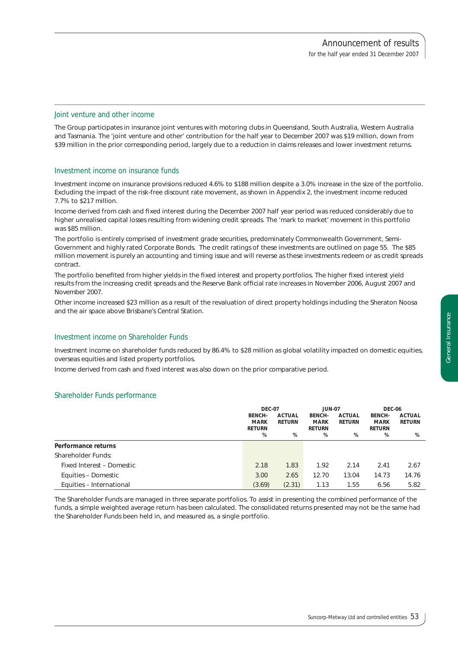### Joint venture and other income

The Group participates in insurance joint ventures with motoring clubs in Queensland, South Australia, Western Australia and Tasmania. The 'joint venture and other' contribution for the half year to December 2007 was \$19 million, down from \$39 million in the prior corresponding period, largely due to a reduction in claims releases and lower investment returns.

### Investment income on insurance funds

Investment income on insurance provisions reduced 4.6% to \$188 million despite a 3.0% increase in the size of the portfolio. Excluding the impact of the risk-free discount rate movement, as shown in Appendix 2, the investment income reduced 7.7% to \$217 million.

Income derived from cash and fixed interest during the December 2007 half year period was reduced considerably due to higher unrealised capital losses resulting from widening credit spreads. The 'mark to market' movement in this portfolio was \$85 million.

The portfolio is entirely comprised of investment grade securities, predominately Commonwealth Government, Semi-Government and highly rated Corporate Bonds. The credit ratings of these investments are outlined on page 55. The \$85 million movement is purely an accounting and timing issue and will reverse as these investments redeem or as credit spreads contract.

The portfolio benefited from higher yields in the fixed interest and property portfolios. The higher fixed interest yield results from the increasing credit spreads and the Reserve Bank official rate increases in November 2006, August 2007 and November 2007.

Other income increased \$23 million as a result of the revaluation of direct property holdings including the Sheraton Noosa and the air space above Brisbane's Central Station.

### Investment income on Shareholder Funds

Investment income on shareholder funds reduced by 86.4% to \$28 million as global volatility impacted on domestic equities, overseas equities and listed property portfolios.

Income derived from cash and fixed interest was also down on the prior comparative period.

#### Shareholder Funds performance

|                           | <b>DEC-07</b>                                 |                                | <b>JUN-07</b>                                 |                                | <b>DEC-06</b>                                 |                                |
|---------------------------|-----------------------------------------------|--------------------------------|-----------------------------------------------|--------------------------------|-----------------------------------------------|--------------------------------|
|                           | <b>BENCH-</b><br><b>MARK</b><br><b>RETURN</b> | <b>ACTUAL</b><br><b>RETURN</b> | <b>BENCH-</b><br><b>MARK</b><br><b>RETURN</b> | <b>ACTUAL</b><br><b>RETURN</b> | <b>BENCH-</b><br><b>MARK</b><br><b>RETURN</b> | <b>ACTUAL</b><br><b>RETURN</b> |
|                           | %                                             | %                              | %                                             | ℅                              | %                                             | %                              |
| Performance returns       |                                               |                                |                                               |                                |                                               |                                |
| Shareholder Funds:        |                                               |                                |                                               |                                |                                               |                                |
| Fixed Interest - Domestic | 2.18                                          | 1.83                           | 1.92                                          | 2.14                           | 2.41                                          | 2.67                           |
| Equities - Domestic       | 3.00                                          | 2.65                           | 12.70                                         | 13.04                          | 14.73                                         | 14.76                          |
| Equities - International  | (3.69)                                        | (2.31)                         | 1.13                                          | 1.55                           | 6.56                                          | 5.82                           |

The Shareholder Funds are managed in three separate portfolios. To assist in presenting the combined performance of the funds, a simple weighted average return has been calculated. The consolidated returns presented may not be the same had the Shareholder Funds been held in, and measured as, a single portfolio.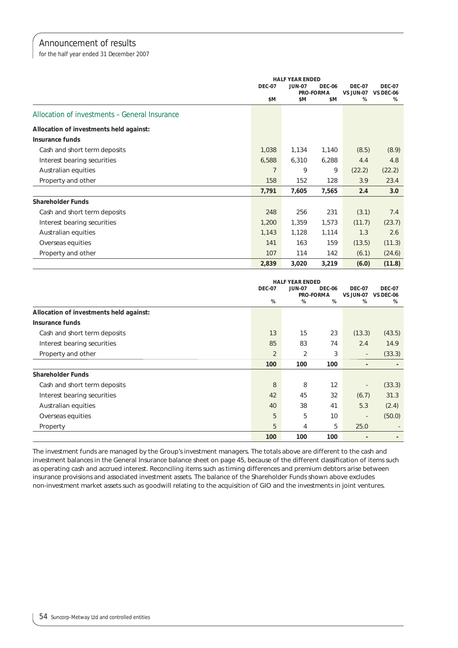for the half year ended 31 December 2007

|                                               |                       | <b>HALF YEAR ENDED</b>                  |                                   |                            |                            |
|-----------------------------------------------|-----------------------|-----------------------------------------|-----------------------------------|----------------------------|----------------------------|
|                                               | <b>DEC-07</b>         | <b>JUN-07</b>                           | <b>DEC-06</b><br><b>PRO-FORMA</b> | <b>DEC-07</b><br>VS JUN-07 | <b>DEC-07</b><br>VS DEC-06 |
|                                               | \$M                   | \$M                                     | \$M                               | %                          | %                          |
| Allocation of investments - General Insurance |                       |                                         |                                   |                            |                            |
| Allocation of investments held against:       |                       |                                         |                                   |                            |                            |
| Insurance funds                               |                       |                                         |                                   |                            |                            |
| Cash and short term deposits                  | 1,038                 | 1,134                                   | 1,140                             | (8.5)                      | (8.9)                      |
| Interest bearing securities                   | 6,588                 | 6,310                                   | 6,288                             | 4.4                        | 4.8                        |
| Australian equities                           | $\overline{7}$        | 9                                       | 9                                 | (22.2)                     | (22.2)                     |
| Property and other                            | 158                   | 152                                     | 128                               | 3.9                        | 23.4                       |
|                                               | 7,791                 | 7,605                                   | 7,565                             | 2.4                        | 3.0                        |
| <b>Shareholder Funds</b>                      |                       |                                         |                                   |                            |                            |
| Cash and short term deposits                  | 248                   | 256                                     | 231                               | (3.1)                      | 7.4                        |
| Interest bearing securities                   | 1,200                 | 1.359                                   | 1,573                             | (11.7)                     | (23.7)                     |
| Australian equities                           | 1,143                 | 1,128                                   | 1,114                             | 1.3                        | 2.6                        |
| Overseas equities                             | 141                   | 163                                     | 159                               | (13.5)                     | (11.3)                     |
| Property and other                            | 107                   | 114                                     | 142                               | (6.1)                      | (24.6)                     |
|                                               | 2,839                 | 3,020                                   | 3,219                             | (6.0)                      | (11.8)                     |
|                                               |                       |                                         |                                   |                            |                            |
|                                               | <b>DEC-07</b>         | <b>HALF YEAR ENDED</b><br><b>JUN-07</b> | <b>DEC-06</b>                     | <b>DEC-07</b>              | <b>DEC-07</b>              |
|                                               | %                     | %                                       | <b>PRO-FORMA</b><br>%             | <b>VS JUN-07</b><br>%      | VS DEC-06<br>℅             |
| Allocation of investments held against:       |                       |                                         |                                   |                            |                            |
| <b>Insurance funds</b>                        |                       |                                         |                                   |                            |                            |
|                                               |                       | 15                                      | 23                                |                            |                            |
| Cash and short term deposits                  | 13<br>85              | 83                                      | 74                                | (13.3)<br>2.4              | (43.5)<br>14.9             |
| Interest bearing securities                   |                       |                                         |                                   |                            |                            |
| Property and other                            | $\overline{2}$<br>100 | 2<br>100                                | 3<br>100                          | $\overline{\phantom{a}}$   | (33.3)                     |
| .                                             |                       |                                         |                                   | $\overline{\phantom{a}}$   |                            |

| <b>Shareholder Funds</b>     |     |     |     |                          |                          |
|------------------------------|-----|-----|-----|--------------------------|--------------------------|
| Cash and short term deposits | 8   | 8   | 12  | $\overline{\phantom{a}}$ | (33.3)                   |
| Interest bearing securities  | 42  | 45  | 32  | (6.7)                    | 31.3                     |
| Australian equities          | 40  | 38  | 41  | 5.3                      | (2.4)                    |
| Overseas equities            | 5   | 5   | 10  | $\overline{\phantom{a}}$ | (50.0)                   |
| Property                     | 5   | 4   | 5   | 25.0                     |                          |
|                              | 100 | 100 | 100 | $\overline{a}$           | $\overline{\phantom{a}}$ |

The investment funds are managed by the Group's investment managers. The totals above are different to the cash and investment balances in the General Insurance balance sheet on page 45, because of the different classification of items such as operating cash and accrued interest. Reconciling items such as timing differences and premium debtors arise between insurance provisions and associated investment assets. The balance of the Shareholder Funds shown above excludes non-investment market assets such as goodwill relating to the acquisition of GIO and the investments in joint ventures.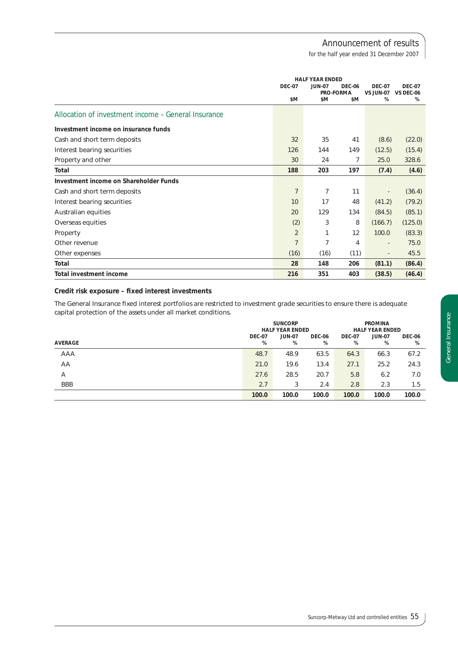for the half year ended 31 December 2007

|                                                     | <b>HALF YEAR ENDED</b><br><b>DEC-07</b><br><b>JUN-07</b><br><b>DEC-06</b><br><b>DEC-07</b> |      |                         |                          | <b>DEC-07</b>  |
|-----------------------------------------------------|--------------------------------------------------------------------------------------------|------|-------------------------|--------------------------|----------------|
|                                                     | \$M                                                                                        | \$M  | <b>PRO-FORMA</b><br>\$M | <b>VS JUN-07</b><br>%    | VS DEC-06<br>% |
| Allocation of investment income - General Insurance |                                                                                            |      |                         |                          |                |
| Investment income on insurance funds                |                                                                                            |      |                         |                          |                |
| Cash and short term deposits                        | 32                                                                                         | 35   | 41                      | (8.6)                    | (22.0)         |
| Interest bearing securities                         | 126                                                                                        | 144  | 149                     | (12.5)                   | (15.4)         |
| Property and other                                  | 30                                                                                         | 24   | 7                       | 25.0                     | 328.6          |
| Total                                               | 188                                                                                        | 203  | 197                     | (7.4)                    | (4.6)          |
| Investment income on Shareholder Funds              |                                                                                            |      |                         |                          |                |
| Cash and short term deposits                        | $\overline{7}$                                                                             | 7    | 11                      |                          | (36.4)         |
| Interest bearing securities                         | 10                                                                                         | 17   | 48                      | (41.2)                   | (79.2)         |
| Australian equities                                 | 20                                                                                         | 129  | 134                     | (84.5)                   | (85.1)         |
| Overseas equities                                   | (2)                                                                                        | 3    | 8                       | (166.7)                  | (125.0)        |
| Property                                            | $\overline{2}$                                                                             | 1    | 12                      | 100.0                    | (83.3)         |
| Other revenue                                       | $\overline{7}$                                                                             | 7    | 4                       |                          | 75.0           |
| Other expenses                                      | (16)                                                                                       | (16) | (11)                    | $\overline{\phantom{a}}$ | 45.5           |
| Total                                               | 28                                                                                         | 148  | 206                     | (81.1)                   | (86.4)         |
| Total investment income                             | 216                                                                                        | 351  | 403                     | (38.5)                   | (46.4)         |

### **Credit risk exposure – fi xed interest investments**

The General Insurance fixed interest portfolios are restricted to investment grade securities to ensure there is adequate capital protection of the assets under all market conditions.

|                | <b>SUNCORP</b><br><b>HALF YEAR ENDED</b> |                    |                    |                    | <b>PROMINA</b><br><b>HALF YEAR ENDED</b> |                    |
|----------------|------------------------------------------|--------------------|--------------------|--------------------|------------------------------------------|--------------------|
| <b>AVERAGE</b> | <b>DEC-07</b><br>%                       | <b>JUN-07</b><br>% | <b>DEC-06</b><br>% | <b>DEC-07</b><br>% | <b>JUN-07</b><br>%                       | <b>DEC-06</b><br>% |
| AAA            | 48.7                                     | 48.9               | 63.5               | 64.3               | 66.3                                     | 67.2               |
| AA             | 21.0                                     | 19.6               | 13.4               | 27.1               | 25.2                                     | 24.3               |
| A              | 27.6                                     | 28.5               | 20.7               | 5.8                | 6.2                                      | 7.0                |
| <b>BBB</b>     | 2.7                                      | 3                  | 2.4                | 2.8                | 2.3                                      | 1.5                |
|                | 100.0                                    | 100.0              | 100.0              | 100.0              | 100.0                                    | 100.0              |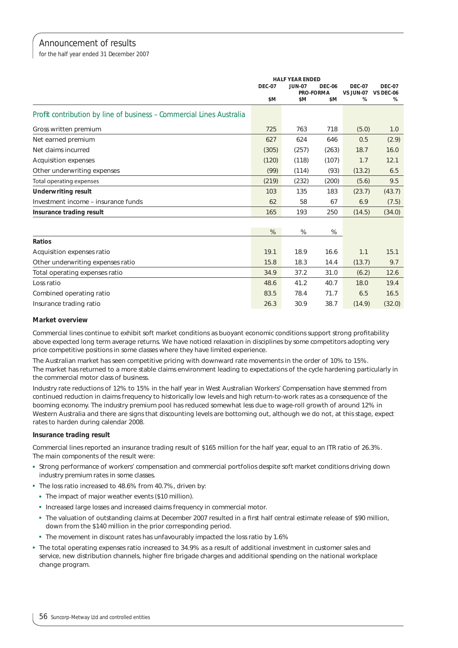for the half year ended 31 December 2007

|                                                                      | <b>DEC-07</b> | <b>HALF YEAR ENDED</b><br><b>JUN-07</b> | <b>DEC-06</b> | <b>DEC-07</b>    | <b>DEC-07</b> |
|----------------------------------------------------------------------|---------------|-----------------------------------------|---------------|------------------|---------------|
|                                                                      |               | <b>PRO-FORMA</b>                        |               | <b>VS JUN-07</b> | VS DEC-06     |
|                                                                      | \$M           | \$M                                     | \$M           | %                | %             |
| Profit contribution by line of business - Commercial Lines Australia |               |                                         |               |                  |               |
| Gross written premium                                                | 725           | 763                                     | 718           | (5.0)            | 1.0           |
| Net earned premium                                                   | 627           | 624                                     | 646           | 0.5              | (2.9)         |
| Net claims incurred                                                  | (305)         | (257)                                   | (263)         | 18.7             | 16.0          |
| <b>Acquisition expenses</b>                                          | (120)         | (118)                                   | (107)         | 1.7              | 12.1          |
| Other underwriting expenses                                          | (99)          | (114)                                   | (93)          | (13.2)           | 6.5           |
| Total operating expenses                                             | (219)         | (232)                                   | (200)         | (5.6)            | 9.5           |
| <b>Underwriting result</b>                                           | 103           | 135                                     | 183           | (23.7)           | (43.7)        |
| Investment income - insurance funds                                  | 62            | 58                                      | 67            | 6.9              | (7.5)         |
| Insurance trading result                                             | 165           | 193                                     | 250           | (14.5)           | (34.0)        |
|                                                                      |               |                                         |               |                  |               |
|                                                                      | %             | %                                       | %             |                  |               |
| Ratios                                                               |               |                                         |               |                  |               |
| Acquisition expenses ratio                                           | 19.1          | 18.9                                    | 16.6          | 1.1              | 15.1          |
| Other underwriting expenses ratio                                    | 15.8          | 18.3                                    | 14.4          | (13.7)           | 9.7           |
| Total operating expenses ratio                                       | 34.9          | 37.2                                    | 31.0          | (6.2)            | 12.6          |
| Loss ratio                                                           | 48.6          | 41.2                                    | 40.7          | 18.0             | 19.4          |
| Combined operating ratio                                             | 83.5          | 78.4                                    | 71.7          | 6.5              | 16.5          |
| Insurance trading ratio                                              | 26.3          | 30.9                                    | 38.7          | (14.9)           | (32.0)        |

### **Market overview**

Commercial lines continue to exhibit soft market conditions as buoyant economic conditions support strong profitability above expected long term average returns. We have noticed relaxation in disciplines by some competitors adopting very price competitive positions in some classes where they have limited experience.

The Australian market has seen competitive pricing with downward rate movements in the order of 10% to 15%. The market has returned to a more stable claims environment leading to expectations of the cycle hardening particularly in the commercial motor class of business.

Industry rate reductions of 12% to 15% in the half year in West Australian Workers' Compensation have stemmed from continued reduction in claims frequency to historically low levels and high return-to-work rates as a consequence of the booming economy. The industry premium pool has reduced somewhat less due to wage-roll growth of around 12% in Western Australia and there are signs that discounting levels are bottoming out, although we do not, at this stage, expect rates to harden during calendar 2008.

### **Insurance trading result**

Commercial lines reported an insurance trading result of \$165 million for the half year, equal to an ITR ratio of 26.3%. The main components of the result were:

- Strong performance of workers' compensation and commercial portfolios despite soft market conditions driving down industry premium rates in some classes.
- The loss ratio increased to 48.6% from 40.7%, driven by:
	- The impact of major weather events (\$10 million).
	- **Increased large losses and increased claims frequency in commercial motor.**
	- The valuation of outstanding claims at December 2007 resulted in a first half central estimate release of \$90 million, down from the \$140 million in the prior corresponding period.
	- The movement in discount rates has unfavourably impacted the loss ratio by 1.6%
- The total operating expenses ratio increased to 34.9% as a result of additional investment in customer sales and service, new distribution channels, higher fire brigade charges and additional spending on the national workplace change program.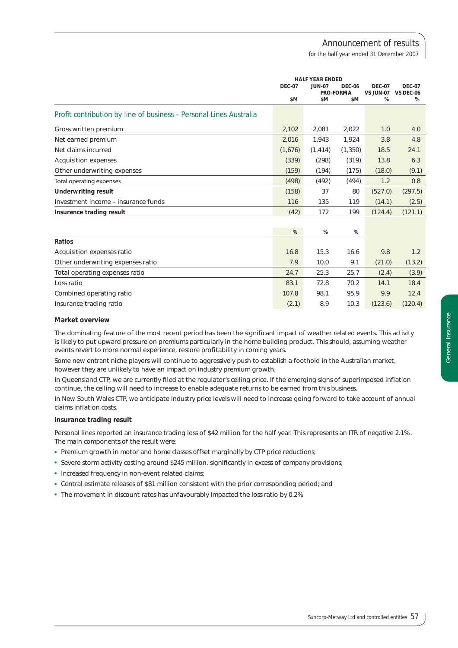for the half year ended 31 December 2007

|                                                                    |               | <b>HALF YEAR ENDED</b> |                                   |                                   |                            |
|--------------------------------------------------------------------|---------------|------------------------|-----------------------------------|-----------------------------------|----------------------------|
|                                                                    | <b>DEC-07</b> | <b>JUN-07</b>          | <b>DEC-06</b><br><b>PRO-FORMA</b> | <b>DEC-07</b><br><b>VS JUN-07</b> | <b>DEC-07</b><br>VS DEC-06 |
|                                                                    | \$M           | \$M                    | \$M                               | $\%$                              | %                          |
| Profit contribution by line of business - Personal Lines Australia |               |                        |                                   |                                   |                            |
| Gross written premium                                              | 2,102         | 2,081                  | 2,022                             | 1.0                               | 4.0                        |
| Net earned premium                                                 | 2,016         | 1.943                  | 1,924                             | 3.8                               | 4.8                        |
| Net claims incurred                                                | (1,676)       | (1, 414)               | (1,350)                           | 18.5                              | 24.1                       |
| <b>Acquisition expenses</b>                                        | (339)         | (298)                  | (319)                             | 13.8                              | 6.3                        |
| Other underwriting expenses                                        | (159)         | (194)                  | (175)                             | (18.0)                            | (9.1)                      |
| Total operating expenses                                           | (498)         | (492)                  | (494)                             | 1.2                               | 0.8                        |
| <b>Underwriting result</b>                                         | (158)         | 37                     | 80                                | (527.0)                           | (297.5)                    |
| Investment income – insurance funds                                | 116           | 135                    | 119                               | (14.1)                            | (2.5)                      |
| Insurance trading result                                           | (42)          | 172                    | 199                               | (124.4)                           | (121.1)                    |
|                                                                    |               |                        |                                   |                                   |                            |
|                                                                    | %             | %                      | %                                 |                                   |                            |
| <b>Ratios</b>                                                      |               |                        |                                   |                                   |                            |
| Acquisition expenses ratio                                         | 16.8          | 15.3                   | 16.6                              | 9.8                               | 1.2                        |
| Other underwriting expenses ratio                                  | 7.9           | 10.0                   | 9.1                               | (21.0)                            | (13.2)                     |
| Total operating expenses ratio                                     | 24.7          | 25.3                   | 25.7                              | (2.4)                             | (3.9)                      |
| Loss ratio                                                         | 83.1          | 72.8                   | 70.2                              | 14.1                              | 18.4                       |
| Combined operating ratio                                           | 107.8         | 98.1                   | 95.9                              | 9.9                               | 12.4                       |
| Insurance trading ratio                                            | (2.1)         | 8.9                    | 10.3                              | (123.6)                           | (120.4)                    |

### **Market overview**

The dominating feature of the most recent period has been the significant impact of weather related events. This activity is likely to put upward pressure on premiums particularly in the home building product. This should, assuming weather events revert to more normal experience, restore profitability in coming years.

Some new entrant niche players will continue to aggressively push to establish a foothold in the Australian market, however they are unlikely to have an impact on industry premium growth.

In Queensland CTP, we are currently filed at the regulator's ceiling price. If the emerging signs of superimposed inflation continue, the ceiling will need to increase to enable adequate returns to be earned from this business.

In New South Wales CTP, we anticipate industry price levels will need to increase going forward to take account of annual claims inflation costs.

#### **Insurance trading result**

Personal lines reported an insurance trading loss of \$42 million for the half year. This represents an ITR of negative 2.1%. The main components of the result were:

- Premium growth in motor and home classes offset marginally by CTP price reductions;
- Severe storm activity costing around \$245 million, significantly in excess of company provisions;
- **Increased frequency in non-event related claims;**
- Central estimate releases of \$81 million consistent with the prior corresponding period; and
- The movement in discount rates has unfavourably impacted the loss ratio by 0.2%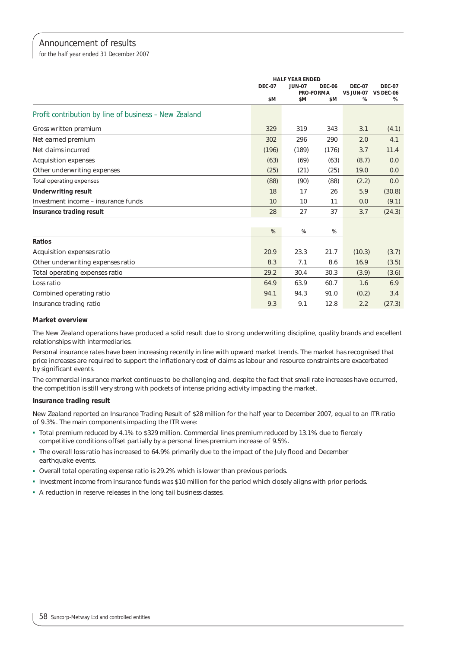for the half year ended 31 December 2007

|                                                       | <b>DEC-07</b> | <b>HALF YEAR ENDED</b>            |               |                                   | <b>DEC-07</b> |
|-------------------------------------------------------|---------------|-----------------------------------|---------------|-----------------------------------|---------------|
|                                                       |               | <b>JUN-07</b><br><b>PRO-FORMA</b> | <b>DEC-06</b> | <b>DEC-07</b><br><b>VS JUN-07</b> | VS DEC-06     |
|                                                       | \$M           | \$M                               | \$M           | %                                 | %             |
| Profit contribution by line of business - New Zealand |               |                                   |               |                                   |               |
| Gross written premium                                 | 329           | 319                               | 343           | 3.1                               | (4.1)         |
| Net earned premium                                    | 302           | 296                               | 290           | 2.0                               | 4.1           |
| Net claims incurred                                   | (196)         | (189)                             | (176)         | 3.7                               | 11.4          |
| <b>Acquisition expenses</b>                           | (63)          | (69)                              | (63)          | (8.7)                             | 0.0           |
| Other underwriting expenses                           | (25)          | (21)                              | (25)          | 19.0                              | 0.0           |
| Total operating expenses                              | (88)          | (90)                              | (88)          | (2.2)                             | 0.0           |
| <b>Underwriting result</b>                            | 18            | 17                                | 26            | 5.9                               | (30.8)        |
| Investment income - insurance funds                   | 10            | 10                                | 11            | 0.0                               | (9.1)         |
| Insurance trading result                              | 28            | 27                                | 37            | 3.7                               | (24.3)        |
|                                                       |               |                                   |               |                                   |               |
|                                                       | %             | %                                 | %             |                                   |               |
| Ratios                                                |               |                                   |               |                                   |               |
| Acquisition expenses ratio                            | 20.9          | 23.3                              | 21.7          | (10.3)                            | (3.7)         |
| Other underwriting expenses ratio                     | 8.3           | 7.1                               | 8.6           | 16.9                              | (3.5)         |
| Total operating expenses ratio                        | 29.2          | 30.4                              | 30.3          | (3.9)                             | (3.6)         |
| Loss ratio                                            | 64.9          | 63.9                              | 60.7          | 1.6                               | 6.9           |
| Combined operating ratio                              | 94.1          | 94.3                              | 91.0          | (0.2)                             | 3.4           |
| Insurance trading ratio                               | 9.3           | 9.1                               | 12.8          | 2.2                               | (27.3)        |

#### **Market overview**

The New Zealand operations have produced a solid result due to strong underwriting discipline, quality brands and excellent relationships with intermediaries.

Personal insurance rates have been increasing recently in line with upward market trends. The market has recognised that price increases are required to support the inflationary cost of claims as labour and resource constraints are exacerbated by significant events.

The commercial insurance market continues to be challenging and, despite the fact that small rate increases have occurred, the competition is still very strong with pockets of intense pricing activity impacting the market.

### **Insurance trading result**

New Zealand reported an Insurance Trading Result of \$28 million for the half year to December 2007, equal to an ITR ratio of 9.3%. The main components impacting the ITR were:

- Total premium reduced by 4.1% to \$329 million. Commercial lines premium reduced by 13.1% due to fiercely competitive conditions offset partially by a personal lines premium increase of 9.5%.
- The overall loss ratio has increased to 64.9% primarily due to the impact of the July flood and December earthquake events.
- Overall total operating expense ratio is 29.2% which is lower than previous periods.
- Investment income from insurance funds was \$10 million for the period which closely aligns with prior periods.
- A reduction in reserve releases in the long tail business classes.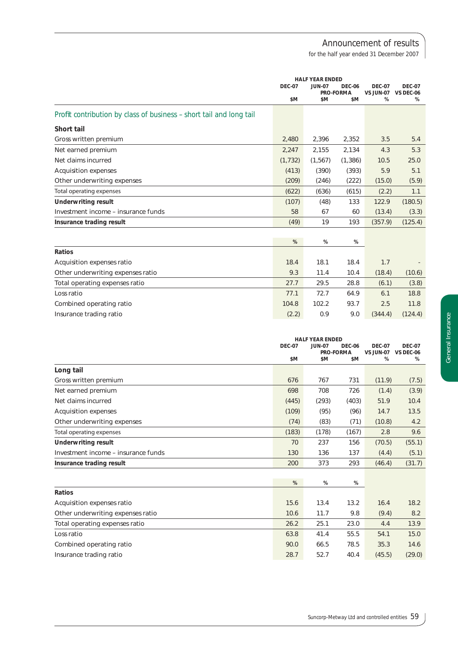for the half year ended 31 December 2007

|                                                                     |                      | <b>HALF YEAR ENDED</b> |                                          |                                           |                            |  |  |
|---------------------------------------------------------------------|----------------------|------------------------|------------------------------------------|-------------------------------------------|----------------------------|--|--|
|                                                                     | <b>DEC-07</b><br>\$Μ | <b>JUN-07</b><br>\$Μ   | <b>DEC-06</b><br><b>PRO-FORMA</b><br>\$M | <b>DEC-07</b><br>VS JUN-07 VS DEC-06<br>% | <b>DEC-07</b><br>℅         |  |  |
| Profit contribution by class of business - short tail and long tail |                      |                        |                                          |                                           |                            |  |  |
| Short tail                                                          |                      |                        |                                          |                                           |                            |  |  |
| Gross written premium                                               | 2,480                | 2,396                  | 2,352                                    | 3.5                                       | 5.4                        |  |  |
| Net earned premium                                                  | 2,247                | 2,155                  | 2,134                                    | 4.3                                       | 5.3                        |  |  |
| Net claims incurred                                                 | (1, 732)             | (1, 567)               | (1, 386)                                 | 10.5                                      | 25.0                       |  |  |
| <b>Acquisition expenses</b>                                         | (413)                | (390)                  | (393)                                    | 5.9                                       | 5.1                        |  |  |
| Other underwriting expenses                                         | (209)                | (246)                  | (222)                                    | (15.0)                                    | (5.9)                      |  |  |
| Total operating expenses                                            | (622)                | (636)                  | (615)                                    | (2.2)                                     | 1.1                        |  |  |
| <b>Underwriting result</b>                                          | (107)                | (48)                   | 133                                      | 122.9                                     | (180.5)                    |  |  |
| Investment income - insurance funds                                 | 58                   | 67                     | 60                                       | (13.4)                                    | (3.3)                      |  |  |
| Insurance trading result                                            | (49)                 | 19                     | 193                                      | (357.9)                                   | (125.4)                    |  |  |
|                                                                     |                      |                        |                                          |                                           |                            |  |  |
|                                                                     | $\%$                 | %                      | %                                        |                                           |                            |  |  |
| Ratios                                                              |                      |                        |                                          |                                           |                            |  |  |
| Acquisition expenses ratio                                          | 18.4                 | 18.1                   | 18.4                                     | 1.7                                       |                            |  |  |
| Other underwriting expenses ratio                                   | 9.3                  | 11.4                   | 10.4                                     | (18.4)                                    | (10.6)                     |  |  |
| Total operating expenses ratio                                      | 27.7                 | 29.5                   | 28.8                                     | (6.1)                                     | (3.8)                      |  |  |
| Loss ratio                                                          | 77.1                 | 72.7                   | 64.9                                     | 6.1                                       | 18.8                       |  |  |
| Combined operating ratio                                            | 104.8                | 102.2                  | 93.7                                     | 2.5                                       | 11.8                       |  |  |
| Insurance trading ratio                                             | (2.2)                | 0.9                    | 9.0                                      | (344.4)                                   | (124.4)                    |  |  |
|                                                                     |                      |                        |                                          |                                           |                            |  |  |
|                                                                     |                      | <b>HALF YEAR ENDED</b> |                                          |                                           |                            |  |  |
|                                                                     | <b>DEC-07</b>        | <b>JUN-07</b>          | <b>DEC-06</b><br>PRO-FORMA               | <b>DEC-07</b><br>VS JUN-07                | <b>DEC-07</b><br>VS DEC-06 |  |  |
|                                                                     | \$Μ                  | \$Μ                    | \$Μ                                      | %                                         | %                          |  |  |
| Long tail                                                           |                      |                        |                                          |                                           |                            |  |  |
| Gross written premium                                               | 676                  | 767                    | 731                                      | (11.9)                                    | (7.5)                      |  |  |
| Net earned premium                                                  | 698                  | 708                    | 726                                      | (1.4)                                     | (3.9)                      |  |  |
| Net claims incurred                                                 | (445)                | (293)                  | (403)                                    | 51.9                                      | 10.4                       |  |  |
| <b>Acquisition expenses</b>                                         | (109)                | (95)                   | (96)                                     | 14.7                                      | 13.5                       |  |  |
| Other underwriting expenses                                         | (74)                 | (83)                   | (71)                                     | (10.8)                                    | 4.2                        |  |  |
| Total operating expenses                                            | (183)                | (178)                  | (167)                                    | 2.8                                       | 9.6                        |  |  |
| <b>Underwriting result</b>                                          | 70                   | 237                    | 156                                      | (70.5)                                    | (55.1)                     |  |  |
| Investment income - insurance funds                                 | 130                  | 136                    | 137                                      | (4.4)                                     | (5.1)                      |  |  |
| Insurance trading result                                            | 200                  | 373                    | 293                                      | (46.4)                                    | (31.7)                     |  |  |
|                                                                     |                      |                        |                                          |                                           |                            |  |  |
|                                                                     | $\%$                 | $\%$                   | $\%$                                     |                                           |                            |  |  |
| Ratios                                                              | 15.6                 |                        |                                          | 16.4                                      | 18.2                       |  |  |
| Acquisition expenses ratio<br>Other underwriting expenses ratio     | 10.6                 | 13.4<br>11.7           | 13.2<br>9.8                              | (9.4)                                     | 8.2                        |  |  |
| Total operating expenses ratio                                      | 26.2                 |                        |                                          | 4.4                                       | 13.9                       |  |  |
| Loss ratio                                                          | 63.8                 | 25.1<br>41.4           | 23.0<br>55.5                             | 54.1                                      | 15.0                       |  |  |
| Combined operating ratio                                            | 90.0                 | 66.5                   | 78.5                                     | 35.3                                      | 14.6                       |  |  |
| Insurance trading ratio                                             | 28.7                 | 52.7                   | 40.4                                     | (45.5)                                    | (29.0)                     |  |  |
|                                                                     |                      |                        |                                          |                                           |                            |  |  |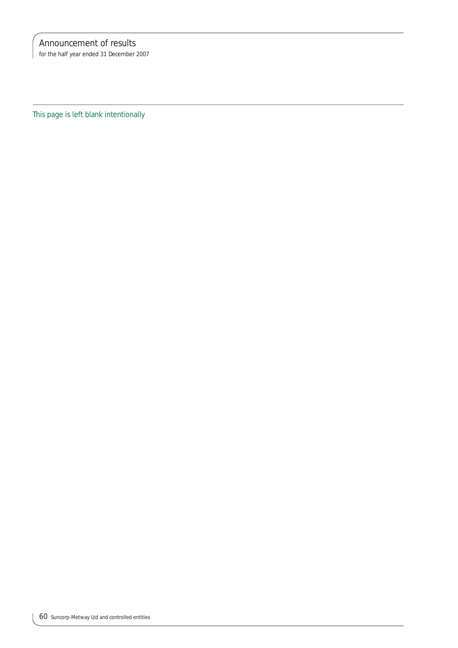for the half year ended 31 December 2007

This page is left blank intentionally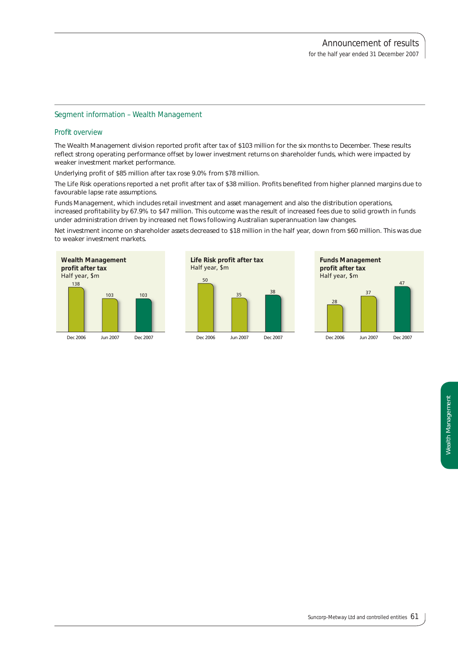## Segment information – Wealth Management

### Profit overview

The Wealth Management division reported profit after tax of \$103 million for the six months to December. These results reflect strong operating performance offset by lower investment returns on shareholder funds, which were impacted by weaker investment market performance.

Underlying profit of \$85 million after tax rose 9.0% from \$78 million.

The Life Risk operations reported a net profit after tax of \$38 million. Profits benefited from higher planned margins due to favourable lapse rate assumptions.

Funds Management, which includes retail investment and asset management and also the distribution operations, increased profitability by 67.9% to \$47 million. This outcome was the result of increased fees due to solid growth in funds under administration driven by increased net flows following Australian superannuation law changes.

Net investment income on shareholder assets decreased to \$18 million in the half year, down from \$60 million. This was due to weaker investment markets.





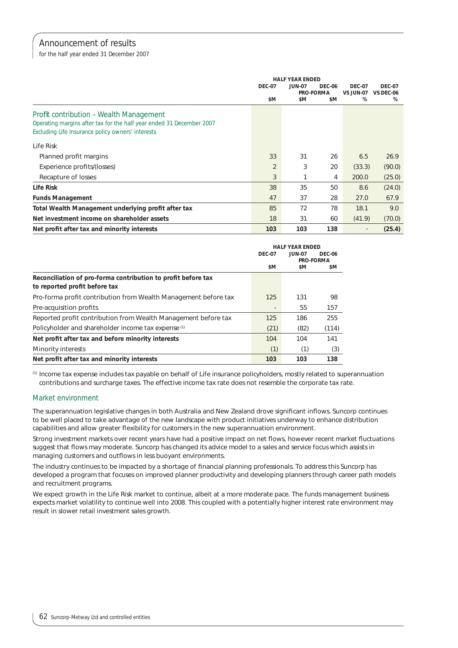for the half year ended 31 December 2007

|                                                                      | <b>HALF YEAR ENDED</b> |               |                         |                |                |
|----------------------------------------------------------------------|------------------------|---------------|-------------------------|----------------|----------------|
|                                                                      | <b>DEC-07</b>          | <b>JUN-07</b> | <b>DEC-06</b>           | <b>DEC-07</b>  | <b>DEC-07</b>  |
|                                                                      | \$Μ                    | \$M           | <b>PRO-FORMA</b><br>\$M | VS JUN-07<br>% | VS DEC-06<br>% |
| Profit contribution - Wealth Management                              |                        |               |                         |                |                |
| Operating margins after tax for the half year ended 31 December 2007 |                        |               |                         |                |                |
| Excluding Life Insurance policy owners' interests                    |                        |               |                         |                |                |
| Life Risk                                                            |                        |               |                         |                |                |
| Planned profit margins                                               | 33                     | 31            | 26                      | 6.5            | 26.9           |
| Experience profits/(losses)                                          | $\overline{2}$         | 3             | 20                      | (33.3)         | (90.0)         |
| Recapture of losses                                                  | 3                      |               | 4                       | 200.0          | (25.0)         |
| Life Risk                                                            | 38                     | 35            | 50                      | 8.6            | (24.0)         |
| <b>Funds Management</b>                                              | 47                     | 37            | 28                      | 27.0           | 67.9           |
| Total Wealth Management underlying profit after tax                  | 85                     | 72            | 78                      | 18.1           | 9.0            |
| Net investment income on shareholder assets                          | 18                     | 31            | 60                      | (41.9)         | (70.0)         |
| Net profit after tax and minority interests                          | 103                    | 103           | 138                     |                | (25.4)         |

|                                                                 |                | <b>HALF YEAR ENDED</b> |                            |  |  |  |
|-----------------------------------------------------------------|----------------|------------------------|----------------------------|--|--|--|
|                                                                 | <b>DEC-07</b>  | <b>JUN-07</b>          | DEC-06<br><b>PRO-FORMA</b> |  |  |  |
|                                                                 | \$M            | \$M                    | \$M                        |  |  |  |
| Reconciliation of pro-forma contribution to profit before tax   |                |                        |                            |  |  |  |
| to reported profit before tax                                   |                |                        |                            |  |  |  |
| Pro-forma profit contribution from Wealth Management before tax | 125            | 131                    | 98                         |  |  |  |
| Pre-acquisition profits                                         | $\overline{a}$ | 55                     | 157                        |  |  |  |
| Reported profit contribution from Wealth Management before tax  | 125            | 186                    | 255                        |  |  |  |
| Policyholder and shareholder income tax expense (1)             | (21)           | (82)                   | (114)                      |  |  |  |
| Net profit after tax and before minority interests              | 104            | 104                    | 141                        |  |  |  |
| Minority interests                                              | (1)            | (1)                    | (3)                        |  |  |  |
| Net profit after tax and minority interests                     | 103            | 103                    | 138                        |  |  |  |

(1) Income tax expense includes tax payable on behalf of Life insurance policyholders, mostly related to superannuation contributions and surcharge taxes. The effective income tax rate does not resemble the corporate tax rate.

## Market environment

The superannuation legislative changes in both Australia and New Zealand drove significant inflows. Suncorp continues to be well placed to take advantage of the new landscape with product initiatives underway to enhance distribution capabilities and allow greater flexibility for customers in the new superannuation environment.

Strong investment markets over recent years have had a positive impact on net flows, however recent market fluctuations suggest that flows may moderate. Suncorp has changed its advice model to a sales and service focus which assists in managing customers and outflows in less buoyant environments.

The industry continues to be impacted by a shortage of financial planning professionals. To address this Suncorp has developed a program that focuses on improved planner productivity and developing planners through career path models and recruitment programs.

We expect growth in the Life Risk market to continue, albeit at a more moderate pace. The funds management business expects market volatility to continue well into 2008. This coupled with a potentially higher interest rate environment may result in slower retail investment sales growth.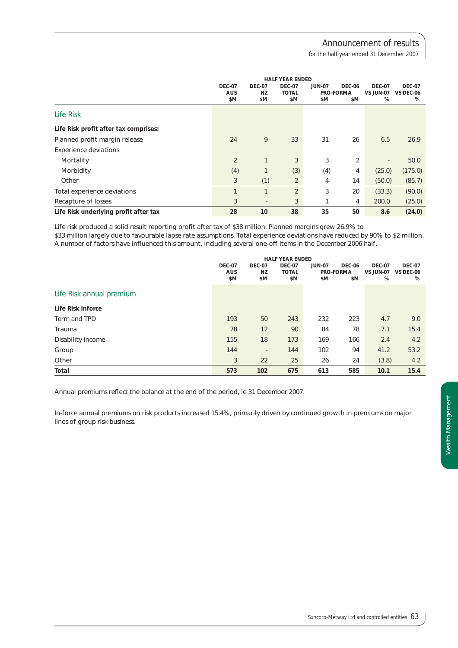for the half year ended 31 December 2007

|                                       | <b>HALF YEAR ENDED</b>      |                            |                               |               |                                   |                                   |                            |
|---------------------------------------|-----------------------------|----------------------------|-------------------------------|---------------|-----------------------------------|-----------------------------------|----------------------------|
|                                       | <b>DEC-07</b><br><b>AUS</b> | <b>DEC-07</b><br><b>NZ</b> | <b>DEC-07</b><br><b>TOTAL</b> | <b>JUN-07</b> | <b>DEC-06</b><br><b>PRO-FORMA</b> | <b>DEC-07</b><br><b>VS JUN-07</b> | <b>DEC-07</b><br>VS DEC-06 |
|                                       | \$M                         | \$Μ                        | \$Μ                           | \$M           | \$Μ                               | %                                 | %                          |
| Life Risk                             |                             |                            |                               |               |                                   |                                   |                            |
| Life Risk profit after tax comprises: |                             |                            |                               |               |                                   |                                   |                            |
| Planned profit margin release         | 24                          | 9                          | 33                            | 31            | 26                                | 6.5                               | 26.9                       |
| <b>Experience deviations</b>          |                             |                            |                               |               |                                   |                                   |                            |
| Mortality                             | $\overline{2}$              | 1                          | 3                             | 3             | 2                                 | $\overline{a}$                    | 50.0                       |
| Morbidity                             | (4)                         | $\mathbf{1}$               | (3)                           | (4)           | 4                                 | (25.0)                            | (175.0)                    |
| Other                                 | 3                           | (1)                        | 2                             | 4             | 14                                | (50.0)                            | (85.7)                     |
| Total experience deviations           | $\mathbf{1}$                | $\mathbf{1}$               | 2                             | 3             | 20                                | (33.3)                            | (90.0)                     |
| Recapture of losses                   | 3                           | $\overline{\phantom{a}}$   | 3                             |               | 4                                 | 200.0                             | (25.0)                     |
| Life Risk underlying profit after tax | 28                          | 10                         | 38                            | 35            | 50                                | 8.6                               | (24.0)                     |

Life risk produced a solid result reporting profit after tax of \$38 million. Planned margins grew 26.9% to \$33 million largely due to favourable lapse rate assumptions. Total experience deviations have reduced by 90% to \$2 million. A number of factors have influenced this amount, including several one-off items in the December 2006 half.

|                          | <b>HALF YEAR ENDED</b> |                |               |               |                  |                  |               |
|--------------------------|------------------------|----------------|---------------|---------------|------------------|------------------|---------------|
|                          | <b>DEC-07</b>          | <b>DEC-07</b>  | <b>DEC-07</b> | <b>JUN-07</b> | <b>DEC-06</b>    | <b>DEC-07</b>    | <b>DEC-07</b> |
|                          | <b>AUS</b>             | <b>NZ</b>      | <b>TOTAL</b>  |               | <b>PRO-FORMA</b> | <b>VS JUN-07</b> | VS DEC-06     |
|                          | \$M                    | \$Μ            | \$Μ           | \$Μ           | \$Μ              | %                | %             |
| Life Risk annual premium |                        |                |               |               |                  |                  |               |
| Life Risk inforce        |                        |                |               |               |                  |                  |               |
| Term and TPD             | 193                    | 50             | 243           | 232           | 223              | 4.7              | 9.0           |
| Trauma                   | 78                     | 12             | 90            | 84            | 78               | 7.1              | 15.4          |
| Disability income        | 155                    | 18             | 173           | 169           | 166              | 2.4              | 4.2           |
| Group                    | 144                    | $\overline{a}$ | 144           | 102           | 94               | 41.2             | 53.2          |
| Other                    | 3                      | 22             | 25            | 26            | 24               | (3.8)            | 4.2           |
| Total                    | 573                    | 102            | 675           | 613           | 585              | 10.1             | 15.4          |

Annual premiums reflect the balance at the end of the period, ie 31 December 2007.

In-force annual premiums on risk products increased 15.4%, primarily driven by continued growth in premiums on major lines of group risk business.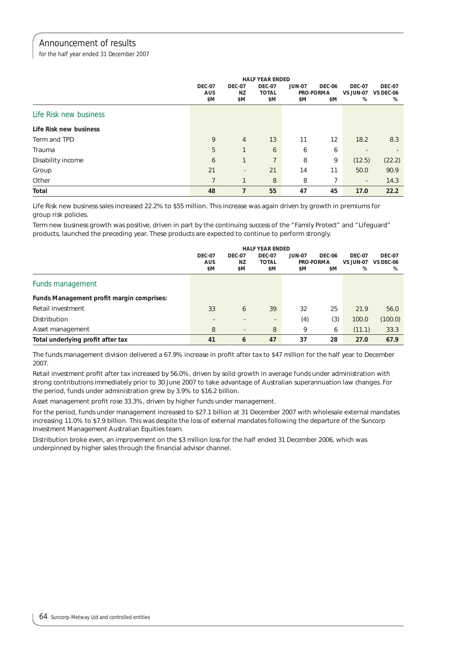for the half year ended 31 December 2007

|                        | <b>HALF YEAR ENDED</b> |                          |               |               |                  |                          |               |  |  |
|------------------------|------------------------|--------------------------|---------------|---------------|------------------|--------------------------|---------------|--|--|
|                        | <b>DEC-07</b>          | <b>DEC-07</b>            | <b>DEC-07</b> | <b>JUN-07</b> | <b>DEC-06</b>    | <b>DEC-07</b>            | <b>DEC-07</b> |  |  |
|                        | <b>AUS</b>             | <b>NZ</b>                | <b>TOTAL</b>  |               | <b>PRO-FORMA</b> | <b>VS JUN-07</b>         | VS DEC-06     |  |  |
|                        | \$Μ                    | \$Μ                      | \$Μ           | \$M           | \$Μ              | %                        | %             |  |  |
| Life Risk new business |                        |                          |               |               |                  |                          |               |  |  |
| Life Risk new business |                        |                          |               |               |                  |                          |               |  |  |
| Term and TPD           | 9                      | $\overline{4}$           | 13            | 11            | 12               | 18.2                     | 8.3           |  |  |
| Trauma                 | 5                      | 1                        | 6             | 6             | 6                |                          |               |  |  |
| Disability income      | 6                      | 1                        | 7             | 8             | 9                | (12.5)                   | (22.2)        |  |  |
| Group                  | 21                     | $\overline{\phantom{a}}$ | 21            | 14            | 11               | 50.0                     | 90.9          |  |  |
| Other                  | 7                      | $\mathbf{1}$             | 8             | 8             |                  | $\overline{\phantom{a}}$ | 14.3          |  |  |
| Total                  | 48                     | 7                        | 55            | 47            | 45               | 17.0                     | 22.2          |  |  |

Life Risk new business sales increased 22.2% to \$55 million. This increase was again driven by growth in premiums for group risk policies.

Term new business growth was positive, driven in part by the continuing success of the "Family Protect" and "Lifeguard" products, launched the preceding year. These products are expected to continue to perform strongly.

|                                           | <b>HALF YEAR ENDED</b><br><b>DEC-07</b><br><b>DEC-07</b><br><b>DEC-07</b><br><b>DEC-07</b><br><b>JUN-07</b><br><b>DEC-06</b> |                          |                          |     |                         |                | <b>DEC-07</b>  |
|-------------------------------------------|------------------------------------------------------------------------------------------------------------------------------|--------------------------|--------------------------|-----|-------------------------|----------------|----------------|
|                                           | <b>AUS</b><br>\$Μ                                                                                                            | NZ<br>\$Μ                | <b>TOTAL</b><br>\$M      | \$Μ | <b>PRO-FORMA</b><br>\$M | VS JUN-07<br>% | VS DEC-06<br>℅ |
| Funds management                          |                                                                                                                              |                          |                          |     |                         |                |                |
| Funds Management profit margin comprises: |                                                                                                                              |                          |                          |     |                         |                |                |
| Retail investment                         | 33                                                                                                                           | 6                        | 39                       | 32  | 25                      | 21.9           | 56.0           |
| Distribution                              | $\overline{\phantom{a}}$                                                                                                     |                          | $\overline{\phantom{a}}$ | (4) | (3)                     | 100.0          | (100.0)        |
| Asset management                          | 8                                                                                                                            | $\overline{\phantom{a}}$ | 8                        | 9   | 6                       | (11.1)         | 33.3           |
| Total underlying profit after tax         | 41                                                                                                                           | 6                        | 47                       | 37  | 28                      | 27.0           | 67.9           |

The funds management division delivered a 67.9% increase in profit after tax to \$47 million for the half year to December 2007.

Retail investment profit after tax increased by 56.0%, driven by solid growth in average funds under administration with strong contributions immediately prior to 30 June 2007 to take advantage of Australian superannuation law changes. For the period, funds under administration grew by 3.9% to \$16.2 billion.

Asset management profit rose 33.3%, driven by higher funds under management.

For the period, funds under management increased to \$27.1 billion at 31 December 2007 with wholesale external mandates increasing 11.0% to \$7.9 billion. This was despite the loss of external mandates following the departure of the Suncorp Investment Management Australian Equities team.

Distribution broke even, an improvement on the \$3 million loss for the half ended 31 December 2006, which was underpinned by higher sales through the financial advisor channel.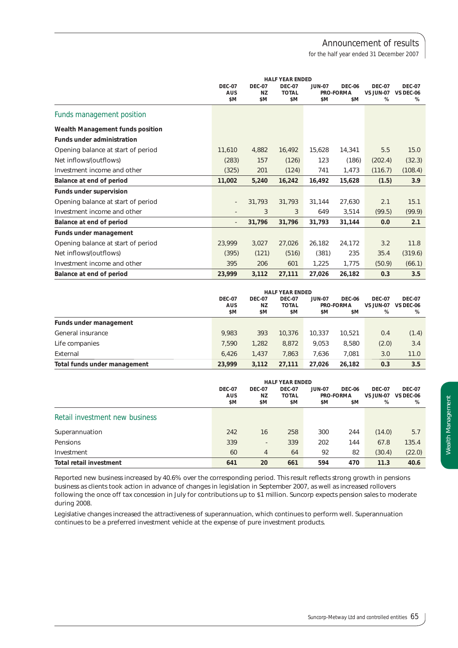for the half year ended 31 December 2007

|                                    |                          |               | <b>HALF YEAR ENDED</b> |               |                  |                  |                  |
|------------------------------------|--------------------------|---------------|------------------------|---------------|------------------|------------------|------------------|
|                                    | <b>DEC-07</b>            | <b>DEC-07</b> | <b>DEC-07</b>          | <b>JUN-07</b> | <b>DEC-06</b>    | <b>DEC-07</b>    | <b>DEC-07</b>    |
|                                    | <b>AUS</b>               | <b>NZ</b>     | <b>TOTAL</b>           |               | <b>PRO-FORMA</b> | <b>VS JUN-07</b> | <b>VS DEC-06</b> |
|                                    | \$M                      | \$M           | \$M                    | \$M           | \$M              | %                | %                |
| Funds management position          |                          |               |                        |               |                  |                  |                  |
| Wealth Management funds position   |                          |               |                        |               |                  |                  |                  |
| <b>Funds under administration</b>  |                          |               |                        |               |                  |                  |                  |
| Opening balance at start of period | 11,610                   | 4,882         | 16,492                 | 15,628        | 14,341           | 5.5              | 15.0             |
| Net inflows/(outflows)             | (283)                    | 157           | (126)                  | 123           | (186)            | (202.4)          | (32.3)           |
| Investment income and other        | (325)                    | 201           | (124)                  | 741           | 1,473            | (116.7)          | (108.4)          |
| Balance at end of period           | 11,002                   | 5,240         | 16,242                 | 16,492        | 15,628           | (1.5)            | 3.9              |
| <b>Funds under supervision</b>     |                          |               |                        |               |                  |                  |                  |
| Opening balance at start of period |                          | 31,793        | 31,793                 | 31,144        | 27,630           | 2.1              | 15.1             |
| Investment income and other        |                          | 3             | 3                      | 649           | 3,514            | (99.5)           | (99.9)           |
| Balance at end of period           | $\overline{\phantom{a}}$ | 31,796        | 31,796                 | 31,793        | 31,144           | 0.0              | 2.1              |
| Funds under management             |                          |               |                        |               |                  |                  |                  |
| Opening balance at start of period | 23,999                   | 3,027         | 27,026                 | 26,182        | 24,172           | 3.2              | 11.8             |
| Net inflows/(outflows)             | (395)                    | (121)         | (516)                  | (381)         | 235              | 35.4             | (319.6)          |
| Investment income and other        | 395                      | 206           | 601                    | 1,225         | 1,775            | (50.9)           | (66.1)           |
| Balance at end of period           | 23,999                   | 3,112         | 27,111                 | 27,026        | 26,182           | 0.3              | 3.5              |

|                              |                                    | <b>HALF YEAR ENDED</b>            |                                      |                      |                                          |                                        |                                 |  |
|------------------------------|------------------------------------|-----------------------------------|--------------------------------------|----------------------|------------------------------------------|----------------------------------------|---------------------------------|--|
|                              | <b>DEC-07</b><br><b>AUS</b><br>\$M | <b>DEC-07</b><br><b>NZ</b><br>\$M | <b>DEC-07</b><br><b>TOTAL</b><br>\$M | <b>JUN-07</b><br>\$M | <b>DEC-06</b><br><b>PRO-FORMA</b><br>\$M | <b>DEC-07</b><br><b>VS JUN-07</b><br>% | <b>DEC-07</b><br>VS DEC-06<br>% |  |
| Funds under management       |                                    |                                   |                                      |                      |                                          |                                        |                                 |  |
| General insurance            | 9,983                              | 393                               | 10,376                               | 10,337               | 10,521                                   | 0.4                                    | (1.4)                           |  |
| Life companies               | 7.590                              | 1,282                             | 8.872                                | 9.053                | 8,580                                    | (2.0)                                  | 3.4                             |  |
| External                     | 6,426                              | 1,437                             | 7,863                                | 7,636                | 7,081                                    | 3.0                                    | 11.0                            |  |
| Total funds under management | 23,999                             | 3.112                             | 27.111                               | 27.026               | 26.182                                   | 0.3                                    | 3.5                             |  |

|                                | <b>HALF YEAR ENDED</b>      |                            |                               |               |                                   |                            |                            |
|--------------------------------|-----------------------------|----------------------------|-------------------------------|---------------|-----------------------------------|----------------------------|----------------------------|
|                                | <b>DEC-07</b><br><b>AUS</b> | <b>DEC-07</b><br><b>NZ</b> | <b>DEC-07</b><br><b>TOTAL</b> | <b>JUN-07</b> | <b>DEC-06</b><br><b>PRO-FORMA</b> | <b>DEC-07</b><br>VS JUN-07 | <b>DEC-07</b><br>VS DEC-06 |
|                                | \$M                         | \$Μ                        | \$M                           | \$M           | \$M                               | %                          | %                          |
| Retail investment new business |                             |                            |                               |               |                                   |                            |                            |
| Superannuation                 | 242                         | 16                         | 258                           | 300           | 244                               | (14.0)                     | 5.7                        |
| Pensions                       | 339                         | $\overline{\phantom{a}}$   | 339                           | 202           | 144                               | 67.8                       | 135.4                      |
| Investment                     | 60                          | $\overline{4}$             | 64                            | 92            | 82                                | (30.4)                     | (22.0)                     |
| <b>Total retail investment</b> | 641                         | 20                         | 661                           | 594           | 470                               | 11.3                       | 40.6                       |

Reported new business increased by 40.6% over the corresponding period. This result reflects strong growth in pensions business as clients took action in advance of changes in legislation in September 2007, as well as increased rollovers following the once off tax concession in July for contributions up to \$1 million. Suncorp expects pension sales to moderate during 2008.

Legislative changes increased the attractiveness of superannuation, which continues to perform well. Superannuation continues to be a preferred investment vehicle at the expense of pure investment products.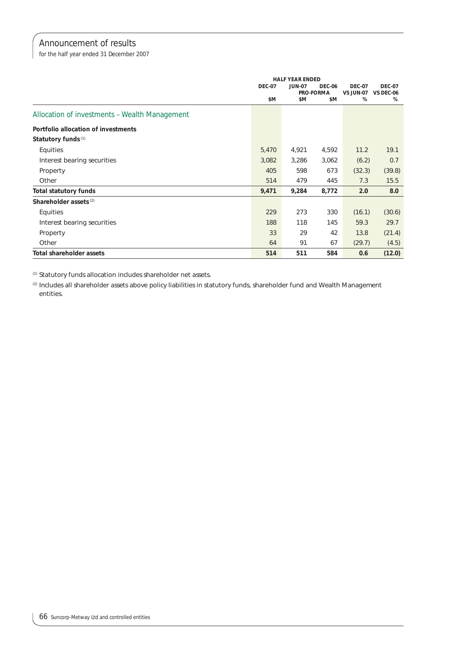for the half year ended 31 December 2007

|                                               | <b>HALF YEAR ENDED</b> |               |                                   |                            |                            |
|-----------------------------------------------|------------------------|---------------|-----------------------------------|----------------------------|----------------------------|
|                                               | <b>DEC-07</b>          | <b>JUN-07</b> | <b>DEC-06</b><br><b>PRO-FORMA</b> | <b>DEC-07</b><br>VS JUN-07 | <b>DEC-07</b><br>VS DEC-06 |
|                                               | \$M                    | \$M           | \$M                               | %                          | %                          |
| Allocation of investments - Wealth Management |                        |               |                                   |                            |                            |
| Portfolio allocation of investments           |                        |               |                                   |                            |                            |
| Statutory funds <sup>(1)</sup>                |                        |               |                                   |                            |                            |
| Equities                                      | 5,470                  | 4,921         | 4,592                             | 11.2                       | 19.1                       |
| Interest bearing securities                   | 3,082                  | 3,286         | 3,062                             | (6.2)                      | 0.7                        |
| Property                                      | 405                    | 598           | 673                               | (32.3)                     | (39.8)                     |
| Other                                         | 514                    | 479           | 445                               | 7.3                        | 15.5                       |
| <b>Total statutory funds</b>                  | 9,471                  | 9,284         | 8,772                             | 2.0                        | 8.0                        |
| Shareholder assets <sup>(2)</sup>             |                        |               |                                   |                            |                            |
| Equities                                      | 229                    | 273           | 330                               | (16.1)                     | (30.6)                     |
| Interest bearing securities                   | 188                    | 118           | 145                               | 59.3                       | 29.7                       |
| Property                                      | 33                     | 29            | 42                                | 13.8                       | (21.4)                     |
| Other                                         | 64                     | 91            | 67                                | (29.7)                     | (4.5)                      |
| Total shareholder assets                      | 514                    | 511           | 584                               | 0.6                        | (12.0)                     |

(1) Statutory funds allocation includes shareholder net assets.

(2) Includes all shareholder assets above policy liabilities in statutory funds, shareholder fund and Wealth Management entities.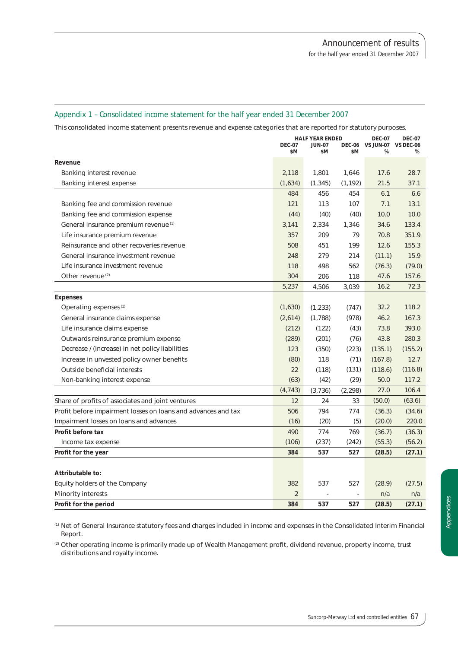## Appendix 1 – Consolidated income statement for the half year ended 31 December 2007

This consolidated income statement presents revenue and expense categories that are reported for statutory purposes.

|                                                               |                      | <b>HALF YEAR ENDED</b> |          | <b>DEC-07</b>                   | <b>DEC-07</b> |
|---------------------------------------------------------------|----------------------|------------------------|----------|---------------------------------|---------------|
|                                                               | <b>DEC-07</b><br>\$M | <b>JUN-07</b><br>\$M   | \$M      | DEC-06 VS JUN-07 VS DEC-06<br>% | %             |
| Revenue                                                       |                      |                        |          |                                 |               |
| Banking interest revenue                                      | 2,118                | 1,801                  | 1,646    | 17.6                            | 28.7          |
| Banking interest expense                                      | (1,634)              | (1, 345)               | (1, 192) | 21.5                            | 37.1          |
|                                                               | 484                  | 456                    | 454      | 6.1                             | 6.6           |
| Banking fee and commission revenue                            | 121                  | 113                    | 107      | 7.1                             | 13.1          |
| Banking fee and commission expense                            | (44)                 | (40)                   | (40)     | 10.0                            | 10.0          |
| General insurance premium revenue (1)                         | 3,141                | 2,334                  | 1,346    | 34.6                            | 133.4         |
| Life insurance premium revenue                                | 357                  | 209                    | 79       | 70.8                            | 351.9         |
| Reinsurance and other recoveries revenue                      | 508                  | 451                    | 199      | 12.6                            | 155.3         |
| General insurance investment revenue                          | 248                  | 279                    | 214      | (11.1)                          | 15.9          |
| Life insurance investment revenue                             | 118                  | 498                    | 562      | (76.3)                          | (79.0)        |
| Other revenue <sup>(2)</sup>                                  | 304                  | 206                    | 118      | 47.6                            | 157.6         |
|                                                               | 5,237                | 4,506                  | 3,039    | 16.2                            | 72.3          |
| <b>Expenses</b>                                               |                      |                        |          |                                 |               |
| Operating expenses <sup>(1)</sup>                             | (1,630)              | (1, 233)               | (747)    | 32.2                            | 118.2         |
| General insurance claims expense                              | (2,614)              | (1,788)                | (978)    | 46.2                            | 167.3         |
| Life insurance claims expense                                 | (212)                | (122)                  | (43)     | 73.8                            | 393.0         |
| Outwards reinsurance premium expense                          | (289)                | (201)                  | (76)     | 43.8                            | 280.3         |
| Decrease / (increase) in net policy liabilities               | 123                  | (350)                  | (223)    | (135.1)                         | (155.2)       |
| Increase in unvested policy owner benefits                    | (80)                 | 118                    | (71)     | (167.8)                         | 12.7          |
| Outside beneficial interests                                  | 22                   | (118)                  | (131)    | (118.6)                         | (116.8)       |
| Non-banking interest expense                                  | (63)                 | (42)                   | (29)     | 50.0                            | 117.2         |
|                                                               | (4, 743)             | (3,736)                | (2, 298) | 27.0                            | 106.4         |
| Share of profits of associates and joint ventures             | 12                   | 24                     | 33       | (50.0)                          | (63.6)        |
| Profit before impairment losses on loans and advances and tax | 506                  | 794                    | 774      | (36.3)                          | (34.6)        |
| Impairment losses on loans and advances                       | (16)                 | (20)                   | (5)      | (20.0)                          | 220.0         |
| Profit before tax                                             | 490                  | 774                    | 769      | (36.7)                          | (36.3)        |
| Income tax expense                                            | (106)                | (237)                  | (242)    | (55.3)                          | (56.2)        |
| Profit for the year                                           | 384                  | 537                    | 527      | (28.5)                          | (27.1)        |
|                                                               |                      |                        |          |                                 |               |
| Attributable to:                                              |                      |                        |          |                                 |               |
| Equity holders of the Company                                 | 382                  | 537                    | 527      | (28.9)                          | (27.5)        |
| <b>Minority interests</b>                                     | $\overline{2}$       |                        |          | n/a                             | n/a           |
| Profit for the period                                         | 384                  | 537                    | 527      | (28.5)                          | (27.1)        |

(1) Net of General Insurance statutory fees and charges included in income and expenses in the Consolidated Interim Financial Report.

(2) Other operating income is primarily made up of Wealth Management profit, dividend revenue, property income, trust distributions and royalty income.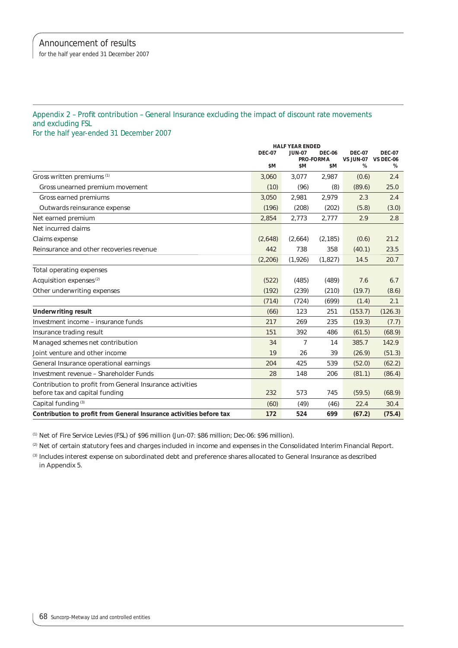for the half year ended 31 December 2007

# Appendix 2 - Profit contribution - General Insurance excluding the impact of discount rate movements and excluding FSL

For the half year-ended 31 December 2007

|                                                                     |               | <b>HALF YEAR ENDED</b> |                         |                |                |  |
|---------------------------------------------------------------------|---------------|------------------------|-------------------------|----------------|----------------|--|
|                                                                     | <b>DEC-07</b> | <b>JUN-07</b>          | <b>DEC-06</b>           | <b>DEC-07</b>  | <b>DEC-07</b>  |  |
|                                                                     | \$M           | \$M                    | <b>PRO-FORMA</b><br>\$M | VS JUN-07<br>% | VS DEC-06<br>% |  |
| Gross written premiums <sup>(1)</sup>                               | 3,060         | 3.077                  | 2,987                   | (0.6)          | 2.4            |  |
| Gross unearned premium movement                                     | (10)          | (96)                   | (8)                     | (89.6)         | 25.0           |  |
| Gross earned premiums                                               | 3,050         | 2,981                  | 2,979                   | 2.3            | 2.4            |  |
| Outwards reinsurance expense                                        | (196)         | (208)                  | (202)                   | (5.8)          | (3.0)          |  |
| Net earned premium                                                  | 2,854         | 2,773                  | 2,777                   | 2.9            | 2.8            |  |
| Net incurred claims                                                 |               |                        |                         |                |                |  |
| Claims expense                                                      | (2,648)       | (2,664)                | (2, 185)                | (0.6)          | 21.2           |  |
| Reinsurance and other recoveries revenue                            | 442           | 738                    | 358                     | (40.1)         | 23.5           |  |
|                                                                     | (2, 206)      | (1,926)                | (1, 827)                | 14.5           | 20.7           |  |
| Total operating expenses                                            |               |                        |                         |                |                |  |
| Acquisition expenses <sup>(2)</sup>                                 | (522)         | (485)                  | (489)                   | 7.6            | 6.7            |  |
| Other underwriting expenses                                         | (192)         | (239)                  | (210)                   | (19.7)         | (8.6)          |  |
|                                                                     | (714)         | (724)                  | (699)                   | (1.4)          | 2.1            |  |
| <b>Underwriting result</b>                                          | (66)          | 123                    | 251                     | (153.7)        | (126.3)        |  |
| Investment income - insurance funds                                 | 217           | 269                    | 235                     | (19.3)         | (7.7)          |  |
| Insurance trading result                                            | 151           | 392                    | 486                     | (61.5)         | (68.9)         |  |
| Managed schemes net contribution                                    | 34            | 7                      | 14                      | 385.7          | 142.9          |  |
| Joint venture and other income                                      | 19            | 26                     | 39                      | (26.9)         | (51.3)         |  |
| General Insurance operational earnings                              | 204           | 425                    | 539                     | (52.0)         | (62.2)         |  |
| Investment revenue - Shareholder Funds                              | 28            | 148                    | 206                     | (81.1)         | (86.4)         |  |
| Contribution to profit from General Insurance activities            |               |                        |                         |                |                |  |
| before tax and capital funding                                      | 232           | 573                    | 745                     | (59.5)         | (68.9)         |  |
| Capital funding <sup>(3)</sup>                                      | (60)          | (49)                   | (46)                    | 22.4           | 30.4           |  |
| Contribution to profit from General Insurance activities before tax | 172           | 524                    | 699                     | (67.2)         | (75.4)         |  |

(1) Net of Fire Service Levies (FSL) of \$96 million (Jun-07: \$86 million; Dec-06: \$96 million).

(2) Net of certain statutory fees and charges included in income and expenses in the Consolidated Interim Financial Report.

(3) Includes interest expense on subordinated debt and preference shares allocated to General Insurance as described in Appendix 5.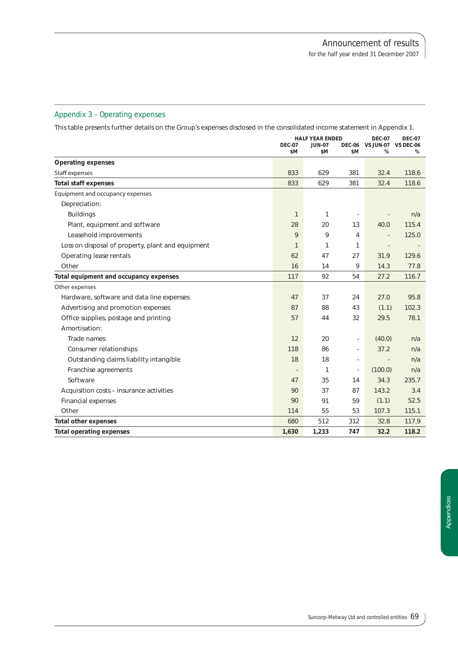for the half year ended 31 December 2007

## Appendix 3 – Operating expenses

This table presents further details on the Group's expenses disclosed in the consolidated income statement in Appendix 1.

|                                                   | <b>DEC-07</b><br>\$M | <b>HALF YEAR ENDED</b><br><b>JUN-07</b><br>\$Μ | <b>DEC-06</b><br>\$M     | <b>DEC-07</b><br><b>VS JUN-07</b><br>% | <b>DEC-07</b><br>VS DEC-06<br>% |
|---------------------------------------------------|----------------------|------------------------------------------------|--------------------------|----------------------------------------|---------------------------------|
| <b>Operating expenses</b>                         |                      |                                                |                          |                                        |                                 |
| Staff expenses                                    | 833                  | 629                                            | 381                      | 32.4                                   | 118.6                           |
| <b>Total staff expenses</b>                       | 833                  | 629                                            | 381                      | 32.4                                   | 118.6                           |
| Equipment and occupancy expenses                  |                      |                                                |                          |                                        |                                 |
| Depreciation:                                     |                      |                                                |                          |                                        |                                 |
| <b>Buildings</b>                                  | $\mathbf{1}$         | 1                                              | $\overline{\phantom{a}}$ |                                        | n/a                             |
| Plant, equipment and software                     | 28                   | 20                                             | 13                       | 40.0                                   | 115.4                           |
| Leasehold improvements                            | 9                    | 9                                              | 4                        |                                        | 125.0                           |
| Loss on disposal of property, plant and equipment | $\mathbf{1}$         | 1                                              | 1                        |                                        |                                 |
| Operating lease rentals                           | 62                   | 47                                             | 27                       | 31.9                                   | 129.6                           |
| Other                                             | 16                   | 14                                             | 9                        | 14.3                                   | 77.8                            |
| Total equipment and occupancy expenses            | 117                  | 92                                             | 54                       | 27.2                                   | 116.7                           |
| Other expenses                                    |                      |                                                |                          |                                        |                                 |
| Hardware, software and data line expenses         | 47                   | 37                                             | 24                       | 27.0                                   | 95.8                            |
| Advertising and promotion expenses                | 87                   | 88                                             | 43                       | (1.1)                                  | 102.3                           |
| Office supplies, postage and printing             | 57                   | 44                                             | 32                       | 29.5                                   | 78.1                            |
| Amortisation:                                     |                      |                                                |                          |                                        |                                 |
| Trade names                                       | 12                   | 20                                             | $\overline{\phantom{a}}$ | (40.0)                                 | n/a                             |
| Consumer relationships                            | 118                  | 86                                             | $\overline{\phantom{a}}$ | 37.2                                   | n/a                             |
| Outstanding claims liability intangible           | 18                   | 18                                             | $\overline{\phantom{a}}$ |                                        | n/a                             |
| Franchise agreements                              | $\overline{a}$       | 1                                              | $\overline{\phantom{a}}$ | (100.0)                                | n/a                             |
| Software                                          | 47                   | 35                                             | 14                       | 34.3                                   | 235.7                           |
| Acquisition costs - insurance activities          | 90                   | 37                                             | 87                       | 143.2                                  | 3.4                             |
| <b>Financial expenses</b>                         | 90                   | 91                                             | 59                       | (1.1)                                  | 52.5                            |
| Other                                             | 114                  | 55                                             | 53                       | 107.3                                  | 115.1                           |
| Total other expenses                              | 680                  | 512                                            | 312                      | 32.8                                   | 117.9                           |
| <b>Total operating expenses</b>                   | 1,630                | 1,233                                          | 747                      | 32.2                                   | 118.2                           |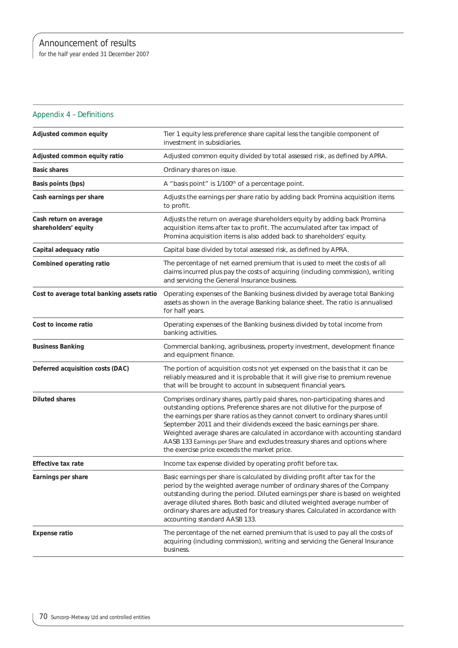for the half year ended 31 December 2007

## Appendix 4 - Definitions

| Adjusted common equity                         | Tier 1 equity less preference share capital less the tangible component of<br>investment in subsidiaries.                                                                                                                                                                                                                                                                                                                                                                                                                            |
|------------------------------------------------|--------------------------------------------------------------------------------------------------------------------------------------------------------------------------------------------------------------------------------------------------------------------------------------------------------------------------------------------------------------------------------------------------------------------------------------------------------------------------------------------------------------------------------------|
| Adjusted common equity ratio                   | Adjusted common equity divided by total assessed risk, as defined by APRA.                                                                                                                                                                                                                                                                                                                                                                                                                                                           |
| <b>Basic shares</b>                            | Ordinary shares on issue.                                                                                                                                                                                                                                                                                                                                                                                                                                                                                                            |
| Basis points (bps)                             | A "basis point" is 1/100 <sup>th</sup> of a percentage point.                                                                                                                                                                                                                                                                                                                                                                                                                                                                        |
| Cash earnings per share                        | Adjusts the earnings per share ratio by adding back Promina acquisition items<br>to profit.                                                                                                                                                                                                                                                                                                                                                                                                                                          |
| Cash return on average<br>shareholders' equity | Adjusts the return on average shareholders equity by adding back Promina<br>acquisition items after tax to profit. The accumulated after tax impact of<br>Promina acquisition items is also added back to shareholders' equity.                                                                                                                                                                                                                                                                                                      |
| Capital adequacy ratio                         | Capital base divided by total assessed risk, as defined by APRA.                                                                                                                                                                                                                                                                                                                                                                                                                                                                     |
| Combined operating ratio                       | The percentage of net earned premium that is used to meet the costs of all<br>claims incurred plus pay the costs of acquiring (including commission), writing<br>and servicing the General Insurance business.                                                                                                                                                                                                                                                                                                                       |
| Cost to average total banking assets ratio     | Operating expenses of the Banking business divided by average total Banking<br>assets as shown in the average Banking balance sheet. The ratio is annualised<br>for half years.                                                                                                                                                                                                                                                                                                                                                      |
| Cost to income ratio                           | Operating expenses of the Banking business divided by total income from<br>banking activities.                                                                                                                                                                                                                                                                                                                                                                                                                                       |
| <b>Business Banking</b>                        | Commercial banking, agribusiness, property investment, development finance<br>and equipment finance.                                                                                                                                                                                                                                                                                                                                                                                                                                 |
| Deferred acquisition costs (DAC)               | The portion of acquisition costs not yet expensed on the basis that it can be<br>reliably measured and it is probable that it will give rise to premium revenue<br>that will be brought to account in subsequent financial years.                                                                                                                                                                                                                                                                                                    |
| <b>Diluted shares</b>                          | Comprises ordinary shares, partly paid shares, non-participating shares and<br>outstanding options. Preference shares are not dilutive for the purpose of<br>the earnings per share ratios as they cannot convert to ordinary shares until<br>September 2011 and their dividends exceed the basic earnings per share.<br>Weighted average shares are calculated in accordance with accounting standard<br>AASB 133 Earnings per Share and excludes treasury shares and options where<br>the exercise price exceeds the market price. |
| Effective tax rate                             | Income tax expense divided by operating profit before tax.                                                                                                                                                                                                                                                                                                                                                                                                                                                                           |
| Earnings per share                             | Basic earnings per share is calculated by dividing profit after tax for the<br>period by the weighted average number of ordinary shares of the Company<br>outstanding during the period. Diluted earnings per share is based on weighted<br>average diluted shares. Both basic and diluted weighted average number of<br>ordinary shares are adjusted for treasury shares. Calculated in accordance with<br>accounting standard AASB 133.                                                                                            |
| <b>Expense ratio</b>                           | The percentage of the net earned premium that is used to pay all the costs of<br>acquiring (including commission), writing and servicing the General Insurance<br>business.                                                                                                                                                                                                                                                                                                                                                          |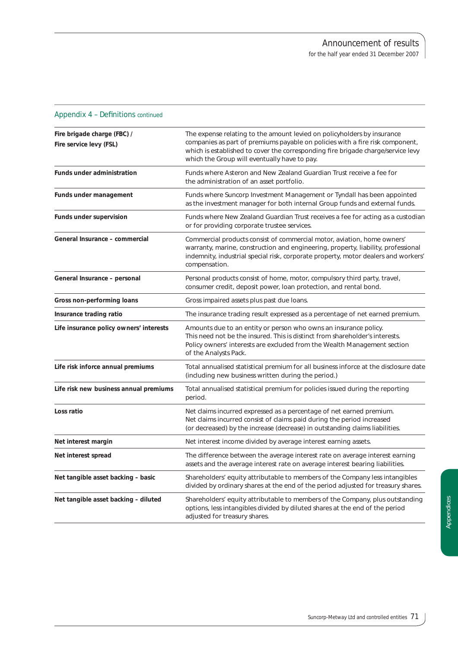| Fire brigade charge (FBC) /<br>Fire service levy (FSL) | The expense relating to the amount levied on policyholders by insurance<br>companies as part of premiums payable on policies with a fire risk component,<br>which is established to cover the corresponding fire brigade charge/service levy<br>which the Group will eventually have to pay. |
|--------------------------------------------------------|----------------------------------------------------------------------------------------------------------------------------------------------------------------------------------------------------------------------------------------------------------------------------------------------|
| <b>Funds under administration</b>                      | Funds where Asteron and New Zealand Guardian Trust receive a fee for<br>the administration of an asset portfolio.                                                                                                                                                                            |
| Funds under management                                 | Funds where Suncorp Investment Management or Tyndall has been appointed<br>as the investment manager for both internal Group funds and external funds.                                                                                                                                       |
| <b>Funds under supervision</b>                         | Funds where New Zealand Guardian Trust receives a fee for acting as a custodian<br>or for providing corporate trustee services.                                                                                                                                                              |
| General Insurance - commercial                         | Commercial products consist of commercial motor, aviation, home owners'<br>warranty, marine, construction and engineering, property, liability, professional<br>indemnity, industrial special risk, corporate property, motor dealers and workers'<br>compensation.                          |
| General Insurance - personal                           | Personal products consist of home, motor, compulsory third party, travel,<br>consumer credit, deposit power, loan protection, and rental bond.                                                                                                                                               |
| Gross non-performing loans                             | Gross impaired assets plus past due loans.                                                                                                                                                                                                                                                   |
| Insurance trading ratio                                | The insurance trading result expressed as a percentage of net earned premium.                                                                                                                                                                                                                |
| Life insurance policy owners' interests                | Amounts due to an entity or person who owns an insurance policy.<br>This need not be the insured. This is distinct from shareholder's interests.<br>Policy owners' interests are excluded from the Wealth Management section<br>of the Analysts Pack.                                        |
| Life risk inforce annual premiums                      | Total annualised statistical premium for all business inforce at the disclosure date<br>(including new business written during the period.)                                                                                                                                                  |
| Life risk new business annual premiums                 | Total annualised statistical premium for policies issued during the reporting<br>period.                                                                                                                                                                                                     |
| Loss ratio                                             | Net claims incurred expressed as a percentage of net earned premium.<br>Net claims incurred consist of claims paid during the period increased<br>(or decreased) by the increase (decrease) in outstanding claims liabilities.                                                               |
| Net interest margin                                    | Net interest income divided by average interest earning assets.                                                                                                                                                                                                                              |
| Net interest spread                                    | The difference between the average interest rate on average interest earning<br>assets and the average interest rate on average interest bearing liabilities.                                                                                                                                |
| Net tangible asset backing - basic                     | Shareholders' equity attributable to members of the Company less intangibles<br>divided by ordinary shares at the end of the period adjusted for treasury shares.                                                                                                                            |
| Net tangible asset backing - diluted                   | Shareholders' equity attributable to members of the Company, plus outstanding<br>options, less intangibles divided by diluted shares at the end of the period<br>adjusted for treasury shares.                                                                                               |

## Appendix 4 - Definitions continued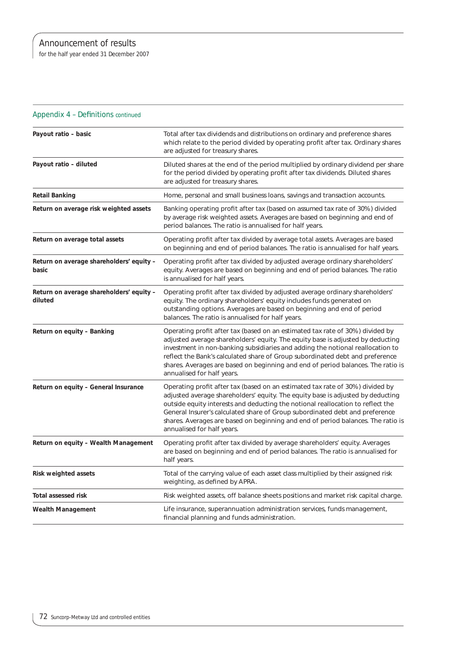for the half year ended 31 December 2007

## Appendix 4 - Definitions continued

| Payout ratio - basic                                | Total after tax dividends and distributions on ordinary and preference shares<br>which relate to the period divided by operating profit after tax. Ordinary shares<br>are adjusted for treasury shares.                                                                                                                                                                                                                                               |
|-----------------------------------------------------|-------------------------------------------------------------------------------------------------------------------------------------------------------------------------------------------------------------------------------------------------------------------------------------------------------------------------------------------------------------------------------------------------------------------------------------------------------|
| Payout ratio - diluted                              | Diluted shares at the end of the period multiplied by ordinary dividend per share<br>for the period divided by operating profit after tax dividends. Diluted shares<br>are adjusted for treasury shares.                                                                                                                                                                                                                                              |
| Retail Banking                                      | Home, personal and small business loans, savings and transaction accounts.                                                                                                                                                                                                                                                                                                                                                                            |
| Return on average risk weighted assets              | Banking operating profit after tax (based on assumed tax rate of 30%) divided<br>by average risk weighted assets. Averages are based on beginning and end of<br>period balances. The ratio is annualised for half years.                                                                                                                                                                                                                              |
| Return on average total assets                      | Operating profit after tax divided by average total assets. Averages are based<br>on beginning and end of period balances. The ratio is annualised for half years.                                                                                                                                                                                                                                                                                    |
| Return on average shareholders' equity -<br>basic   | Operating profit after tax divided by adjusted average ordinary shareholders'<br>equity. Averages are based on beginning and end of period balances. The ratio<br>is annualised for half years.                                                                                                                                                                                                                                                       |
| Return on average shareholders' equity -<br>diluted | Operating profit after tax divided by adjusted average ordinary shareholders'<br>equity. The ordinary shareholders' equity includes funds generated on<br>outstanding options. Averages are based on beginning and end of period<br>balances. The ratio is annualised for half years.                                                                                                                                                                 |
| Return on equity - Banking                          | Operating profit after tax (based on an estimated tax rate of 30%) divided by<br>adjusted average shareholders' equity. The equity base is adjusted by deducting<br>investment in non-banking subsidiaries and adding the notional reallocation to<br>reflect the Bank's calculated share of Group subordinated debt and preference<br>shares. Averages are based on beginning and end of period balances. The ratio is<br>annualised for half years. |
| Return on equity - General Insurance                | Operating profit after tax (based on an estimated tax rate of 30%) divided by<br>adjusted average shareholders' equity. The equity base is adjusted by deducting<br>outside equity interests and deducting the notional reallocation to reflect the<br>General Insurer's calculated share of Group subordinated debt and preference<br>shares. Averages are based on beginning and end of period balances. The ratio is<br>annualised for half years. |
| Return on equity - Wealth Management                | Operating profit after tax divided by average shareholders' equity. Averages<br>are based on beginning and end of period balances. The ratio is annualised for<br>half years.                                                                                                                                                                                                                                                                         |
| Risk weighted assets                                | Total of the carrying value of each asset class multiplied by their assigned risk<br>weighting, as defined by APRA.                                                                                                                                                                                                                                                                                                                                   |
| <b>Total assessed risk</b>                          | Risk weighted assets, off balance sheets positions and market risk capital charge.                                                                                                                                                                                                                                                                                                                                                                    |
| Wealth Management                                   | Life insurance, superannuation administration services, funds management,<br>financial planning and funds administration.                                                                                                                                                                                                                                                                                                                             |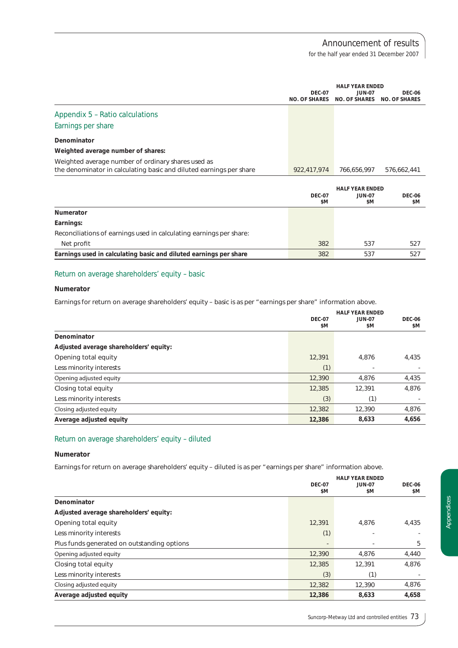# Announcement of results

for the half year ended 31 December 2007

|                                                                     | <b>HALF YEAR ENDED</b>                |                                         |                                       |
|---------------------------------------------------------------------|---------------------------------------|-----------------------------------------|---------------------------------------|
|                                                                     | <b>DEC-07</b><br><b>NO. OF SHARES</b> | <b>JUN-07</b><br><b>NO. OF SHARES</b>   | <b>DEC-06</b><br><b>NO. OF SHARES</b> |
| Appendix 5 - Ratio calculations                                     |                                       |                                         |                                       |
| Earnings per share                                                  |                                       |                                         |                                       |
| Denominator                                                         |                                       |                                         |                                       |
| Weighted average number of shares:                                  |                                       |                                         |                                       |
| Weighted average number of ordinary shares used as                  |                                       |                                         |                                       |
| the denominator in calculating basic and diluted earnings per share | 922,417,974                           | 766,656,997                             | 576,662,441                           |
|                                                                     |                                       |                                         |                                       |
|                                                                     | <b>DEC-07</b>                         | <b>HALF YEAR ENDED</b><br><b>JUN-07</b> | <b>DEC-06</b>                         |
|                                                                     | \$M                                   | \$M                                     | \$M                                   |
| <b>Numerator</b>                                                    |                                       |                                         |                                       |

| Earnings:                                                           |     |     |
|---------------------------------------------------------------------|-----|-----|
| Reconciliations of earnings used in calculating earnings per share: |     |     |
| Net profit                                                          | 382 | 527 |
| Earnings used in calculating basic and diluted earnings per share   | 382 | 527 |

## Return on average shareholders' equity – basic

### **Numerator**

Earnings for return on average shareholders' equity – basic is as per "earnings per share" information above.

|                                        | <b>HALF YEAR ENDED</b> |                      |                      |
|----------------------------------------|------------------------|----------------------|----------------------|
|                                        | <b>DEC-07</b><br>\$M   | <b>JUN-07</b><br>\$M | <b>DEC-06</b><br>\$M |
| Denominator                            |                        |                      |                      |
| Adjusted average shareholders' equity: |                        |                      |                      |
| Opening total equity                   | 12,391                 | 4,876                | 4,435                |
| Less minority interests                | (1)                    | $\overline{a}$       |                      |
| Opening adjusted equity                | 12,390                 | 4,876                | 4,435                |
| Closing total equity                   | 12,385                 | 12,391               | 4,876                |
| Less minority interests                | (3)                    | (1)                  |                      |
| Closing adjusted equity                | 12,382                 | 12.390               | 4,876                |
| Average adjusted equity                | 12,386                 | 8,633                | 4,656                |

## Return on average shareholders' equity – diluted

### **Numerator**

Earnings for return on average shareholders' equity – diluted is as per "earnings per share" information above.

|                                             | <b>HALF YEAR ENDED</b> |                      |                      |
|---------------------------------------------|------------------------|----------------------|----------------------|
|                                             | <b>DEC-07</b><br>\$Μ   | <b>JUN-07</b><br>\$M | <b>DEC-06</b><br>\$M |
| Denominator                                 |                        |                      |                      |
| Adjusted average shareholders' equity:      |                        |                      |                      |
| Opening total equity                        | 12,391                 | 4,876                | 4,435                |
| Less minority interests                     | (1)                    |                      |                      |
| Plus funds generated on outstanding options |                        |                      | 5                    |
| Opening adjusted equity                     | 12,390                 | 4,876                | 4,440                |
| Closing total equity                        | 12,385                 | 12,391               | 4,876                |
| Less minority interests                     | (3)                    | (1)                  |                      |
| Closing adjusted equity                     | 12,382                 | 12,390               | 4,876                |
| Average adjusted equity                     | 12,386                 | 8,633                | 4,658                |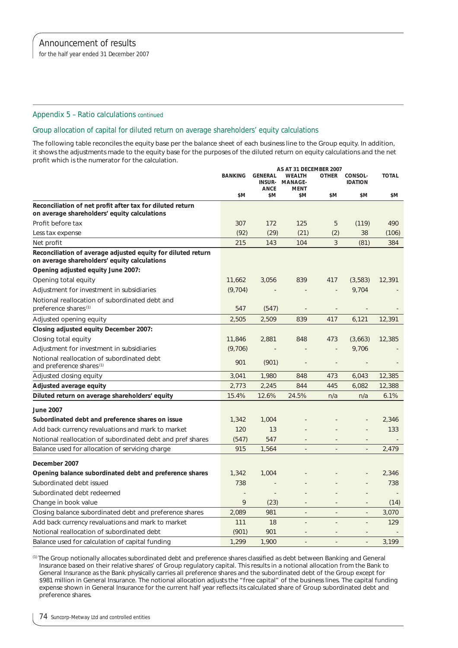for the half year ended 31 December 2007

### Appendix 5 – Ratio calculations continued

## Group allocation of capital for diluted return on average shareholders' equity calculations

The following table reconciles the equity base per the balance sheet of each business line to the Group equity. In addition, it shows the adjustments made to the equity base for the purposes of the diluted return on equity calculations and the net profit which is the numerator for the calculation.

|                                                                                                              |                | AS AT 31 DECEMBER 2007                         |                                                |                          |                           |              |
|--------------------------------------------------------------------------------------------------------------|----------------|------------------------------------------------|------------------------------------------------|--------------------------|---------------------------|--------------|
|                                                                                                              | <b>BANKING</b> | <b>GENERAL</b><br><b>INSUR-</b><br><b>ANCE</b> | <b>WEALTH</b><br><b>MANAGE-</b><br><b>MENT</b> | <b>OTHER</b>             | CONSOL-<br><b>IDATION</b> | <b>TOTAL</b> |
|                                                                                                              | \$M            | \$M                                            | \$M                                            | \$M                      | \$M                       | \$Μ          |
| Reconciliation of net profit after tax for diluted return                                                    |                |                                                |                                                |                          |                           |              |
| on average shareholders' equity calculations                                                                 |                |                                                |                                                |                          |                           |              |
| Profit before tax                                                                                            | 307            | 172                                            | 125                                            | 5                        | (119)                     | 490          |
| Less tax expense                                                                                             | (92)           | (29)                                           | (21)                                           | (2)                      | 38                        | (106)        |
| Net profit                                                                                                   | 215            | 143                                            | 104                                            | 3                        | (81)                      | 384          |
| Reconciliation of average adjusted equity for diluted return<br>on average shareholders' equity calculations |                |                                                |                                                |                          |                           |              |
| Opening adjusted equity June 2007:                                                                           |                |                                                |                                                |                          |                           |              |
| Opening total equity                                                                                         | 11,662         | 3,056                                          | 839                                            | 417                      | (3,583)                   | 12,391       |
| Adjustment for investment in subsidiaries                                                                    | (9,704)        |                                                |                                                | $\overline{a}$           | 9,704                     |              |
| Notional reallocation of subordinated debt and                                                               |                |                                                |                                                |                          |                           |              |
| preference shares <sup>(1)</sup>                                                                             | 547            | (547)                                          |                                                |                          |                           |              |
| Adjusted opening equity                                                                                      | 2,505          | 2,509                                          | 839                                            | 417                      | 6,121                     | 12,391       |
| Closing adjusted equity December 2007:                                                                       |                |                                                |                                                |                          |                           |              |
| Closing total equity                                                                                         | 11,846         | 2,881                                          | 848                                            | 473                      | (3,663)                   | 12,385       |
| Adjustment for investment in subsidiaries                                                                    | (9,706)        |                                                |                                                |                          | 9,706                     |              |
| Notional reallocation of subordinated debt<br>and preference shares <sup>(1)</sup>                           | 901            | (901)                                          |                                                |                          |                           |              |
| Adjusted closing equity                                                                                      | 3,041          | 1,980                                          | 848                                            | 473                      | 6,043                     | 12,385       |
| Adjusted average equity                                                                                      | 2,773          | 2,245                                          | 844                                            | 445                      | 6,082                     | 12,388       |
| Diluted return on average shareholders' equity                                                               | 15.4%          | 12.6%                                          | 24.5%                                          | n/a                      | n/a                       | 6.1%         |
| June 2007                                                                                                    |                |                                                |                                                |                          |                           |              |
| Subordinated debt and preference shares on issue                                                             | 1,342          | 1,004                                          |                                                |                          |                           | 2,346        |
| Add back currency revaluations and mark to market                                                            | 120            | 13                                             |                                                |                          |                           | 133          |
| Notional reallocation of subordinated debt and pref shares                                                   | (547)          | 547                                            |                                                |                          | $\overline{a}$            |              |
| Balance used for allocation of servicing charge                                                              | 915            | 1,564                                          |                                                |                          |                           | 2,479        |
| December 2007                                                                                                |                |                                                |                                                |                          |                           |              |
| Opening balance subordinated debt and preference shares                                                      | 1,342          | 1,004                                          |                                                |                          |                           | 2,346        |
| Subordinated debt issued                                                                                     | 738            |                                                |                                                |                          |                           | 738          |
| Subordinated debt redeemed                                                                                   | $\overline{a}$ |                                                |                                                |                          | $\overline{a}$            |              |
| Change in book value                                                                                         | 9              | (23)                                           | $\overline{\phantom{m}}$                       | $\overline{\phantom{a}}$ | $\overline{\phantom{a}}$  | (14)         |
| Closing balance subordinated debt and preference shares                                                      | 2,089          | 981                                            | $\overline{\phantom{a}}$                       | $\overline{\phantom{a}}$ | $\overline{\phantom{a}}$  | 3,070        |
| Add back currency revaluations and mark to market                                                            | 111            | 18                                             | $\overline{a}$                                 | $\overline{a}$           | $\overline{a}$            | 129          |
| Notional reallocation of subordinated debt                                                                   | (901)          | 901                                            |                                                |                          | $\overline{a}$            |              |
| Balance used for calculation of capital funding                                                              | 1,299          | 1,900                                          | $\overline{a}$                                 |                          |                           | 3.199        |

(1) The Group notionally allocates subordinated debt and preference shares classified as debt between Banking and General Insurance based on their relative shares' of Group regulatory capital. This results in a notional allocation from the Bank to General Insurance as the Bank physically carries all preference shares and the subordinated debt of the Group except for \$981 million in General Insurance. The notional allocation adjusts the "free capital" of the business lines. The capital funding expense shown in General Insurance for the current half year reflects its calculated share of Group subordinated debt and preference shares.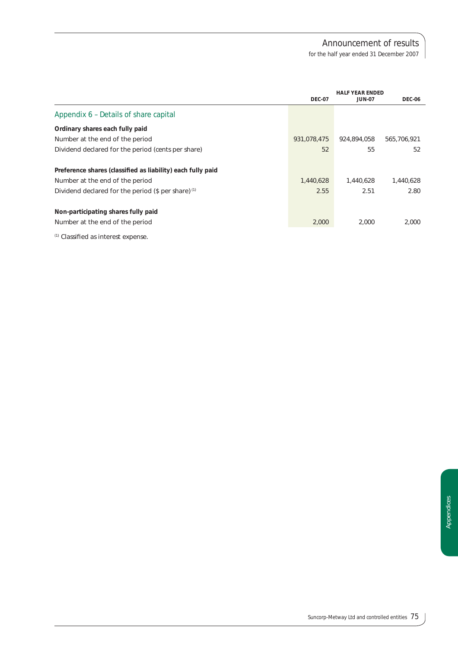# Announcement of results

for the half year ended 31 December 2007

|                                                             | <b>HALF YEAR ENDED</b> |               |               |
|-------------------------------------------------------------|------------------------|---------------|---------------|
|                                                             | <b>DEC-07</b>          | <b>JUN-07</b> | <b>DEC-06</b> |
| Appendix 6 - Details of share capital                       |                        |               |               |
| Ordinary shares each fully paid                             |                        |               |               |
| Number at the end of the period                             | 931,078,475            | 924.894.058   | 565.706.921   |
| Dividend declared for the period (cents per share)          | 52                     | 55            | 52            |
| Preference shares (classified as liability) each fully paid |                        |               |               |
| Number at the end of the period                             | 1,440,628              | 1,440,628     | 1,440,628     |
| Dividend declared for the period $(\$$ per share) $(1)$     | 2.55                   | 2.51          | 2.80          |
| Non-participating shares fully paid                         |                        |               |               |
| Number at the end of the period                             | 2,000                  | 2,000         | 2,000         |
|                                                             |                        |               |               |

 $(1)$  Classified as interest expense.